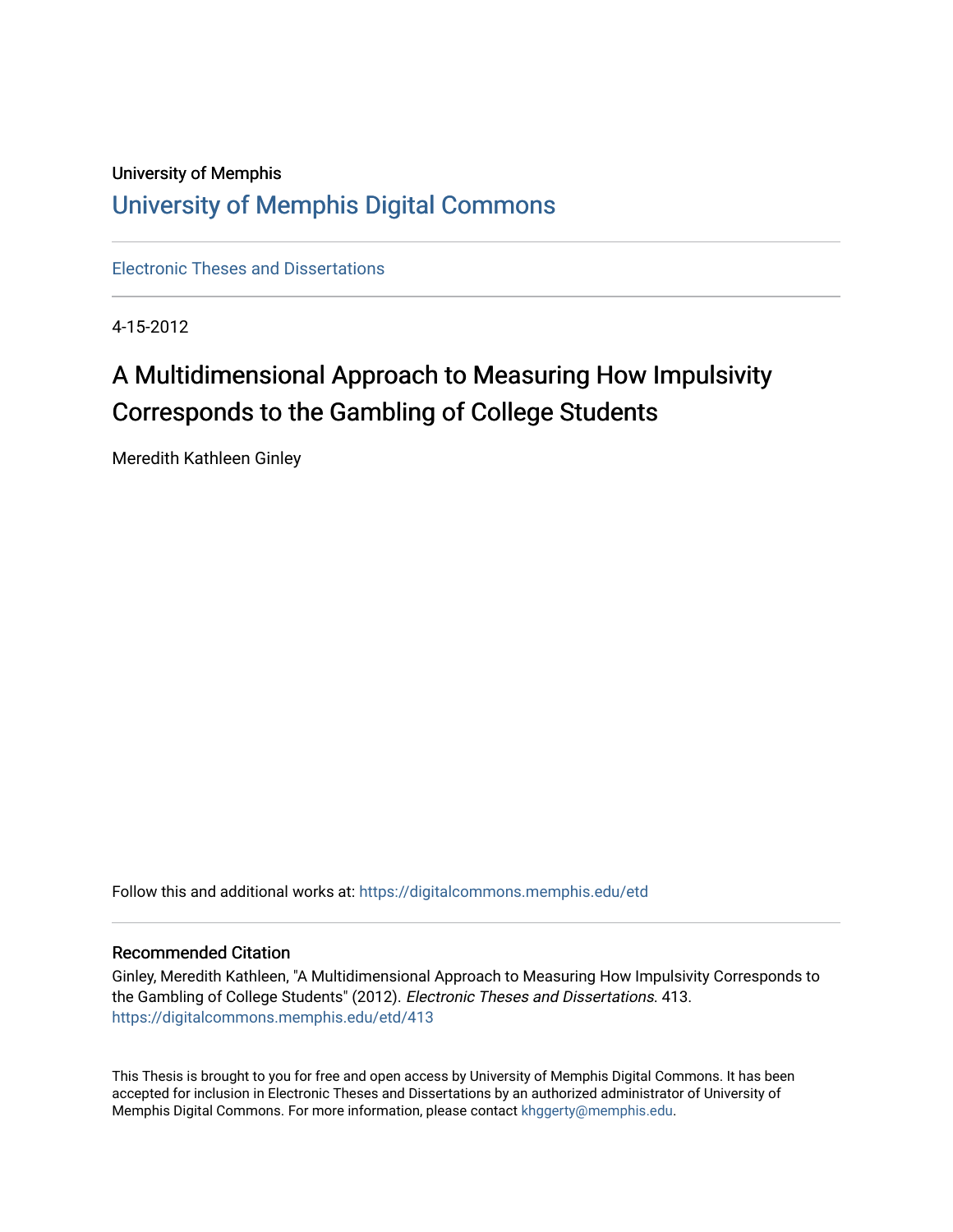# University of Memphis [University of Memphis Digital Commons](https://digitalcommons.memphis.edu/)

[Electronic Theses and Dissertations](https://digitalcommons.memphis.edu/etd)

4-15-2012

# A Multidimensional Approach to Measuring How Impulsivity Corresponds to the Gambling of College Students

Meredith Kathleen Ginley

Follow this and additional works at: [https://digitalcommons.memphis.edu/etd](https://digitalcommons.memphis.edu/etd?utm_source=digitalcommons.memphis.edu%2Fetd%2F413&utm_medium=PDF&utm_campaign=PDFCoverPages) 

## Recommended Citation

Ginley, Meredith Kathleen, "A Multidimensional Approach to Measuring How Impulsivity Corresponds to the Gambling of College Students" (2012). Electronic Theses and Dissertations. 413. [https://digitalcommons.memphis.edu/etd/413](https://digitalcommons.memphis.edu/etd/413?utm_source=digitalcommons.memphis.edu%2Fetd%2F413&utm_medium=PDF&utm_campaign=PDFCoverPages) 

This Thesis is brought to you for free and open access by University of Memphis Digital Commons. It has been accepted for inclusion in Electronic Theses and Dissertations by an authorized administrator of University of Memphis Digital Commons. For more information, please contact [khggerty@memphis.edu.](mailto:khggerty@memphis.edu)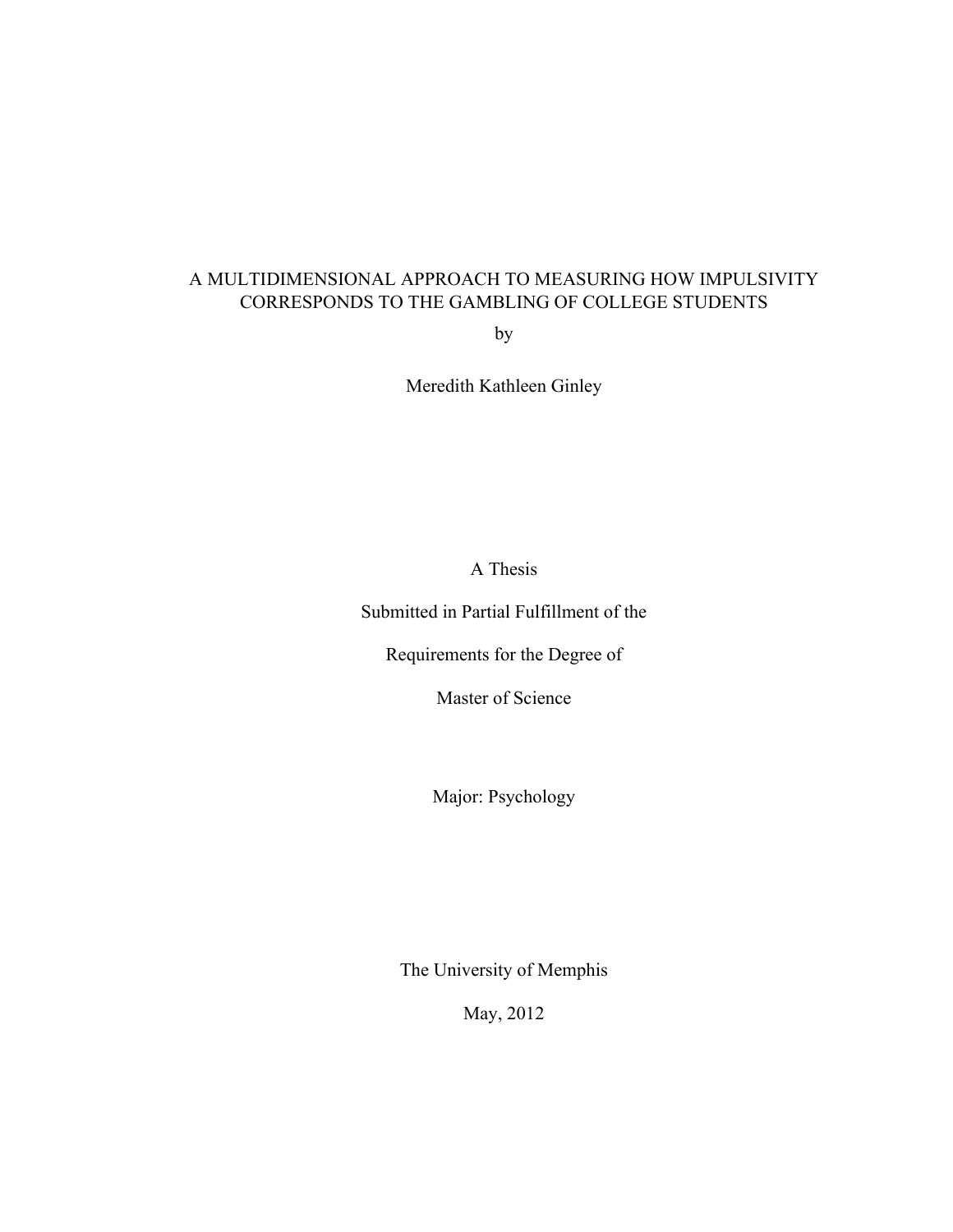# A MULTIDIMENSIONAL APPROACH TO MEASURING HOW IMPULSIVITY CORRESPONDS TO THE GAMBLING OF COLLEGE STUDENTS

by

Meredith Kathleen Ginley

A Thesis

Submitted in Partial Fulfillment of the

Requirements for the Degree of

Master of Science

Major: Psychology

The University of Memphis

May, 2012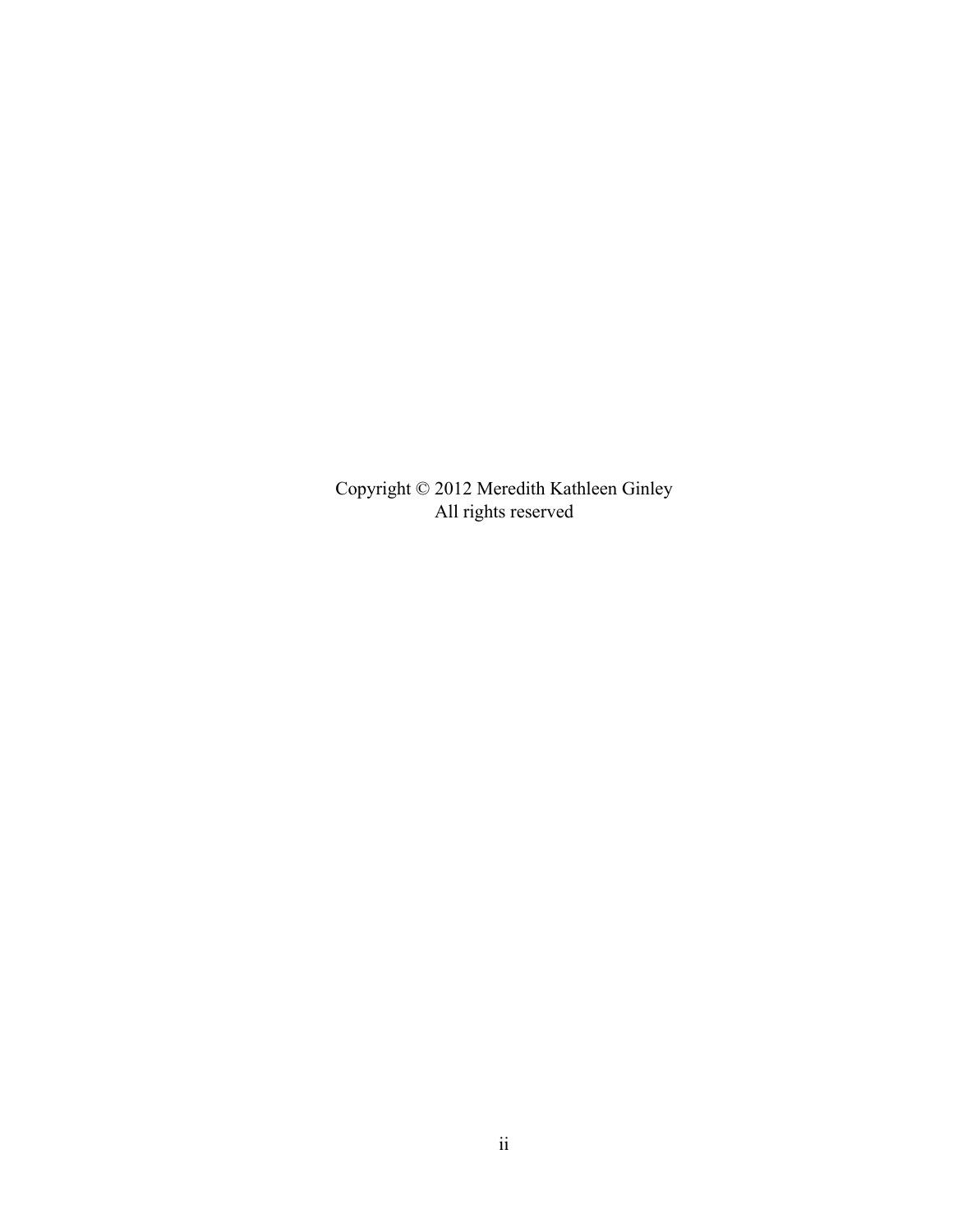Copyright © 2012 Meredith Kathleen Ginley All rights reserved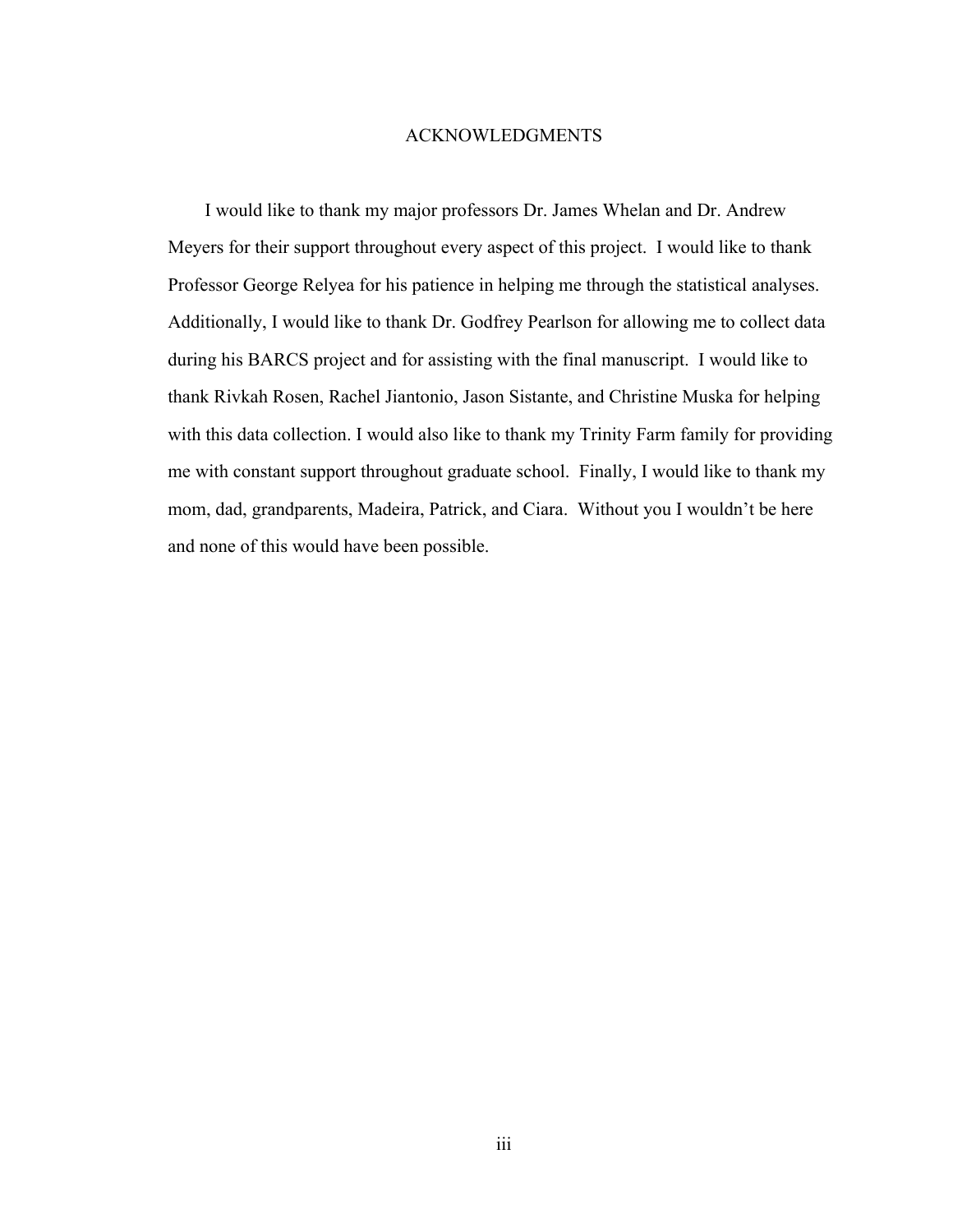### ACKNOWLEDGMENTS

I would like to thank my major professors Dr. James Whelan and Dr. Andrew Meyers for their support throughout every aspect of this project. I would like to thank Professor George Relyea for his patience in helping me through the statistical analyses. Additionally, I would like to thank Dr. Godfrey Pearlson for allowing me to collect data during his BARCS project and for assisting with the final manuscript. I would like to thank Rivkah Rosen, Rachel Jiantonio, Jason Sistante, and Christine Muska for helping with this data collection. I would also like to thank my Trinity Farm family for providing me with constant support throughout graduate school. Finally, I would like to thank my mom, dad, grandparents, Madeira, Patrick, and Ciara. Without you I wouldn't be here and none of this would have been possible.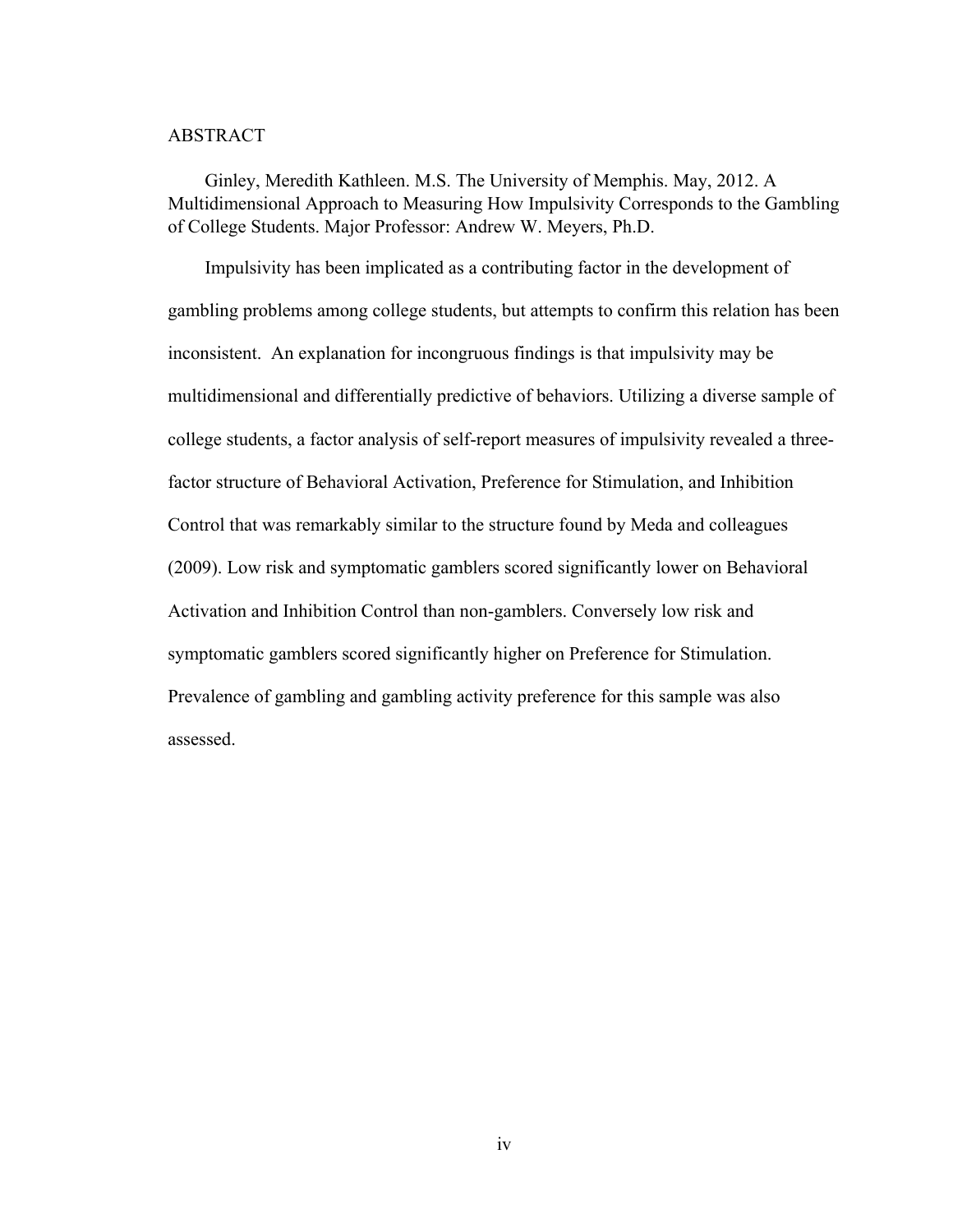### ABSTRACT

Ginley, Meredith Kathleen. M.S. The University of Memphis. May, 2012. A Multidimensional Approach to Measuring How Impulsivity Corresponds to the Gambling of College Students. Major Professor: Andrew W. Meyers, Ph.D.

Impulsivity has been implicated as a contributing factor in the development of gambling problems among college students, but attempts to confirm this relation has been inconsistent. An explanation for incongruous findings is that impulsivity may be multidimensional and differentially predictive of behaviors. Utilizing a diverse sample of college students, a factor analysis of self-report measures of impulsivity revealed a threefactor structure of Behavioral Activation, Preference for Stimulation, and Inhibition Control that was remarkably similar to the structure found by Meda and colleagues (2009). Low risk and symptomatic gamblers scored significantly lower on Behavioral Activation and Inhibition Control than non-gamblers. Conversely low risk and symptomatic gamblers scored significantly higher on Preference for Stimulation. Prevalence of gambling and gambling activity preference for this sample was also assessed.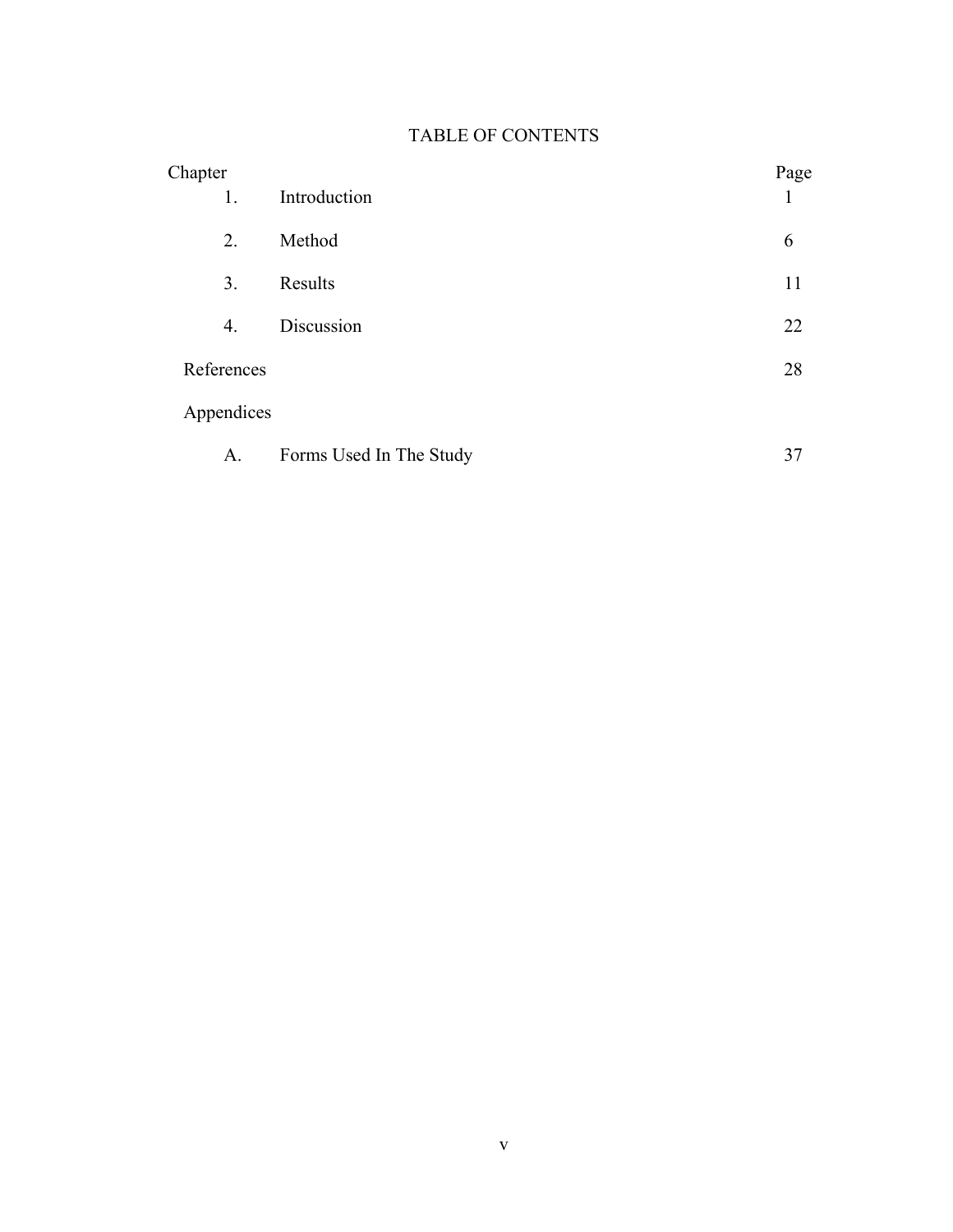# TABLE OF CONTENTS

| Chapter    |                         | Page |
|------------|-------------------------|------|
| 1.         | Introduction            |      |
| 2.         | Method                  | 6    |
| 3.         | Results                 | 11   |
| 4.         | Discussion              | 22   |
| References |                         | 28   |
| Appendices |                         |      |
| A.         | Forms Used In The Study | 37   |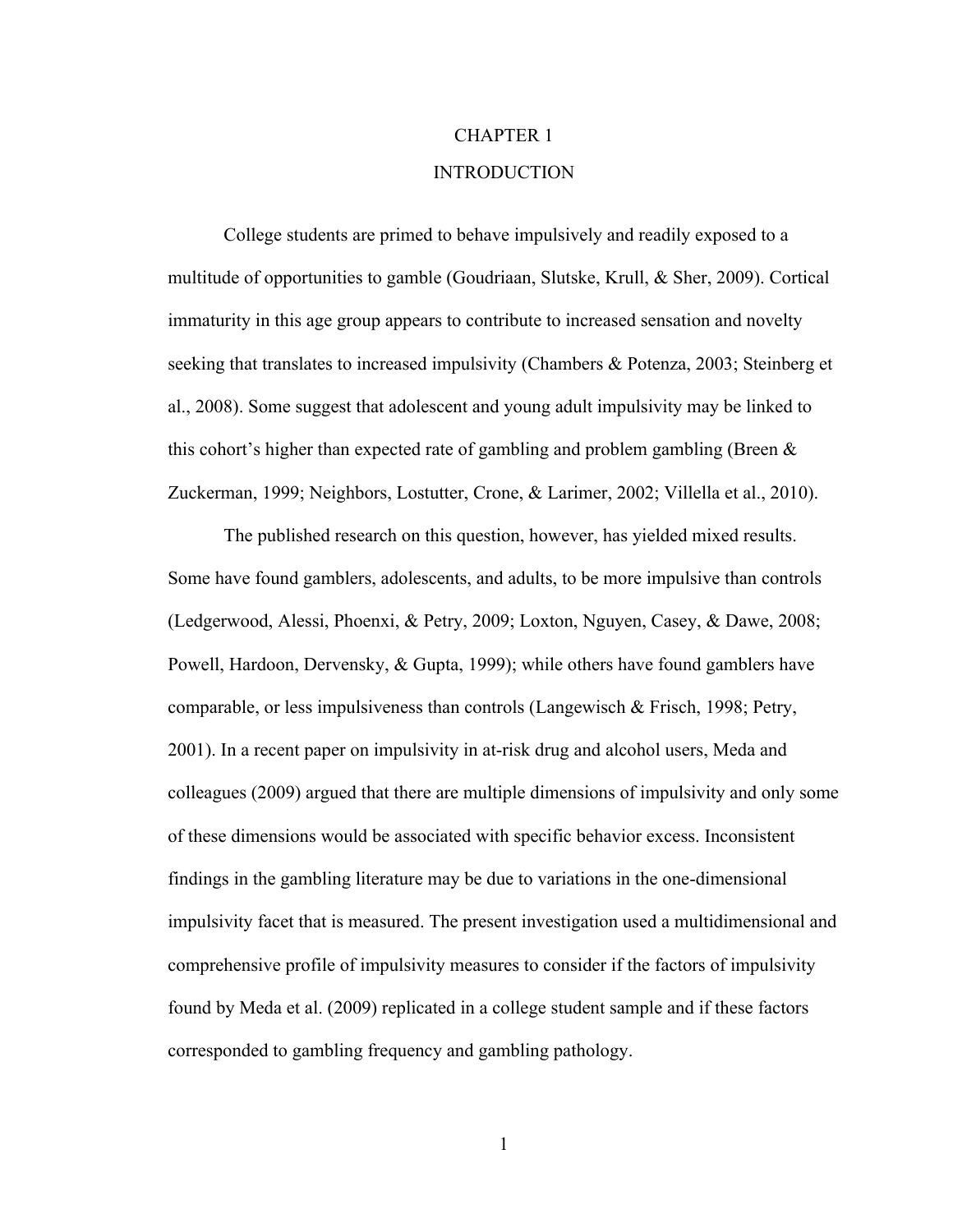# CHAPTER 1 INTRODUCTION

College students are primed to behave impulsively and readily exposed to a multitude of opportunities to gamble (Goudriaan, Slutske, Krull, & Sher, 2009). Cortical immaturity in this age group appears to contribute to increased sensation and novelty seeking that translates to increased impulsivity (Chambers & Potenza, 2003; Steinberg et al., 2008). Some suggest that adolescent and young adult impulsivity may be linked to this cohort's higher than expected rate of gambling and problem gambling (Breen  $\&$ Zuckerman, 1999; Neighbors, Lostutter, Crone, & Larimer, 2002; Villella et al., 2010).

The published research on this question, however, has yielded mixed results. Some have found gamblers, adolescents, and adults, to be more impulsive than controls (Ledgerwood, Alessi, Phoenxi, & Petry, 2009; Loxton, Nguyen, Casey, & Dawe, 2008; Powell, Hardoon, Dervensky, & Gupta, 1999); while others have found gamblers have comparable, or less impulsiveness than controls (Langewisch & Frisch, 1998; Petry, 2001). In a recent paper on impulsivity in at-risk drug and alcohol users, Meda and colleagues (2009) argued that there are multiple dimensions of impulsivity and only some of these dimensions would be associated with specific behavior excess. Inconsistent findings in the gambling literature may be due to variations in the one-dimensional impulsivity facet that is measured. The present investigation used a multidimensional and comprehensive profile of impulsivity measures to consider if the factors of impulsivity found by Meda et al. (2009) replicated in a college student sample and if these factors corresponded to gambling frequency and gambling pathology.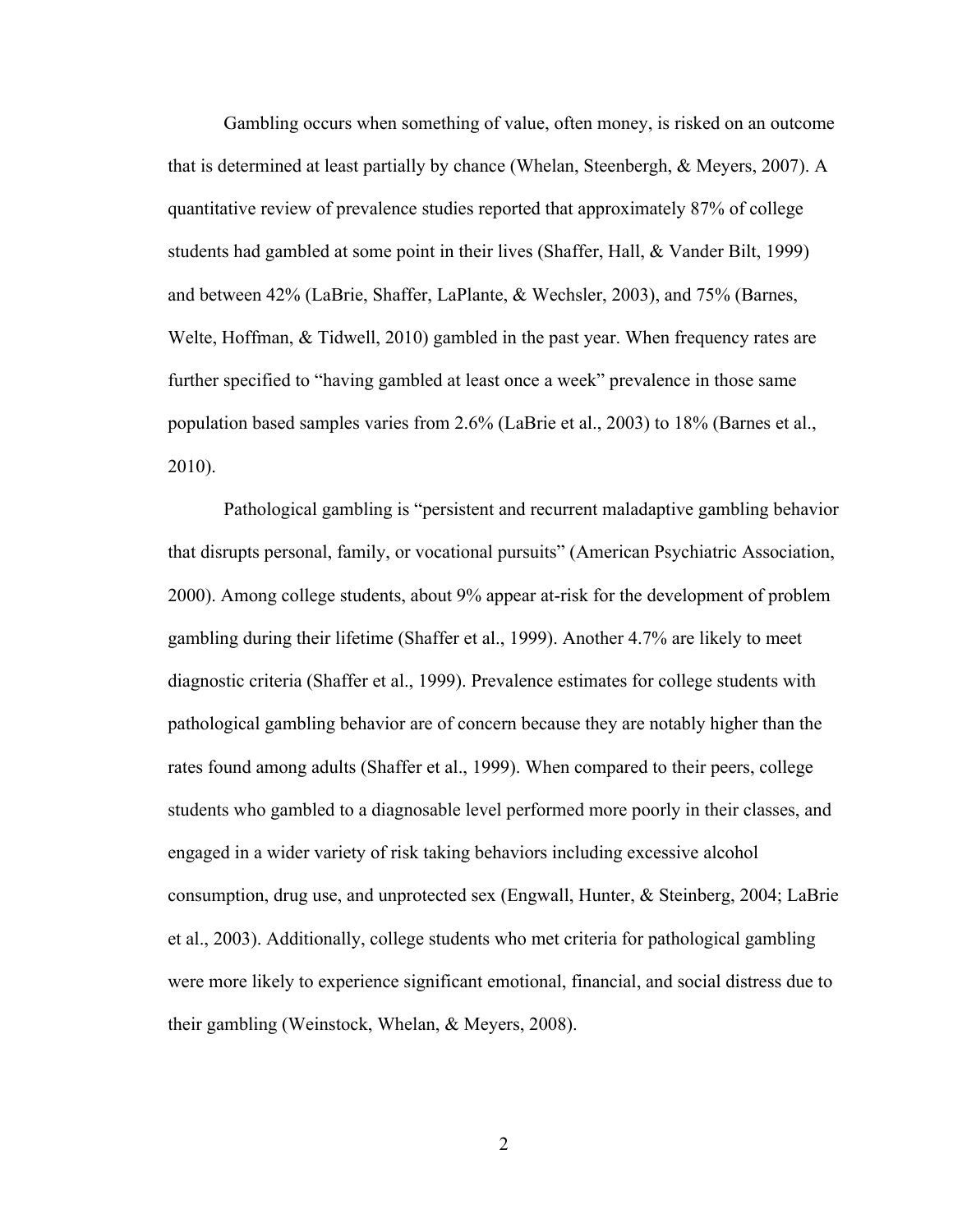Gambling occurs when something of value, often money, is risked on an outcome that is determined at least partially by chance (Whelan, Steenbergh, & Meyers, 2007). A quantitative review of prevalence studies reported that approximately 87% of college students had gambled at some point in their lives (Shaffer, Hall, & Vander Bilt, 1999) and between 42% (LaBrie, Shaffer, LaPlante, & Wechsler, 2003), and 75% (Barnes, Welte, Hoffman, & Tidwell, 2010) gambled in the past year. When frequency rates are further specified to "having gambled at least once a week" prevalence in those same population based samples varies from 2.6% (LaBrie et al., 2003) to 18% (Barnes et al., 2010).

Pathological gambling is "persistent and recurrent maladaptive gambling behavior that disrupts personal, family, or vocational pursuits" (American Psychiatric Association, 2000). Among college students, about 9% appear at-risk for the development of problem gambling during their lifetime (Shaffer et al., 1999). Another 4.7% are likely to meet diagnostic criteria (Shaffer et al., 1999). Prevalence estimates for college students with pathological gambling behavior are of concern because they are notably higher than the rates found among adults (Shaffer et al., 1999). When compared to their peers, college students who gambled to a diagnosable level performed more poorly in their classes, and engaged in a wider variety of risk taking behaviors including excessive alcohol consumption, drug use, and unprotected sex (Engwall, Hunter, & Steinberg, 2004; LaBrie et al., 2003). Additionally, college students who met criteria for pathological gambling were more likely to experience significant emotional, financial, and social distress due to their gambling (Weinstock, Whelan, & Meyers, 2008).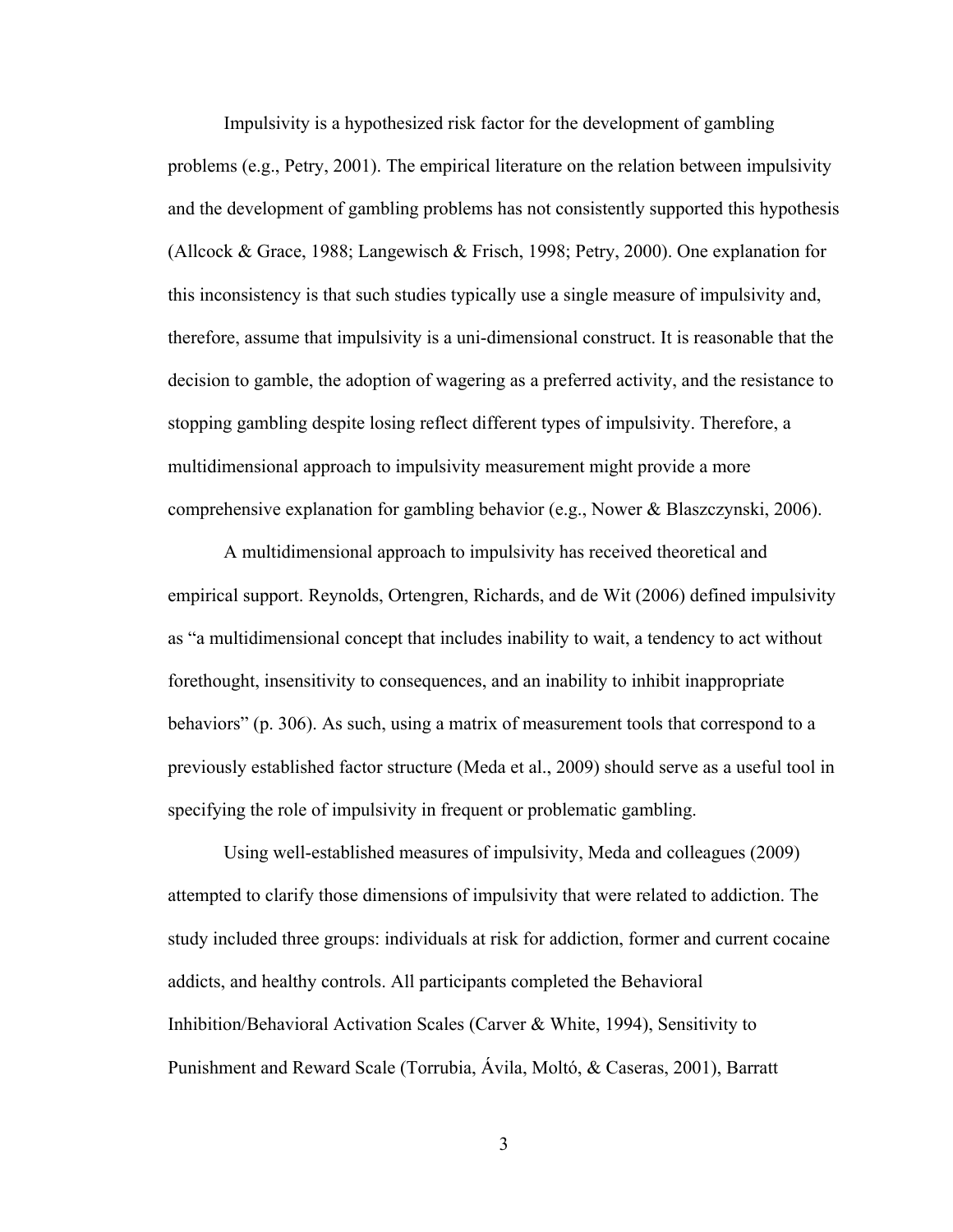Impulsivity is a hypothesized risk factor for the development of gambling problems (e.g., Petry, 2001). The empirical literature on the relation between impulsivity and the development of gambling problems has not consistently supported this hypothesis (Allcock & Grace, 1988; Langewisch & Frisch, 1998; Petry, 2000). One explanation for this inconsistency is that such studies typically use a single measure of impulsivity and, therefore, assume that impulsivity is a uni-dimensional construct. It is reasonable that the decision to gamble, the adoption of wagering as a preferred activity, and the resistance to stopping gambling despite losing reflect different types of impulsivity. Therefore, a multidimensional approach to impulsivity measurement might provide a more comprehensive explanation for gambling behavior (e.g., Nower & Blaszczynski, 2006).

A multidimensional approach to impulsivity has received theoretical and empirical support. Reynolds, Ortengren, Richards, and de Wit (2006) defined impulsivity as "a multidimensional concept that includes inability to wait, a tendency to act without forethought, insensitivity to consequences, and an inability to inhibit inappropriate behaviors" (p. 306). As such, using a matrix of measurement tools that correspond to a previously established factor structure (Meda et al., 2009) should serve as a useful tool in specifying the role of impulsivity in frequent or problematic gambling.

Using well-established measures of impulsivity, Meda and colleagues (2009) attempted to clarify those dimensions of impulsivity that were related to addiction. The study included three groups: individuals at risk for addiction, former and current cocaine addicts, and healthy controls. All participants completed the Behavioral Inhibition/Behavioral Activation Scales (Carver & White, 1994), Sensitivity to Punishment and Reward Scale (Torrubia, Ávila, Moltó, & Caseras, 2001), Barratt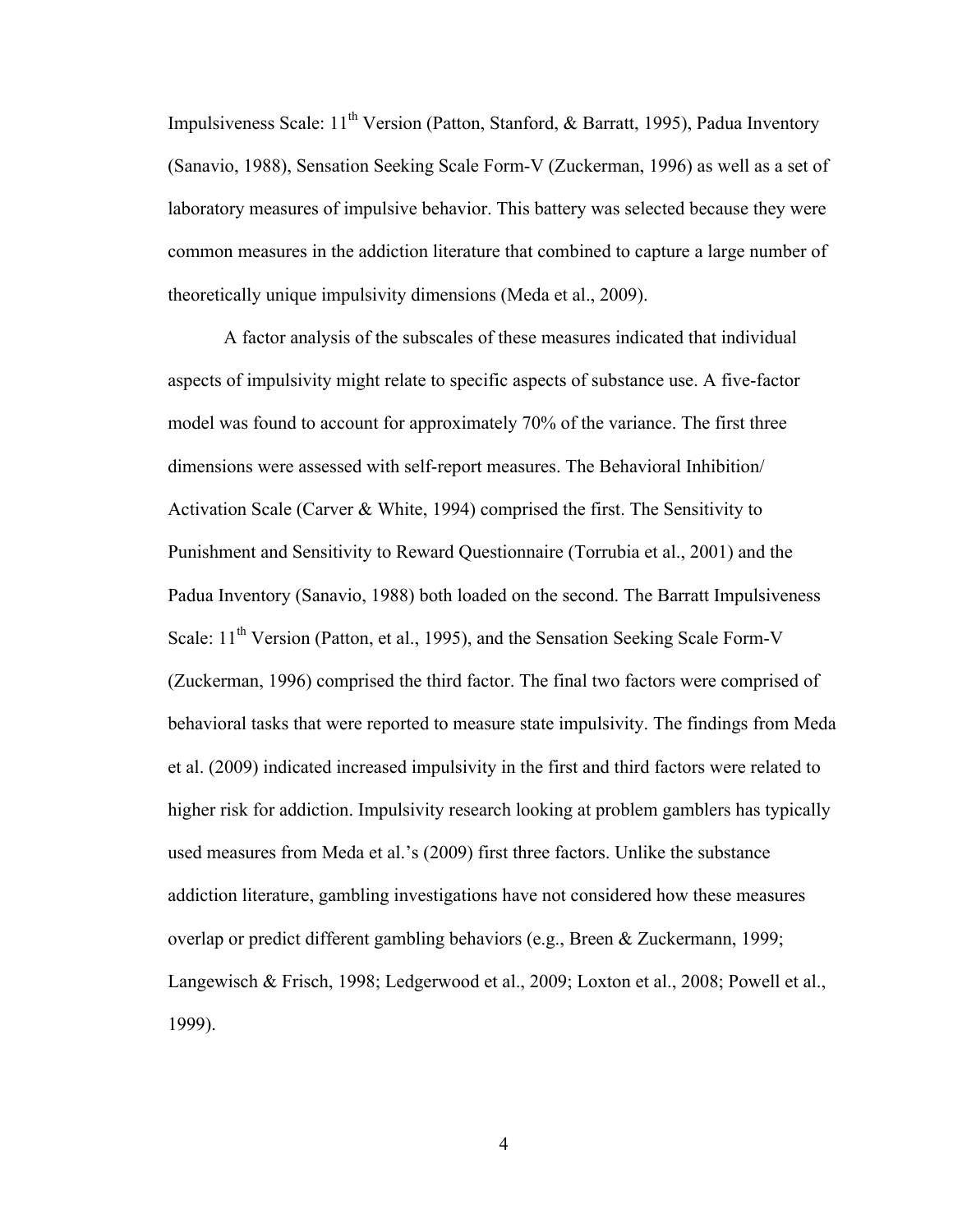Impulsiveness Scale:  $11<sup>th</sup>$  Version (Patton, Stanford, & Barratt, 1995), Padua Inventory (Sanavio, 1988), Sensation Seeking Scale Form-V (Zuckerman, 1996) as well as a set of laboratory measures of impulsive behavior. This battery was selected because they were common measures in the addiction literature that combined to capture a large number of theoretically unique impulsivity dimensions (Meda et al., 2009).

A factor analysis of the subscales of these measures indicated that individual aspects of impulsivity might relate to specific aspects of substance use. A five-factor model was found to account for approximately 70% of the variance. The first three dimensions were assessed with self-report measures. The Behavioral Inhibition/ Activation Scale (Carver & White, 1994) comprised the first. The Sensitivity to Punishment and Sensitivity to Reward Questionnaire (Torrubia et al., 2001) and the Padua Inventory (Sanavio, 1988) both loaded on the second. The Barratt Impulsiveness Scale: 11<sup>th</sup> Version (Patton, et al., 1995), and the Sensation Seeking Scale Form-V (Zuckerman, 1996) comprised the third factor. The final two factors were comprised of behavioral tasks that were reported to measure state impulsivity. The findings from Meda et al. (2009) indicated increased impulsivity in the first and third factors were related to higher risk for addiction. Impulsivity research looking at problem gamblers has typically used measures from Meda et al.'s (2009) first three factors. Unlike the substance addiction literature, gambling investigations have not considered how these measures overlap or predict different gambling behaviors (e.g., Breen & Zuckermann, 1999; Langewisch & Frisch, 1998; Ledgerwood et al., 2009; Loxton et al., 2008; Powell et al., 1999).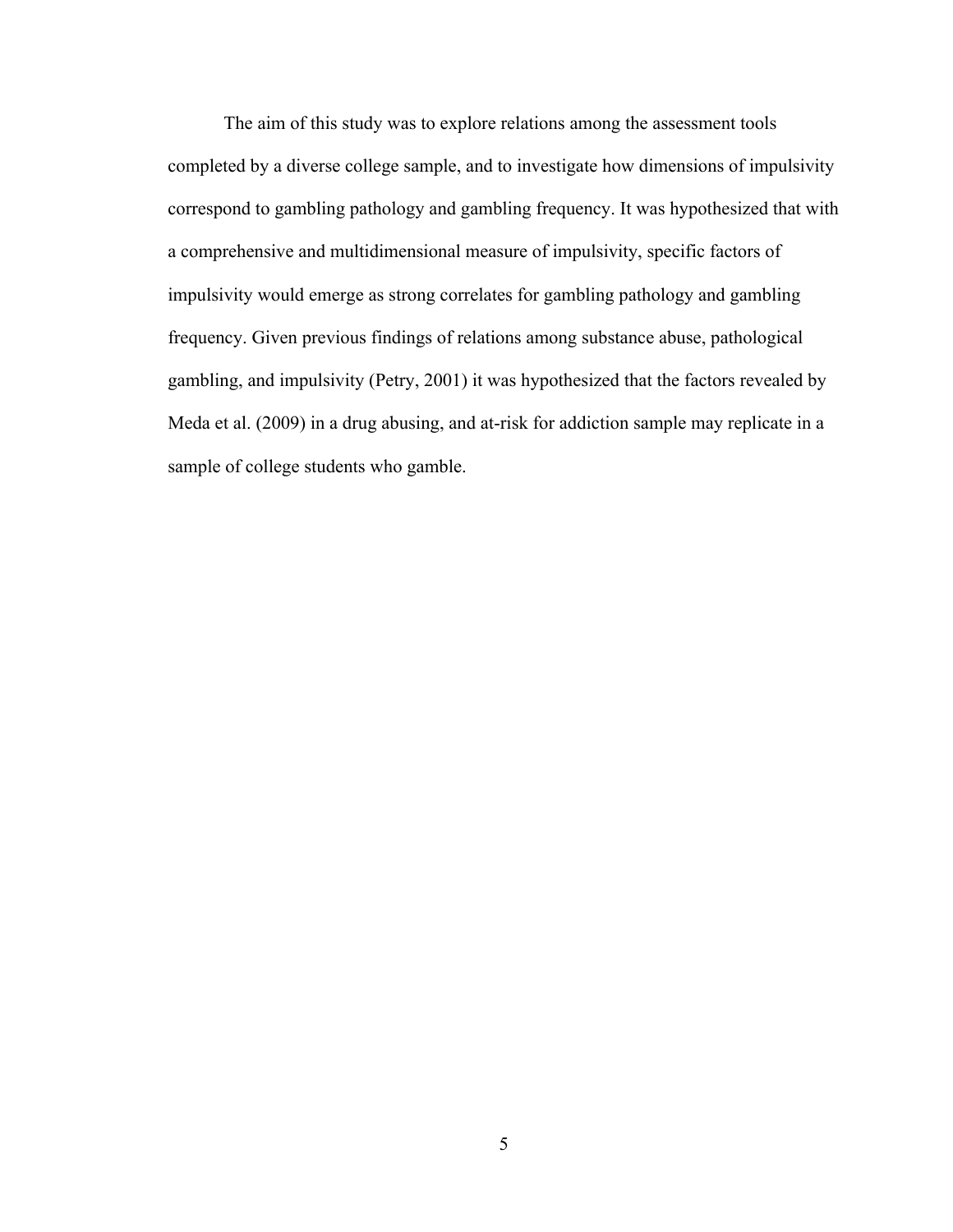The aim of this study was to explore relations among the assessment tools completed by a diverse college sample, and to investigate how dimensions of impulsivity correspond to gambling pathology and gambling frequency. It was hypothesized that with a comprehensive and multidimensional measure of impulsivity, specific factors of impulsivity would emerge as strong correlates for gambling pathology and gambling frequency. Given previous findings of relations among substance abuse, pathological gambling, and impulsivity (Petry, 2001) it was hypothesized that the factors revealed by Meda et al. (2009) in a drug abusing, and at-risk for addiction sample may replicate in a sample of college students who gamble.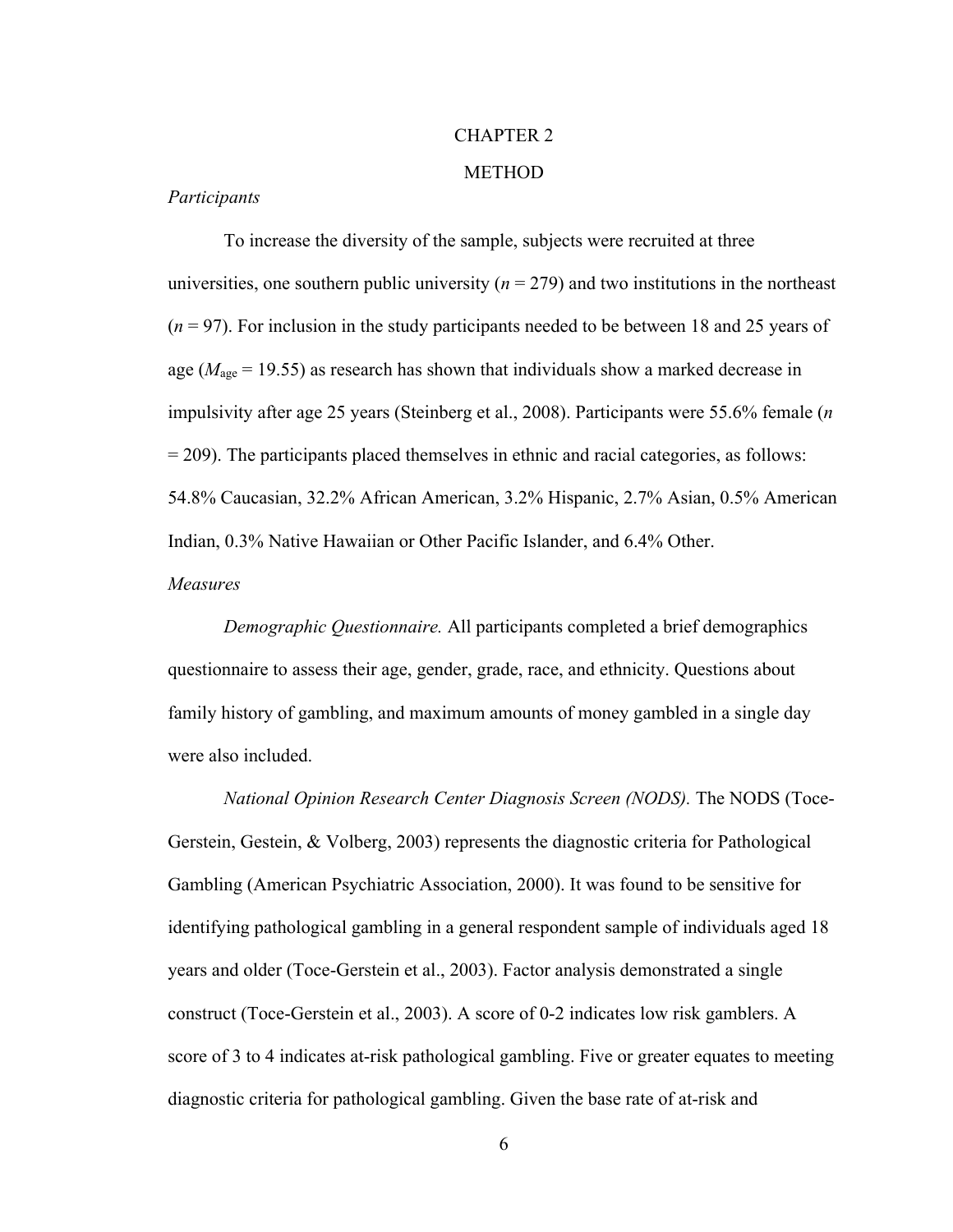## CHAPTER 2

### **METHOD**

### *Participants*

To increase the diversity of the sample, subjects were recruited at three universities, one southern public university  $(n = 279)$  and two institutions in the northeast (*n* = 97). For inclusion in the study participants needed to be between 18 and 25 years of age ( $M<sub>age</sub> = 19.55$ ) as research has shown that individuals show a marked decrease in impulsivity after age 25 years (Steinberg et al., 2008). Participants were 55.6% female (*n*  $= 209$ ). The participants placed themselves in ethnic and racial categories, as follows: 54.8% Caucasian, 32.2% African American, 3.2% Hispanic, 2.7% Asian, 0.5% American Indian, 0.3% Native Hawaiian or Other Pacific Islander, and 6.4% Other. *Measures*

*Demographic Questionnaire.* All participants completed a brief demographics questionnaire to assess their age, gender, grade, race, and ethnicity. Questions about family history of gambling, and maximum amounts of money gambled in a single day were also included.

*National Opinion Research Center Diagnosis Screen (NODS).* The NODS (Toce-Gerstein, Gestein, & Volberg, 2003) represents the diagnostic criteria for Pathological Gambling (American Psychiatric Association, 2000). It was found to be sensitive for identifying pathological gambling in a general respondent sample of individuals aged 18 years and older (Toce-Gerstein et al., 2003). Factor analysis demonstrated a single construct (Toce-Gerstein et al., 2003). A score of 0-2 indicates low risk gamblers. A score of 3 to 4 indicates at-risk pathological gambling. Five or greater equates to meeting diagnostic criteria for pathological gambling. Given the base rate of at-risk and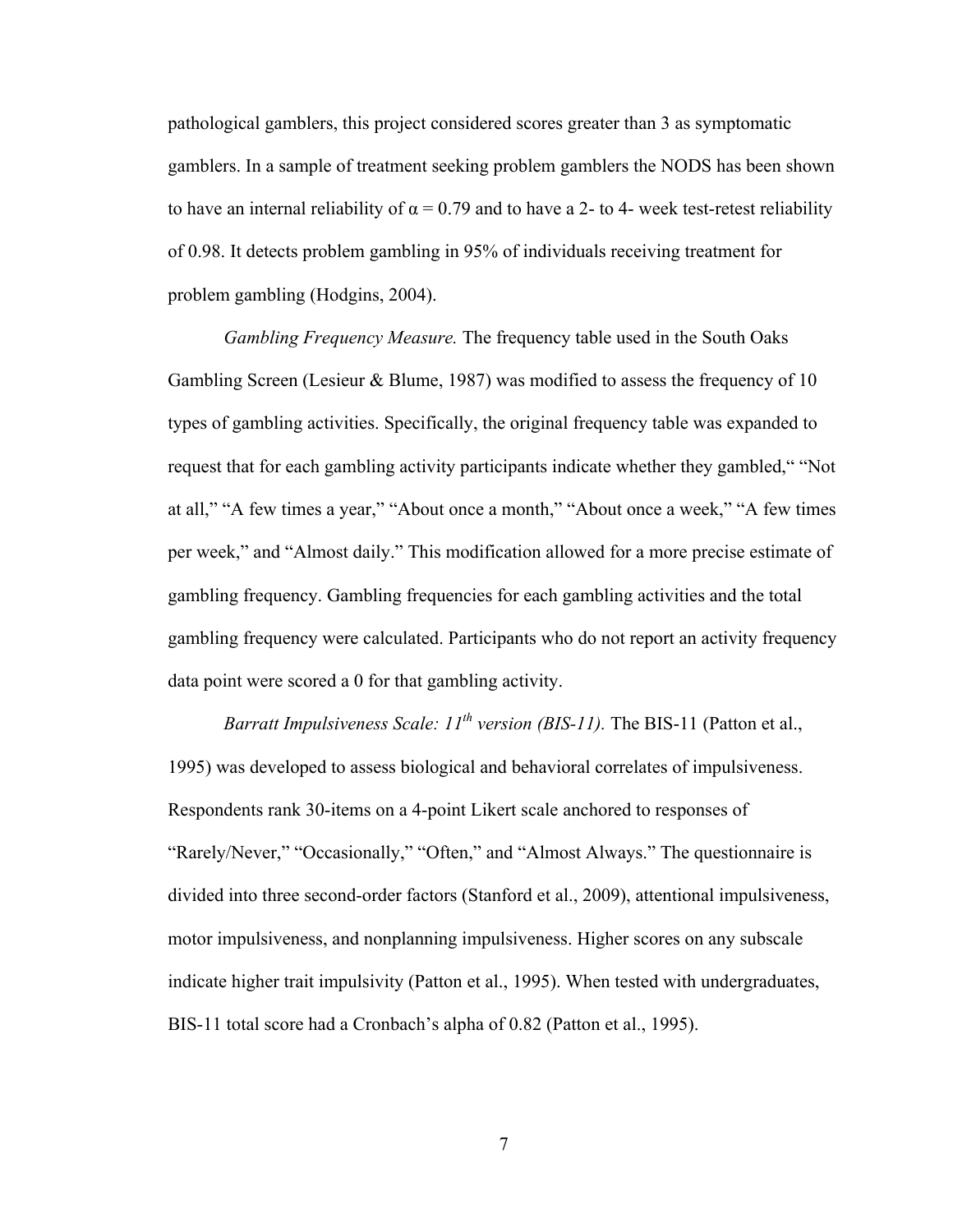pathological gamblers, this project considered scores greater than 3 as symptomatic gamblers. In a sample of treatment seeking problem gamblers the NODS has been shown to have an internal reliability of  $\alpha = 0.79$  and to have a 2- to 4- week test-retest reliability of 0.98. It detects problem gambling in 95% of individuals receiving treatment for problem gambling (Hodgins, 2004).

*Gambling Frequency Measure.* The frequency table used in the South Oaks Gambling Screen (Lesieur & Blume, 1987) was modified to assess the frequency of 10 types of gambling activities. Specifically, the original frequency table was expanded to request that for each gambling activity participants indicate whether they gambled," "Not at all," "A few times a year," "About once a month," "About once a week," "A few times per week," and "Almost daily." This modification allowed for a more precise estimate of gambling frequency. Gambling frequencies for each gambling activities and the total gambling frequency were calculated. Participants who do not report an activity frequency data point were scored a 0 for that gambling activity.

*Barratt Impulsiveness Scale: 11th version (BIS-11).* The BIS-11 (Patton et al., 1995) was developed to assess biological and behavioral correlates of impulsiveness. Respondents rank 30-items on a 4-point Likert scale anchored to responses of "Rarely/Never," "Occasionally," "Often," and "Almost Always." The questionnaire is divided into three second-order factors (Stanford et al., 2009), attentional impulsiveness, motor impulsiveness, and nonplanning impulsiveness. Higher scores on any subscale indicate higher trait impulsivity (Patton et al., 1995). When tested with undergraduates, BIS-11 total score had a Cronbach's alpha of 0.82 (Patton et al., 1995).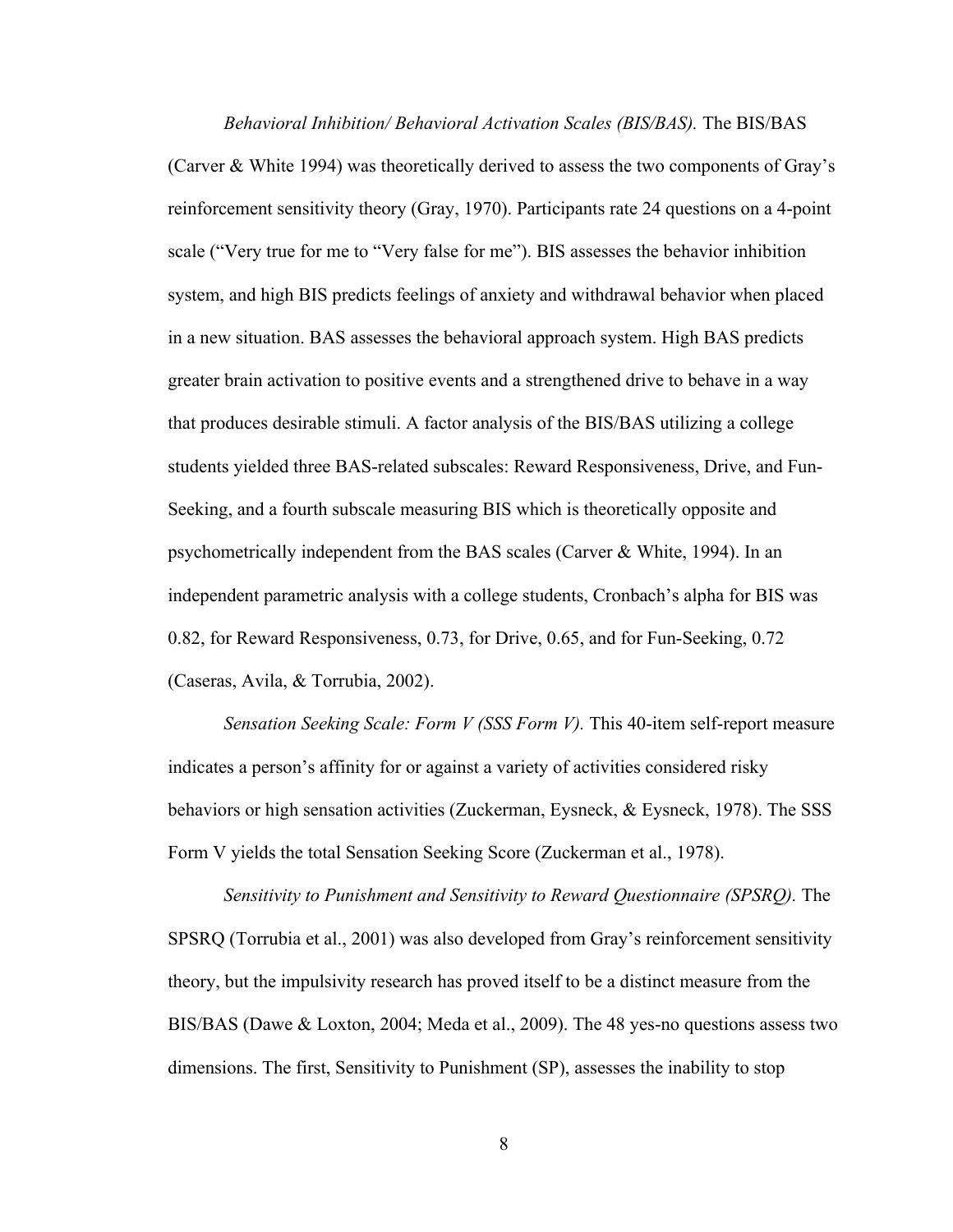*Behavioral Inhibition/ Behavioral Activation Scales (BIS/BAS).* The BIS/BAS (Carver & White 1994) was theoretically derived to assess the two components of Gray's reinforcement sensitivity theory (Gray, 1970). Participants rate 24 questions on a 4-point scale ("Very true for me to "Very false for me"). BIS assesses the behavior inhibition system, and high BIS predicts feelings of anxiety and withdrawal behavior when placed in a new situation. BAS assesses the behavioral approach system. High BAS predicts greater brain activation to positive events and a strengthened drive to behave in a way that produces desirable stimuli. A factor analysis of the BIS/BAS utilizing a college students yielded three BAS-related subscales: Reward Responsiveness, Drive, and Fun-Seeking, and a fourth subscale measuring BIS which is theoretically opposite and psychometrically independent from the BAS scales (Carver & White, 1994). In an independent parametric analysis with a college students, Cronbach's alpha for BIS was 0.82, for Reward Responsiveness, 0.73, for Drive, 0.65, and for Fun-Seeking, 0.72 (Caseras, Avila, & Torrubia, 2002).

*Sensation Seeking Scale: Form V (SSS Form V).* This 40-item self-report measure indicates a person's affinity for or against a variety of activities considered risky behaviors or high sensation activities (Zuckerman, Eysneck, & Eysneck, 1978). The SSS Form V yields the total Sensation Seeking Score (Zuckerman et al., 1978).

*Sensitivity to Punishment and Sensitivity to Reward Questionnaire (SPSRQ).* The SPSRQ (Torrubia et al., 2001) was also developed from Gray's reinforcement sensitivity theory, but the impulsivity research has proved itself to be a distinct measure from the BIS/BAS (Dawe & Loxton, 2004; Meda et al., 2009). The 48 yes-no questions assess two dimensions. The first, Sensitivity to Punishment (SP), assesses the inability to stop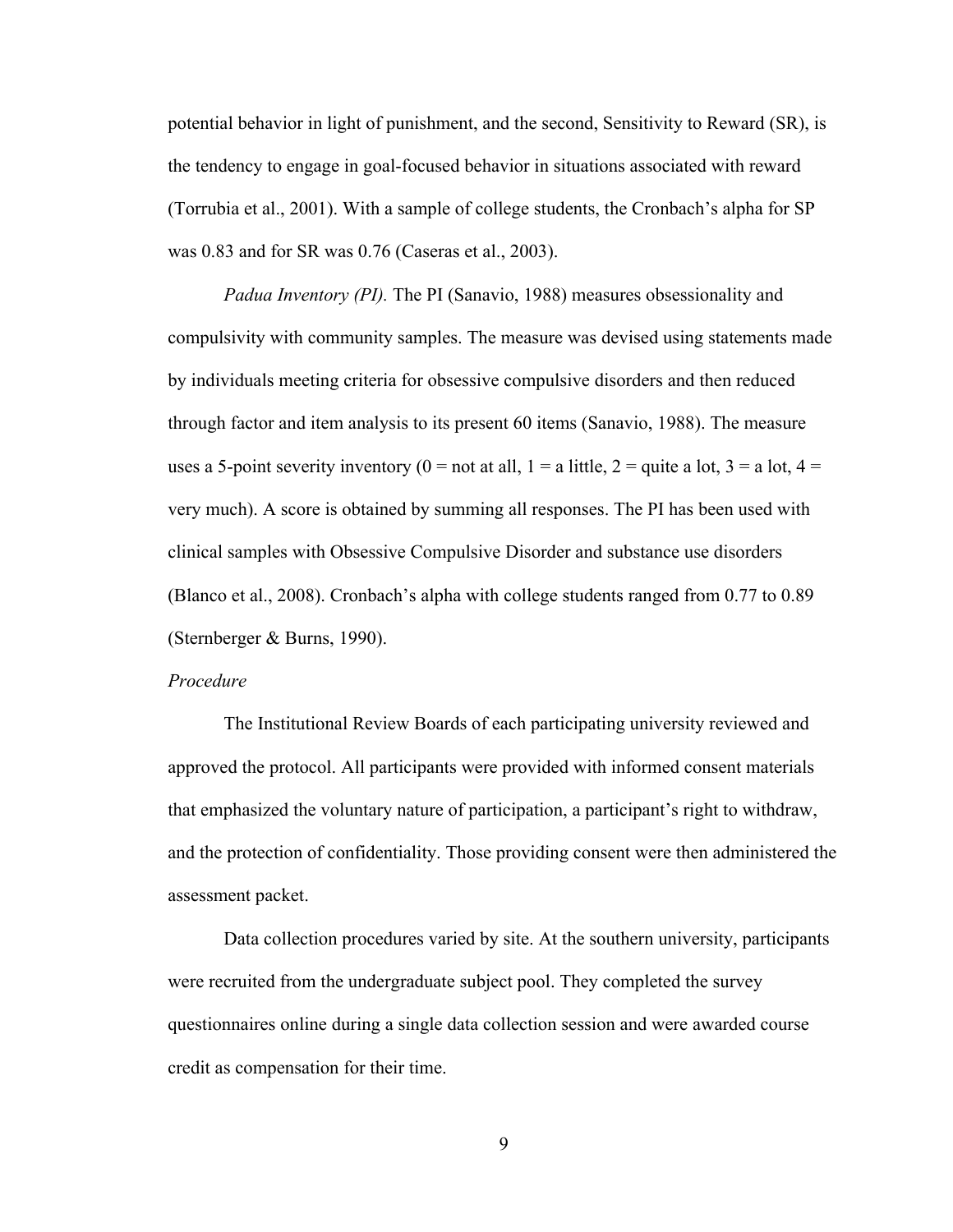potential behavior in light of punishment, and the second, Sensitivity to Reward (SR), is the tendency to engage in goal-focused behavior in situations associated with reward (Torrubia et al., 2001). With a sample of college students, the Cronbach's alpha for SP was 0.83 and for SR was 0.76 (Caseras et al., 2003).

*Padua Inventory (PI).* The PI (Sanavio, 1988) measures obsessionality and compulsivity with community samples. The measure was devised using statements made by individuals meeting criteria for obsessive compulsive disorders and then reduced through factor and item analysis to its present 60 items (Sanavio, 1988). The measure uses a 5-point severity inventory ( $0 =$  not at all,  $1 =$  a little,  $2 =$  quite a lot,  $3 =$  a lot,  $4 =$ very much). A score is obtained by summing all responses. The PI has been used with clinical samples with Obsessive Compulsive Disorder and substance use disorders (Blanco et al., 2008). Cronbach's alpha with college students ranged from 0.77 to 0.89 (Sternberger & Burns, 1990).

### *Procedure*

The Institutional Review Boards of each participating university reviewed and approved the protocol. All participants were provided with informed consent materials that emphasized the voluntary nature of participation, a participant's right to withdraw, and the protection of confidentiality. Those providing consent were then administered the assessment packet.

Data collection procedures varied by site. At the southern university, participants were recruited from the undergraduate subject pool. They completed the survey questionnaires online during a single data collection session and were awarded course credit as compensation for their time.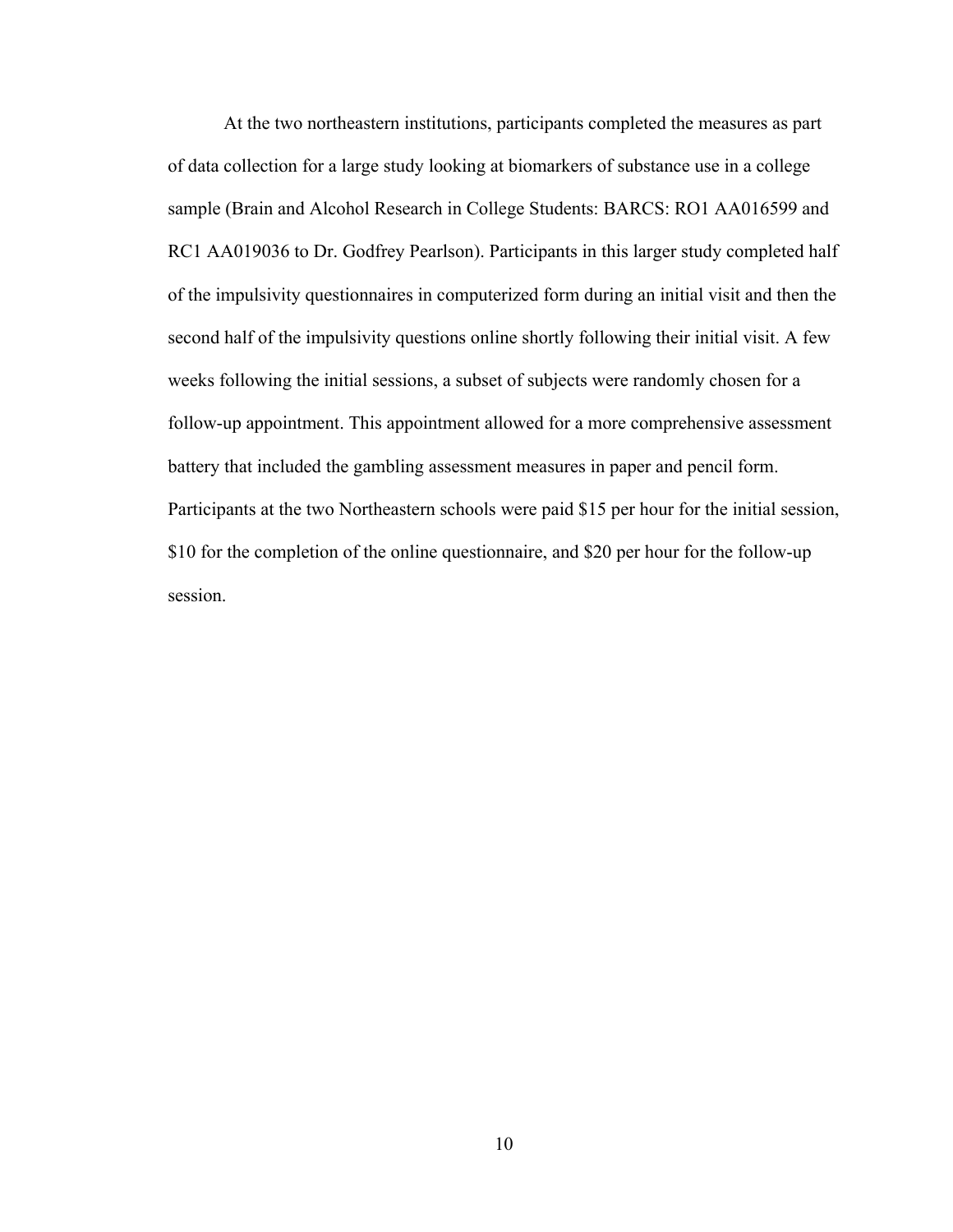At the two northeastern institutions, participants completed the measures as part of data collection for a large study looking at biomarkers of substance use in a college sample (Brain and Alcohol Research in College Students: BARCS: RO1 AA016599 and RC1 AA019036 to Dr. Godfrey Pearlson). Participants in this larger study completed half of the impulsivity questionnaires in computerized form during an initial visit and then the second half of the impulsivity questions online shortly following their initial visit. A few weeks following the initial sessions, a subset of subjects were randomly chosen for a follow-up appointment. This appointment allowed for a more comprehensive assessment battery that included the gambling assessment measures in paper and pencil form. Participants at the two Northeastern schools were paid \$15 per hour for the initial session, \$10 for the completion of the online questionnaire, and \$20 per hour for the follow-up session.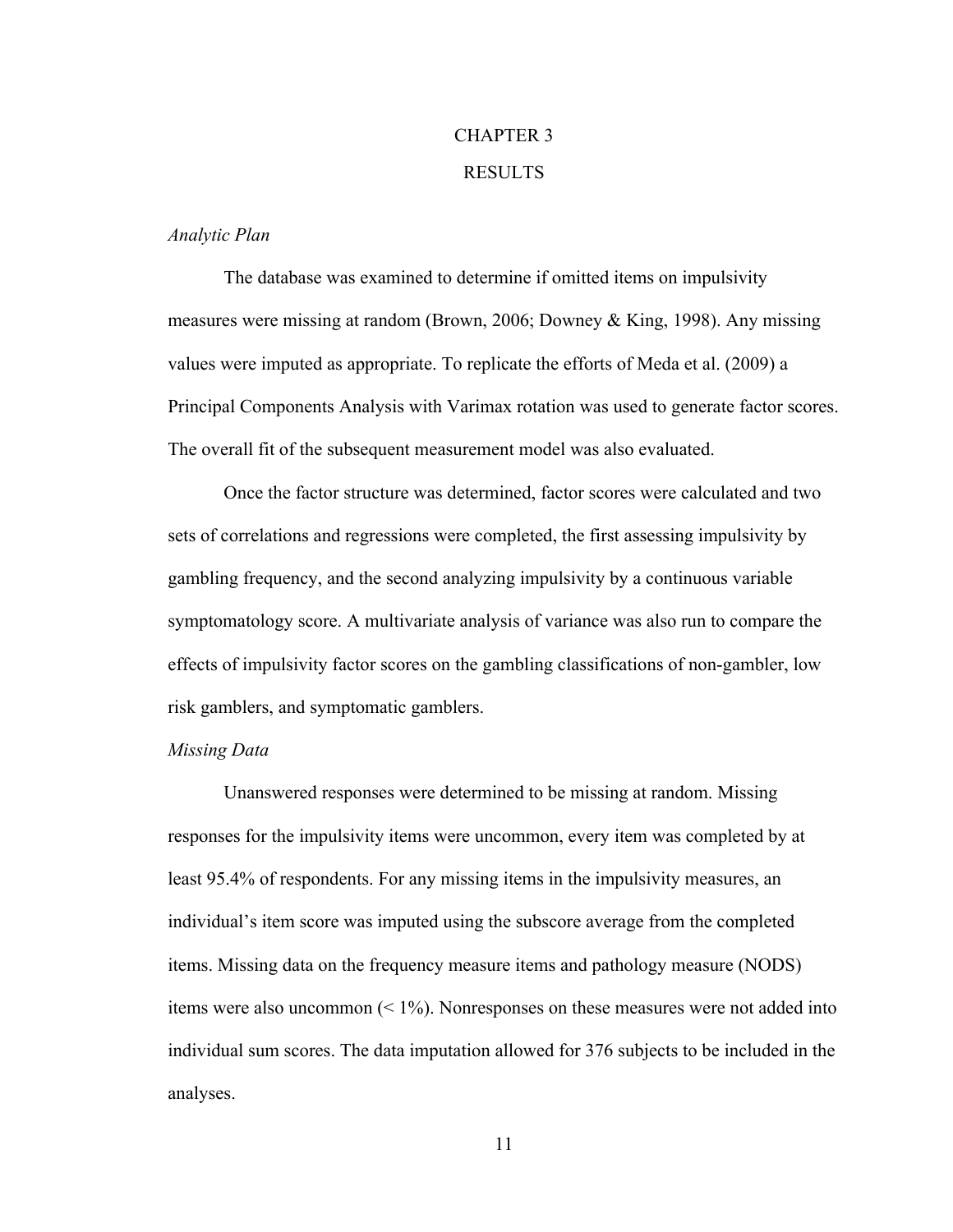# CHAPTER 3 RESULTS

## *Analytic Plan*

The database was examined to determine if omitted items on impulsivity measures were missing at random (Brown, 2006; Downey & King, 1998). Any missing values were imputed as appropriate. To replicate the efforts of Meda et al. (2009) a Principal Components Analysis with Varimax rotation was used to generate factor scores. The overall fit of the subsequent measurement model was also evaluated.

Once the factor structure was determined, factor scores were calculated and two sets of correlations and regressions were completed, the first assessing impulsivity by gambling frequency, and the second analyzing impulsivity by a continuous variable symptomatology score. A multivariate analysis of variance was also run to compare the effects of impulsivity factor scores on the gambling classifications of non-gambler, low risk gamblers, and symptomatic gamblers.

#### *Missing Data*

Unanswered responses were determined to be missing at random. Missing responses for the impulsivity items were uncommon, every item was completed by at least 95.4% of respondents. For any missing items in the impulsivity measures, an individual's item score was imputed using the subscore average from the completed items. Missing data on the frequency measure items and pathology measure (NODS) items were also uncommon  $(1\%)$ . Nonresponses on these measures were not added into individual sum scores. The data imputation allowed for 376 subjects to be included in the analyses.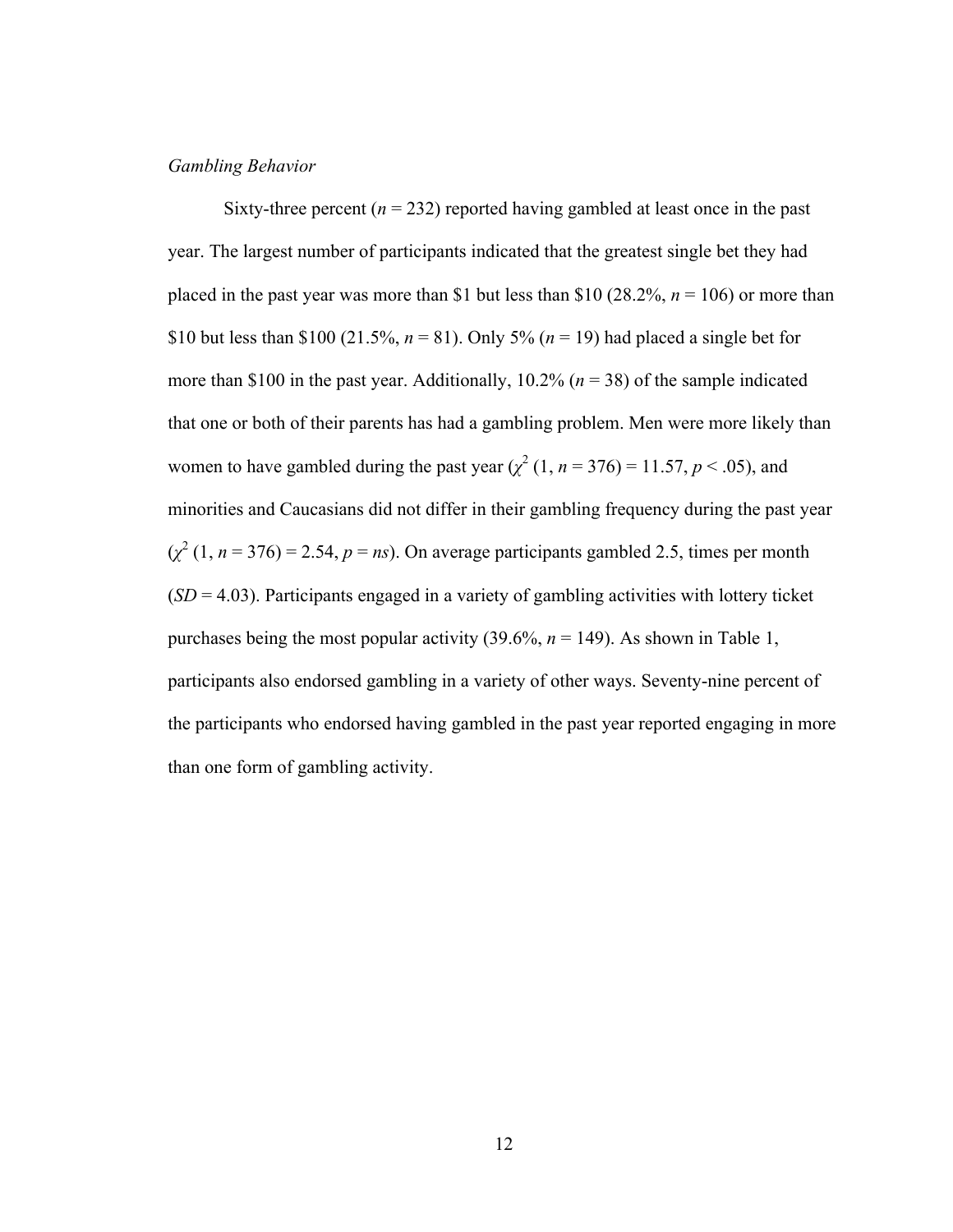## *Gambling Behavior*

Sixty-three percent  $(n = 232)$  reported having gambled at least once in the past year. The largest number of participants indicated that the greatest single bet they had placed in the past year was more than \$1 but less than \$10 (28.2%,  $n = 106$ ) or more than \$10 but less than \$100 (21.5%,  $n = 81$ ). Only 5% ( $n = 19$ ) had placed a single bet for more than \$100 in the past year. Additionally, 10.2% (*n* = 38) of the sample indicated that one or both of their parents has had a gambling problem. Men were more likely than women to have gambled during the past year  $(\chi^2(1, n = 376) = 11.57, p < .05)$ , and minorities and Caucasians did not differ in their gambling frequency during the past year  $(\chi^2(1, n = 376) = 2.54, p = ns)$ . On average participants gambled 2.5, times per month (*SD* = 4.03). Participants engaged in a variety of gambling activities with lottery ticket purchases being the most popular activity  $(39.6\%, n = 149)$ . As shown in Table 1, participants also endorsed gambling in a variety of other ways. Seventy-nine percent of the participants who endorsed having gambled in the past year reported engaging in more than one form of gambling activity.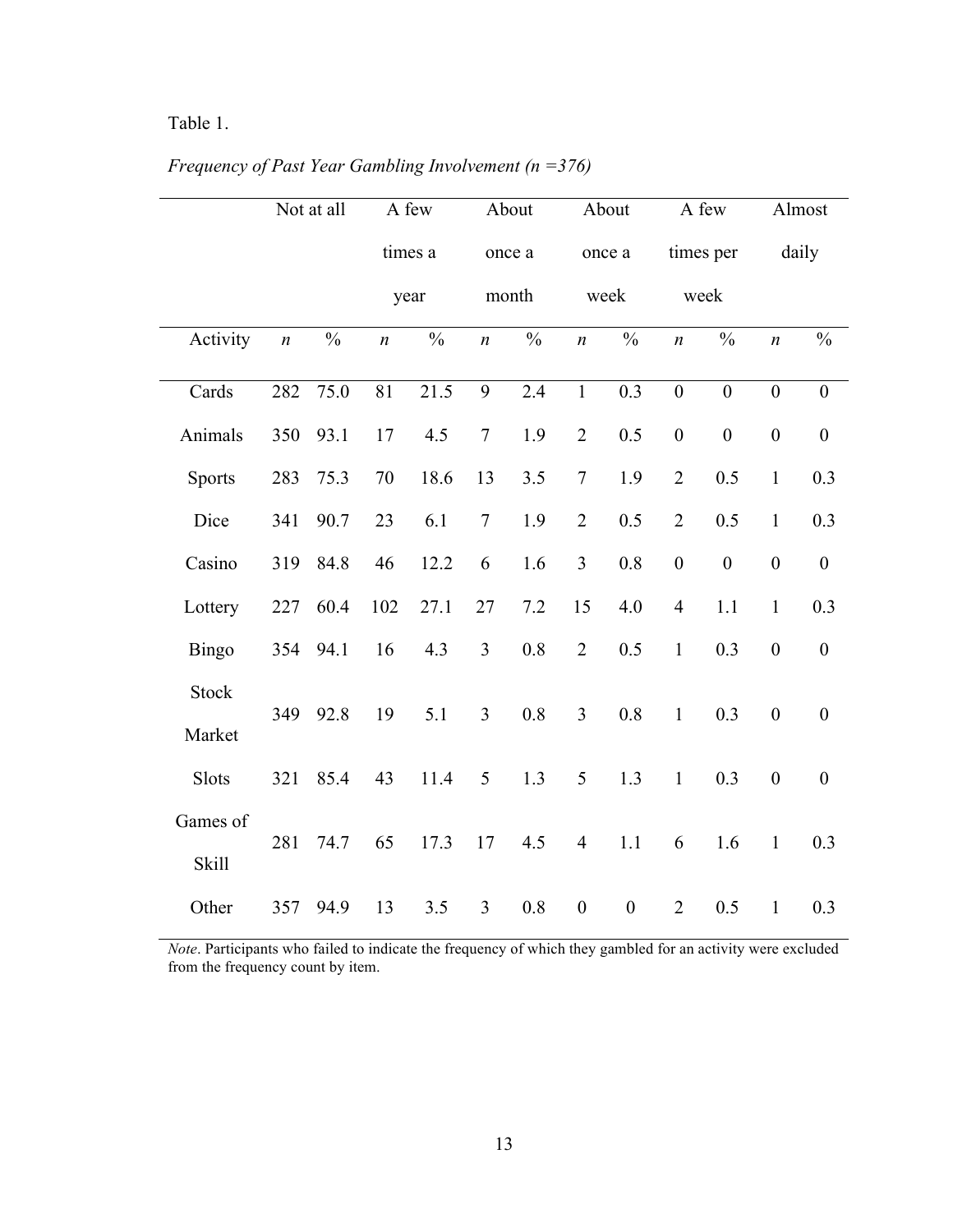# Table 1.

|               |                  | Not at all    |                  | A few         |                  | About         |                  | About            |                  | A few            |                  | Almost           |
|---------------|------------------|---------------|------------------|---------------|------------------|---------------|------------------|------------------|------------------|------------------|------------------|------------------|
|               |                  |               |                  | times a       |                  | once a        |                  | once a           |                  | times per        |                  | daily            |
|               |                  |               |                  | year          |                  | month         |                  | week             |                  | week             |                  |                  |
| Activity      | $\boldsymbol{n}$ | $\frac{0}{0}$ | $\boldsymbol{n}$ | $\frac{0}{0}$ | $\boldsymbol{n}$ | $\frac{0}{0}$ | $\boldsymbol{n}$ | $\frac{0}{0}$    | $\boldsymbol{n}$ | $\frac{0}{0}$    | $\boldsymbol{n}$ | $\frac{0}{0}$    |
| Cards         | 282              | 75.0          | 81               | 21.5          | 9                | 2.4           | $\mathbf{1}$     | 0.3              | $\boldsymbol{0}$ | $\boldsymbol{0}$ | $\boldsymbol{0}$ | $\boldsymbol{0}$ |
| Animals       | 350              | 93.1          | 17               | 4.5           | $\overline{7}$   | 1.9           | $\overline{2}$   | 0.5              | $\boldsymbol{0}$ | $\mathbf{0}$     | $\boldsymbol{0}$ | $\mathbf{0}$     |
| <b>Sports</b> | 283              | 75.3          | 70               | 18.6          | 13               | 3.5           | $\overline{7}$   | 1.9              | $\overline{2}$   | 0.5              | $\mathbf{1}$     | 0.3              |
| Dice          | 341              | 90.7          | 23               | 6.1           | $\tau$           | 1.9           | $\overline{2}$   | 0.5              | $\overline{2}$   | 0.5              | $\mathbf{1}$     | 0.3              |
| Casino        | 319              | 84.8          | 46               | 12.2          | 6                | 1.6           | 3                | 0.8              | $\boldsymbol{0}$ | $\boldsymbol{0}$ | $\boldsymbol{0}$ | $\boldsymbol{0}$ |
| Lottery       | 227              | 60.4          | 102              | 27.1          | 27               | 7.2           | 15               | 4.0              | $\overline{4}$   | 1.1              | $\mathbf{1}$     | 0.3              |
| <b>Bingo</b>  | 354              | 94.1          | 16               | 4.3           | $\overline{3}$   | 0.8           | $\overline{2}$   | 0.5              | $\mathbf{1}$     | 0.3              | $\boldsymbol{0}$ | $\boldsymbol{0}$ |
| <b>Stock</b>  |                  |               |                  |               |                  |               |                  |                  |                  |                  |                  |                  |
| Market        | 349              | 92.8          | 19               | 5.1           | $\overline{3}$   | 0.8           | $\overline{3}$   | 0.8              | $\mathbf{1}$     | 0.3              | $\boldsymbol{0}$ | $\boldsymbol{0}$ |
| Slots         | 321              | 85.4          | 43               | 11.4          | 5                | 1.3           | 5                | 1.3              | $\mathbf{1}$     | 0.3              | $\boldsymbol{0}$ | $\boldsymbol{0}$ |
| Games of      |                  |               |                  |               |                  |               |                  |                  |                  |                  |                  |                  |
| Skill         | 281              | 74.7          | 65               | 17.3          | 17               | 4.5           | $\overline{4}$   | 1.1              | 6                | 1.6              | $\mathbf{1}$     | 0.3              |
| Other         | 357              | 94.9          | 13               | 3.5           | $\overline{3}$   | 0.8           | $\boldsymbol{0}$ | $\boldsymbol{0}$ | $\overline{2}$   | 0.5              | $\mathbf{1}$     | 0.3              |

*Frequency of Past Year Gambling Involvement (n =376)*

*Note*. Participants who failed to indicate the frequency of which they gambled for an activity were excluded from the frequency count by item.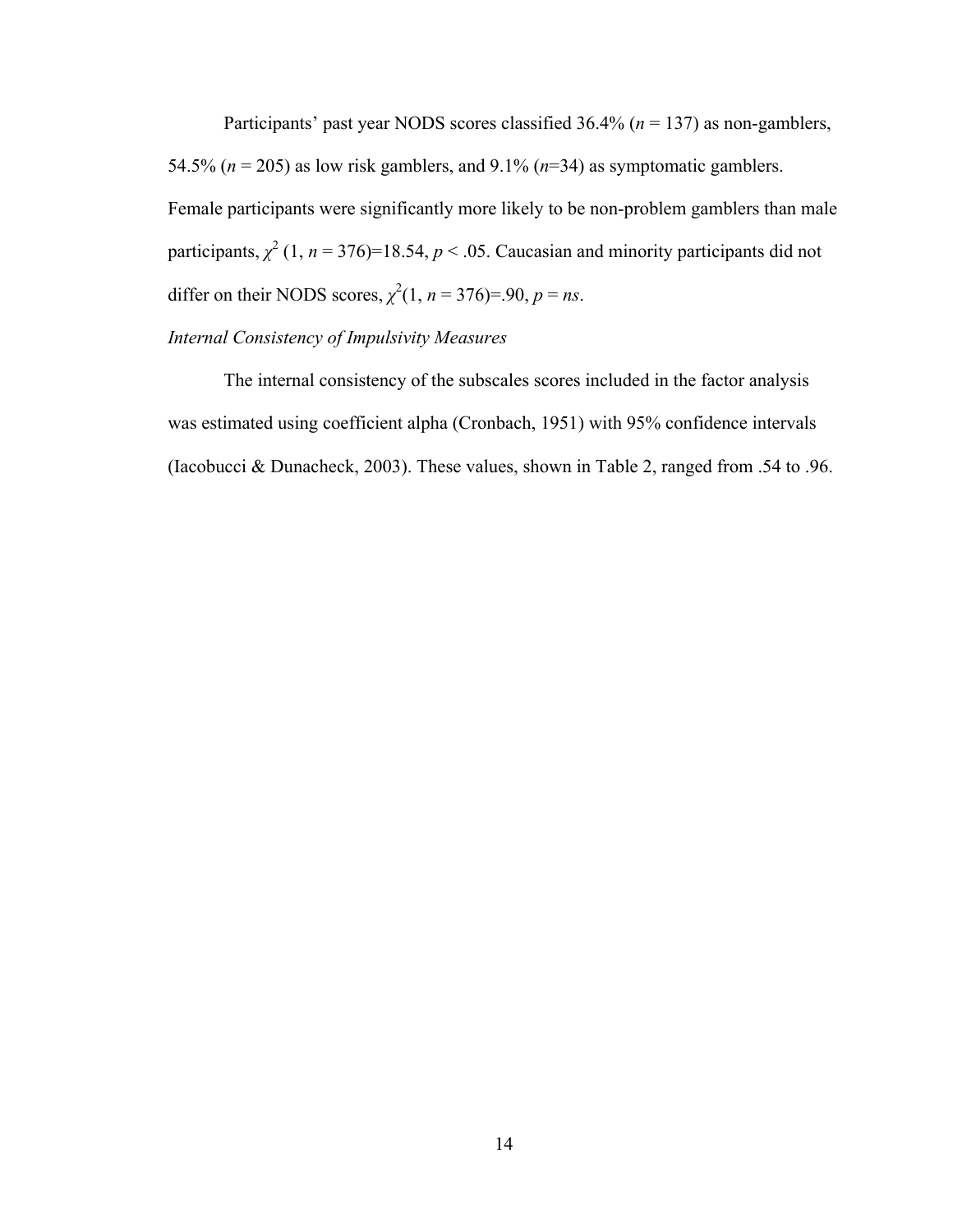Participants' past year NODS scores classified 36.4% (*n* = 137) as non-gamblers, 54.5% ( $n = 205$ ) as low risk gamblers, and 9.1% ( $n = 34$ ) as symptomatic gamblers. Female participants were significantly more likely to be non-problem gamblers than male participants,  $\chi^2$  (1, *n* = 376)=18.54, *p* < .05. Caucasian and minority participants did not differ on their NODS scores,  $\chi^2(1, n = 376) = .90$ ,  $p = ns$ .

# *Internal Consistency of Impulsivity Measures*

The internal consistency of the subscales scores included in the factor analysis was estimated using coefficient alpha (Cronbach, 1951) with 95% confidence intervals (Iacobucci & Dunacheck, 2003). These values, shown in Table 2, ranged from .54 to .96.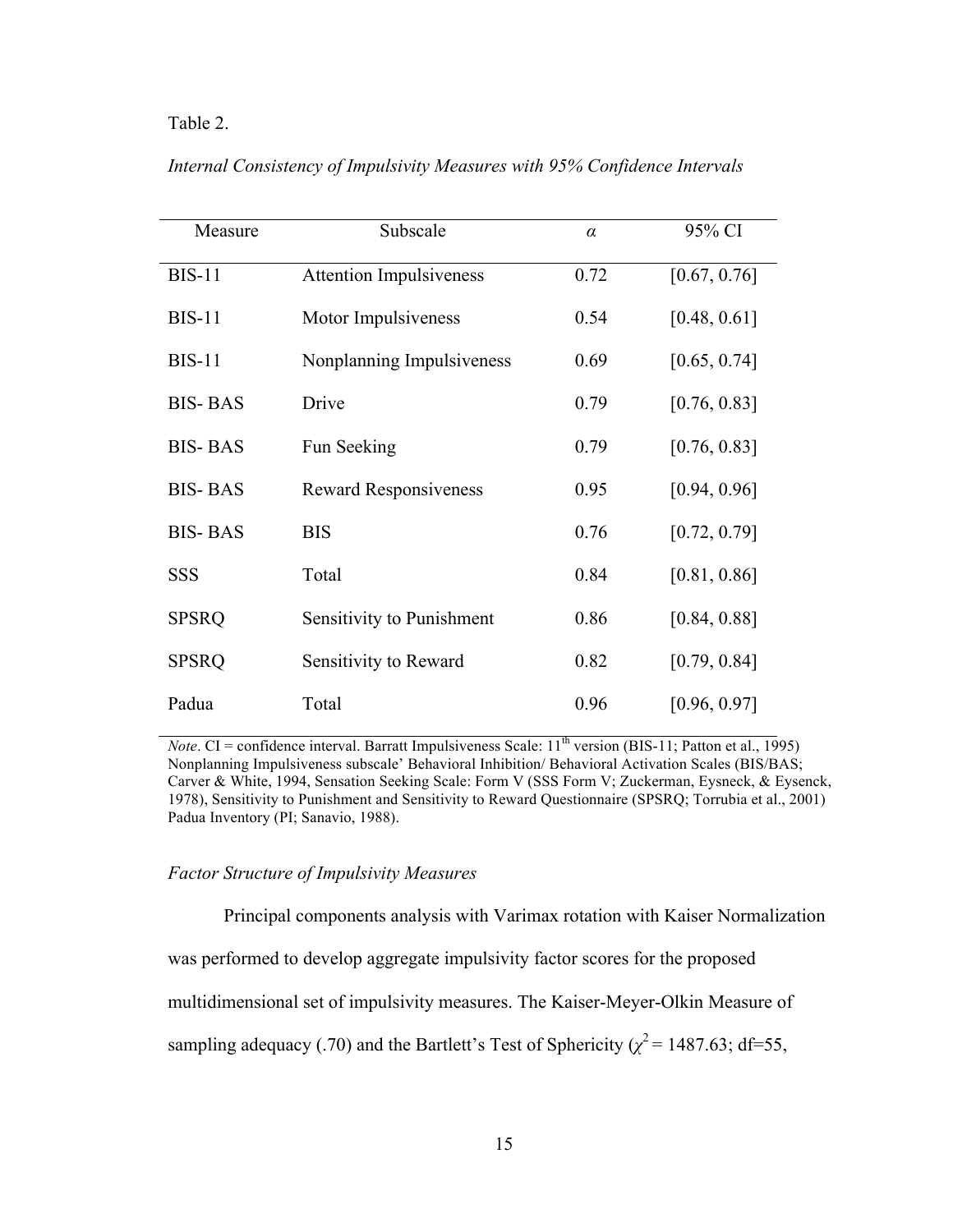## Table 2.

| Measure        | Subscale                       | $\alpha$ | 95% CI       |
|----------------|--------------------------------|----------|--------------|
| <b>BIS-11</b>  | <b>Attention Impulsiveness</b> | 0.72     | [0.67, 0.76] |
| $BIS-11$       | Motor Impulsiveness            | 0.54     | [0.48, 0.61] |
| $BIS-11$       | Nonplanning Impulsiveness      | 0.69     | [0.65, 0.74] |
| <b>BIS-BAS</b> | Drive                          | 0.79     | [0.76, 0.83] |
| <b>BIS-BAS</b> | Fun Seeking                    | 0.79     | [0.76, 0.83] |
| <b>BIS-BAS</b> | <b>Reward Responsiveness</b>   | 0.95     | [0.94, 0.96] |
| <b>BIS-BAS</b> | <b>BIS</b>                     | 0.76     | [0.72, 0.79] |
| SSS            | Total                          | 0.84     | [0.81, 0.86] |
| <b>SPSRQ</b>   | Sensitivity to Punishment      | 0.86     | [0.84, 0.88] |
| <b>SPSRQ</b>   | Sensitivity to Reward          | 0.82     | [0.79, 0.84] |
| Padua          | Total                          | 0.96     | [0.96, 0.97] |

*Internal Consistency of Impulsivity Measures with 95% Confidence Intervals*

*Note*. CI = confidence interval. Barratt Impulsiveness Scale:  $11<sup>th</sup>$  version (BIS-11; Patton et al., 1995) Nonplanning Impulsiveness subscale' Behavioral Inhibition/ Behavioral Activation Scales (BIS/BAS; Carver & White, 1994, Sensation Seeking Scale: Form V (SSS Form V; Zuckerman, Eysneck, & Eysenck, 1978), Sensitivity to Punishment and Sensitivity to Reward Questionnaire (SPSRQ; Torrubia et al., 2001) Padua Inventory (PI; Sanavio, 1988).

## *Factor Structure of Impulsivity Measures*

Principal components analysis with Varimax rotation with Kaiser Normalization was performed to develop aggregate impulsivity factor scores for the proposed multidimensional set of impulsivity measures. The Kaiser-Meyer-Olkin Measure of sampling adequacy (.70) and the Bartlett's Test of Sphericity ( $\chi^2$  = 1487.63; df=55,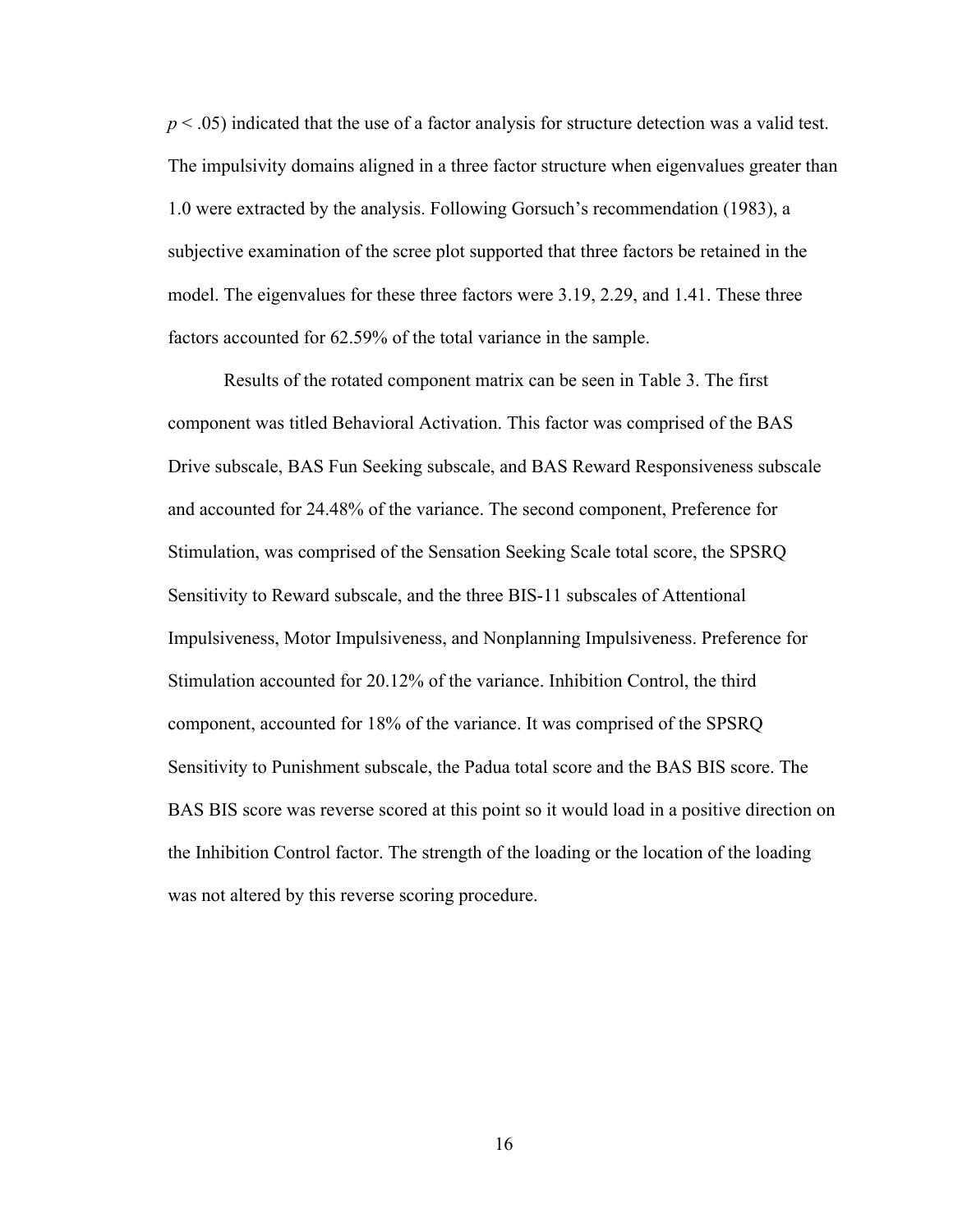*p* < .05) indicated that the use of a factor analysis for structure detection was a valid test. The impulsivity domains aligned in a three factor structure when eigenvalues greater than 1.0 were extracted by the analysis. Following Gorsuch's recommendation (1983), a subjective examination of the scree plot supported that three factors be retained in the model. The eigenvalues for these three factors were 3.19, 2.29, and 1.41. These three factors accounted for 62.59% of the total variance in the sample.

Results of the rotated component matrix can be seen in Table 3. The first component was titled Behavioral Activation. This factor was comprised of the BAS Drive subscale, BAS Fun Seeking subscale, and BAS Reward Responsiveness subscale and accounted for 24.48% of the variance. The second component, Preference for Stimulation, was comprised of the Sensation Seeking Scale total score, the SPSRQ Sensitivity to Reward subscale, and the three BIS-11 subscales of Attentional Impulsiveness, Motor Impulsiveness, and Nonplanning Impulsiveness. Preference for Stimulation accounted for 20.12% of the variance. Inhibition Control, the third component, accounted for 18% of the variance. It was comprised of the SPSRQ Sensitivity to Punishment subscale, the Padua total score and the BAS BIS score. The BAS BIS score was reverse scored at this point so it would load in a positive direction on the Inhibition Control factor. The strength of the loading or the location of the loading was not altered by this reverse scoring procedure.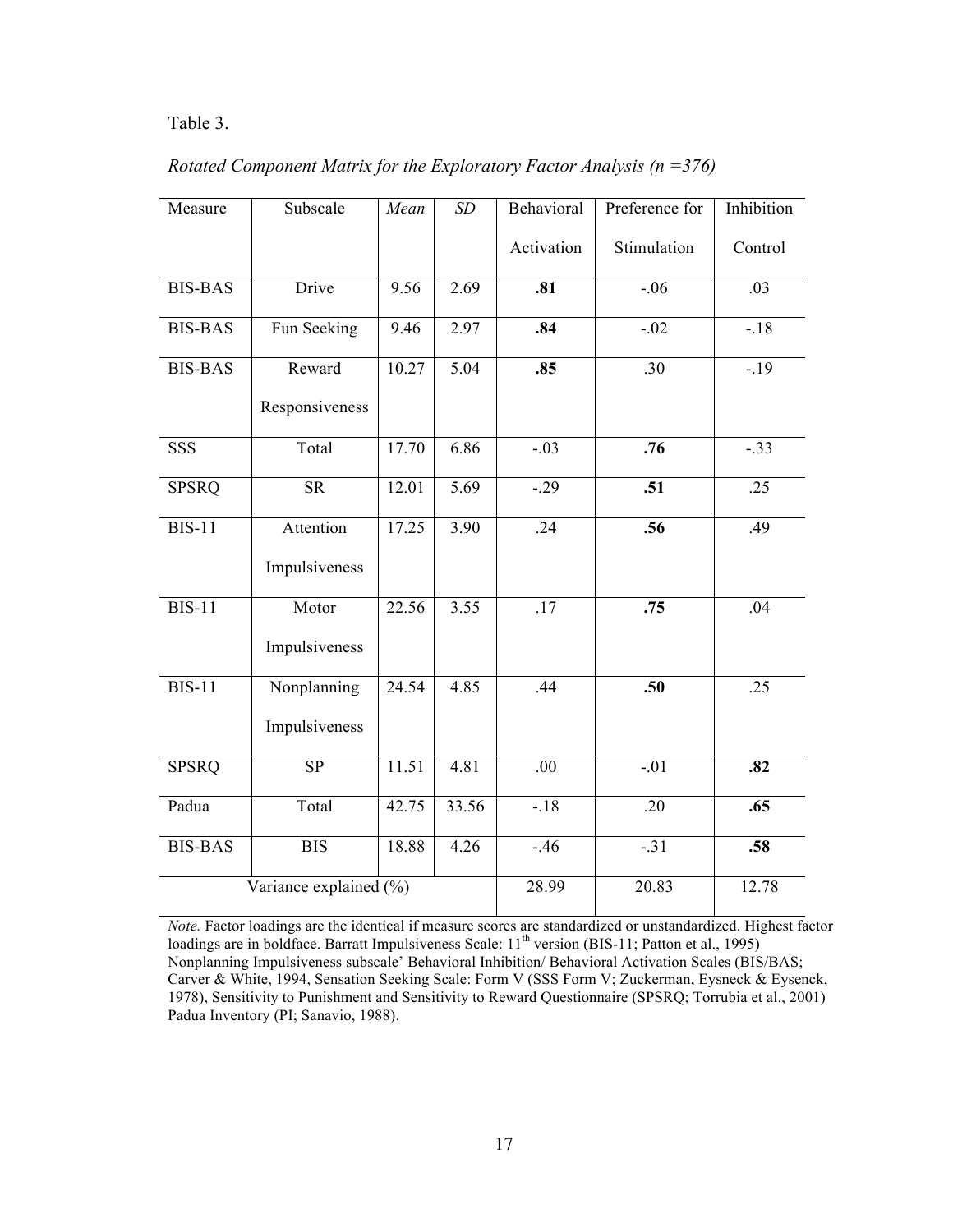## Table 3.

| Measure        | Subscale               | Mean  | SD    | Behavioral | Preference for   | Inhibition |
|----------------|------------------------|-------|-------|------------|------------------|------------|
|                |                        |       |       | Activation | Stimulation      | Control    |
| <b>BIS-BAS</b> | Drive                  | 9.56  | 2.69  | .81        | $-0.06$          | .03        |
| <b>BIS-BAS</b> | Fun Seeking            | 9.46  | 2.97  | .84        | $-.02$           | $-.18$     |
| <b>BIS-BAS</b> | Reward                 | 10.27 | 5.04  | .85        | .30              | $-19$      |
|                | Responsiveness         |       |       |            |                  |            |
| <b>SSS</b>     | Total                  | 17.70 | 6.86  | $-.03$     | .76              | $-.33$     |
| <b>SPSRQ</b>   | <b>SR</b>              | 12.01 | 5.69  | $-.29$     | $\overline{.51}$ | .25        |
| <b>BIS-11</b>  | Attention              | 17.25 | 3.90  | .24        | .56              | .49        |
|                | Impulsiveness          |       |       |            |                  |            |
| <b>BIS-11</b>  | Motor                  | 22.56 | 3.55  | .17        | .75              | .04        |
|                | Impulsiveness          |       |       |            |                  |            |
| <b>BIS-11</b>  | Nonplanning            | 24.54 | 4.85  | .44        | .50              | .25        |
|                | Impulsiveness          |       |       |            |                  |            |
| <b>SPSRQ</b>   | SP                     | 11.51 | 4.81  | .00        | $-.01$           | .82        |
| Padua          | Total                  | 42.75 | 33.56 | $-18$      | .20              | .65        |
| <b>BIS-BAS</b> | <b>BIS</b>             | 18.88 | 4.26  | $-.46$     | $-.31$           | .58        |
|                | Variance explained (%) |       | 28.99 | 20.83      | 12.78            |            |

*Rotated Component Matrix for the Exploratory Factor Analysis (n =376)*

*Note.* Factor loadings are the identical if measure scores are standardized or unstandardized. Highest factor loadings are in boldface. Barratt Impulsiveness Scale: 11<sup>th</sup> version (BIS-11; Patton et al., 1995) Nonplanning Impulsiveness subscale' Behavioral Inhibition/ Behavioral Activation Scales (BIS/BAS; Carver & White, 1994, Sensation Seeking Scale: Form V (SSS Form V; Zuckerman, Eysneck & Eysenck, 1978), Sensitivity to Punishment and Sensitivity to Reward Questionnaire (SPSRQ; Torrubia et al., 2001) Padua Inventory (PI; Sanavio, 1988).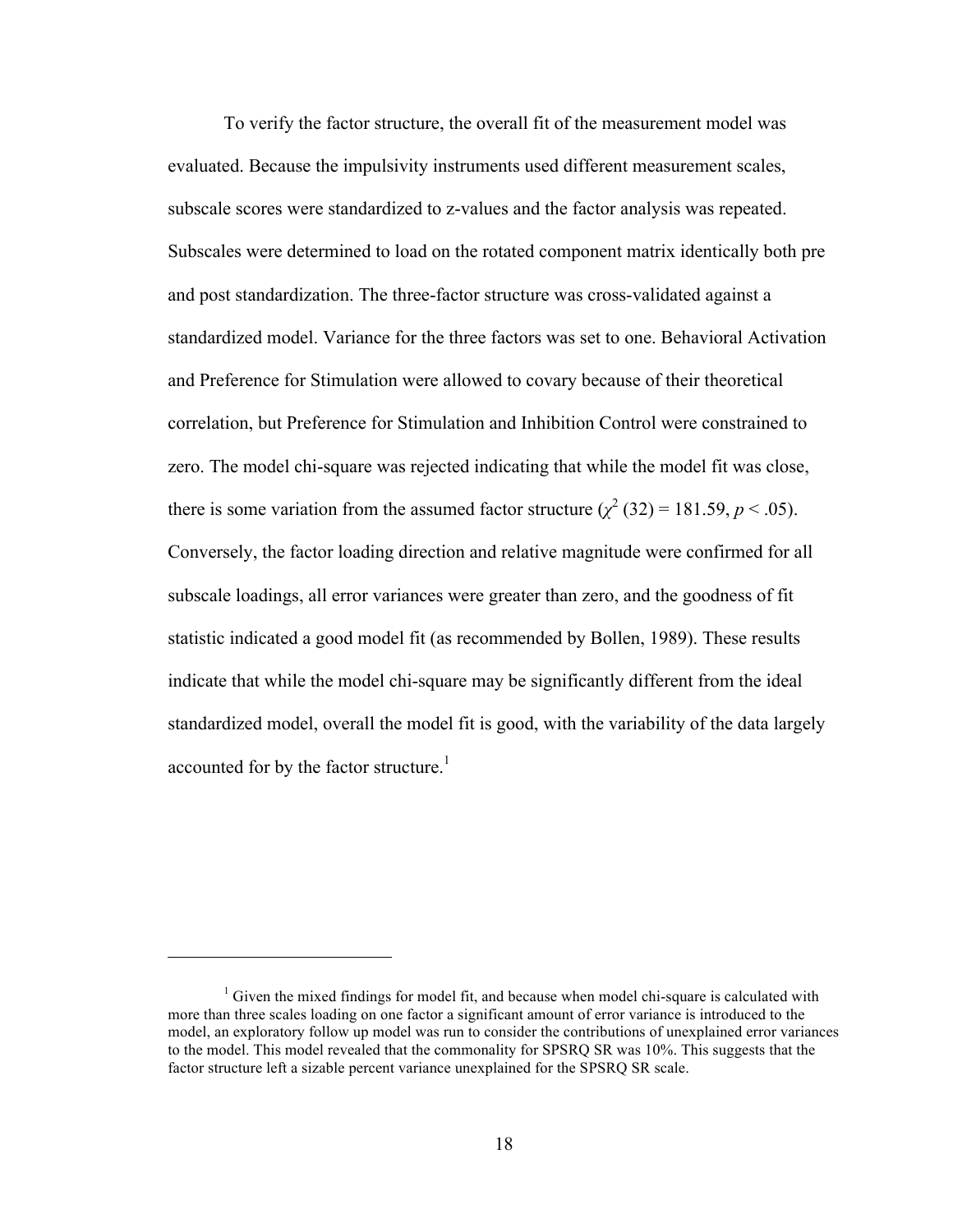To verify the factor structure, the overall fit of the measurement model was evaluated. Because the impulsivity instruments used different measurement scales, subscale scores were standardized to z-values and the factor analysis was repeated. Subscales were determined to load on the rotated component matrix identically both pre and post standardization. The three-factor structure was cross-validated against a standardized model. Variance for the three factors was set to one. Behavioral Activation and Preference for Stimulation were allowed to covary because of their theoretical correlation, but Preference for Stimulation and Inhibition Control were constrained to zero. The model chi-square was rejected indicating that while the model fit was close, there is some variation from the assumed factor structure  $(\chi^2 (32) = 181.59, p < .05)$ . Conversely, the factor loading direction and relative magnitude were confirmed for all subscale loadings, all error variances were greater than zero, and the goodness of fit statistic indicated a good model fit (as recommended by Bollen, 1989). These results indicate that while the model chi-square may be significantly different from the ideal standardized model, overall the model fit is good, with the variability of the data largely accounted for by the factor structure.<sup>1</sup>

 $\overline{a}$ 

 $1$  Given the mixed findings for model fit, and because when model chi-square is calculated with more than three scales loading on one factor a significant amount of error variance is introduced to the model, an exploratory follow up model was run to consider the contributions of unexplained error variances to the model. This model revealed that the commonality for SPSRQ SR was 10%. This suggests that the factor structure left a sizable percent variance unexplained for the SPSRQ SR scale.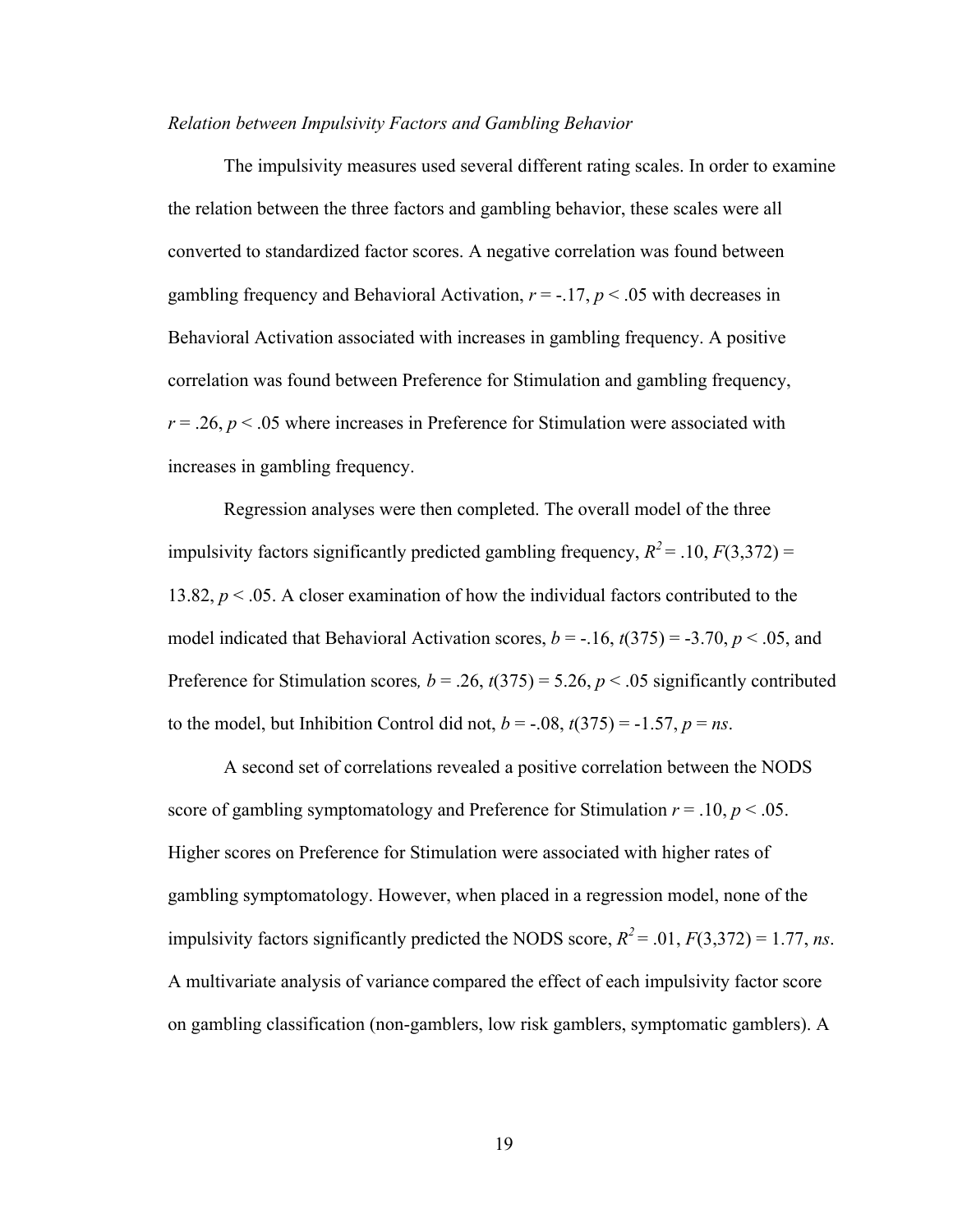### *Relation between Impulsivity Factors and Gambling Behavior*

The impulsivity measures used several different rating scales. In order to examine the relation between the three factors and gambling behavior, these scales were all converted to standardized factor scores. A negative correlation was found between gambling frequency and Behavioral Activation,  $r = -17$ ,  $p < 0.05$  with decreases in Behavioral Activation associated with increases in gambling frequency. A positive correlation was found between Preference for Stimulation and gambling frequency,  $r = 0.26$ ,  $p < 0.05$  where increases in Preference for Stimulation were associated with increases in gambling frequency.

Regression analyses were then completed. The overall model of the three impulsivity factors significantly predicted gambling frequency,  $R^2 = .10$ ,  $F(3,372) =$ 13.82, *p* < .05. A closer examination of how the individual factors contributed to the model indicated that Behavioral Activation scores,  $b = -.16$ ,  $t(375) = -3.70$ ,  $p < .05$ , and Preference for Stimulation scores,  $b = .26$ ,  $t(375) = 5.26$ ,  $p < .05$  significantly contributed to the model, but Inhibition Control did not,  $b = -.08$ ,  $t(375) = -1.57$ ,  $p = ns$ .

A second set of correlations revealed a positive correlation between the NODS score of gambling symptomatology and Preference for Stimulation  $r = .10$ ,  $p < .05$ . Higher scores on Preference for Stimulation were associated with higher rates of gambling symptomatology. However, when placed in a regression model, none of the impulsivity factors significantly predicted the NODS score,  $R^2 = .01$ ,  $F(3,372) = 1.77$ , *ns*. A multivariate analysis of variance compared the effect of each impulsivity factor score on gambling classification (non-gamblers, low risk gamblers, symptomatic gamblers). A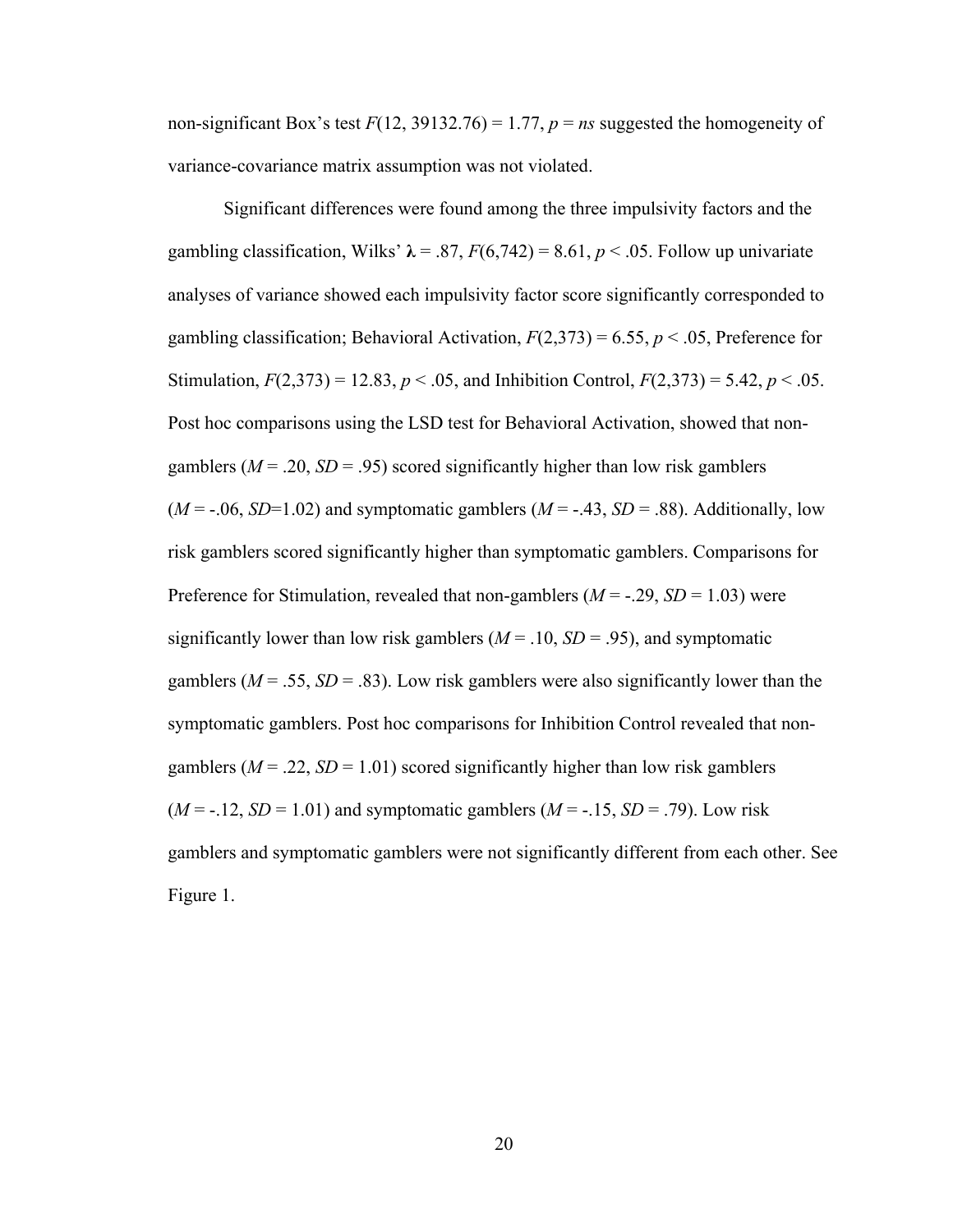non-significant Box's test  $F(12, 39132.76) = 1.77$ ,  $p = ns$  suggested the homogeneity of variance-covariance matrix assumption was not violated.

Significant differences were found among the three impulsivity factors and the gambling classification, Wilks'  $\lambda = .87$ ,  $F(6,742) = 8.61$ ,  $p < .05$ . Follow up univariate analyses of variance showed each impulsivity factor score significantly corresponded to gambling classification; Behavioral Activation,  $F(2,373) = 6.55$ ,  $p < .05$ , Preference for Stimulation,  $F(2,373) = 12.83$ ,  $p < .05$ , and Inhibition Control,  $F(2,373) = 5.42$ ,  $p < .05$ . Post hoc comparisons using the LSD test for Behavioral Activation, showed that nongamblers ( $M = .20$ ,  $SD = .95$ ) scored significantly higher than low risk gamblers  $(M = -0.06, SD = 1.02)$  and symptomatic gamblers  $(M = -0.43, SD = 0.88)$ . Additionally, low risk gamblers scored significantly higher than symptomatic gamblers. Comparisons for Preference for Stimulation, revealed that non-gamblers  $(M = -.29, SD = 1.03)$  were significantly lower than low risk gamblers  $(M = .10, SD = .95)$ , and symptomatic gamblers ( $M = .55$ ,  $SD = .83$ ). Low risk gamblers were also significantly lower than the symptomatic gamblers. Post hoc comparisons for Inhibition Control revealed that nongamblers  $(M = .22, SD = 1.01)$  scored significantly higher than low risk gamblers  $(M = -12, SD = 1.01)$  and symptomatic gamblers  $(M = -15, SD = .79)$ . Low risk gamblers and symptomatic gamblers were not significantly different from each other. See Figure 1.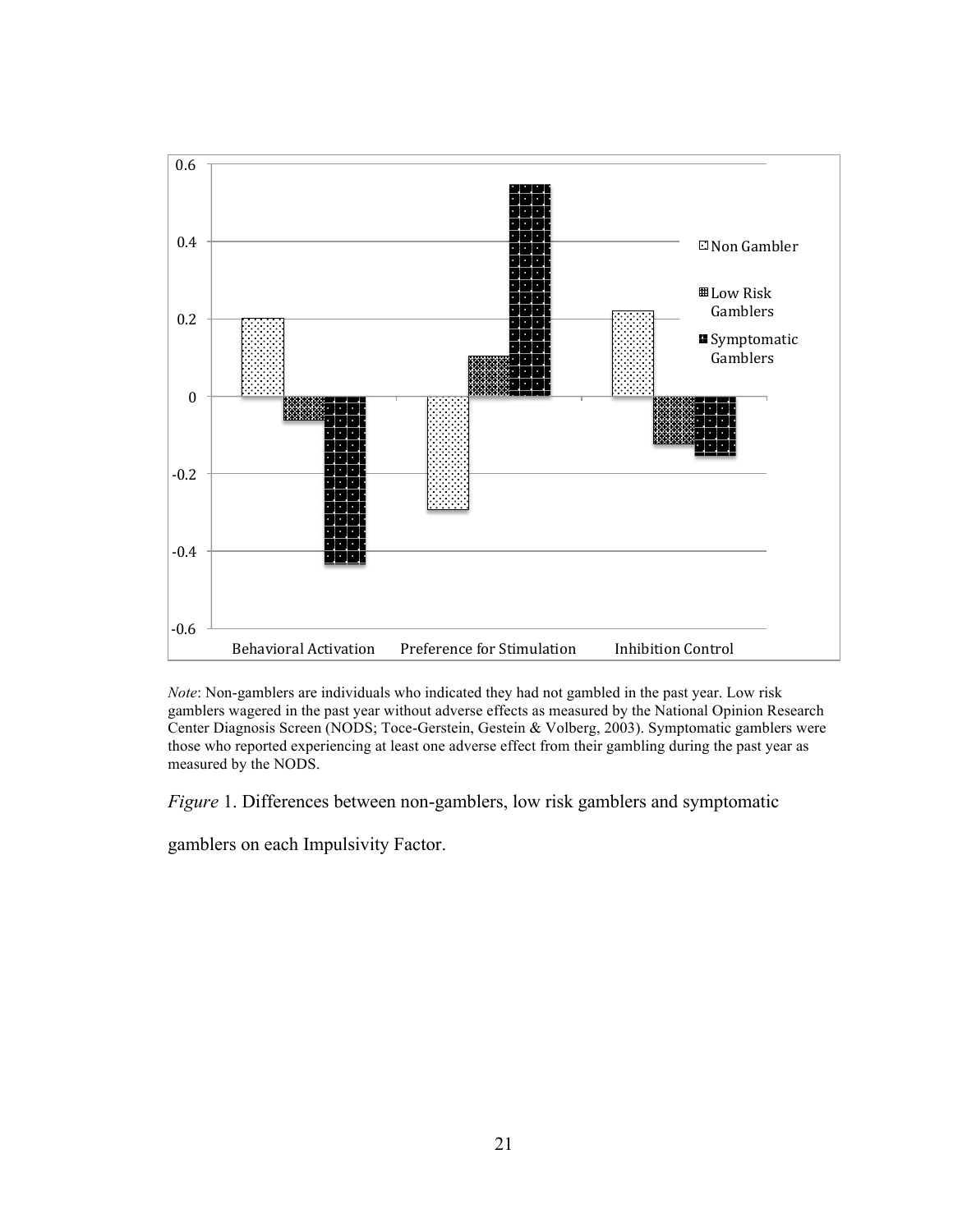

*Note*: Non-gamblers are individuals who indicated they had not gambled in the past year. Low risk gamblers wagered in the past year without adverse effects as measured by the National Opinion Research Center Diagnosis Screen (NODS; Toce-Gerstein, Gestein & Volberg, 2003). Symptomatic gamblers were those who reported experiencing at least one adverse effect from their gambling during the past year as measured by the NODS.

*Figure* 1. Differences between non-gamblers, low risk gamblers and symptomatic

gamblers on each Impulsivity Factor.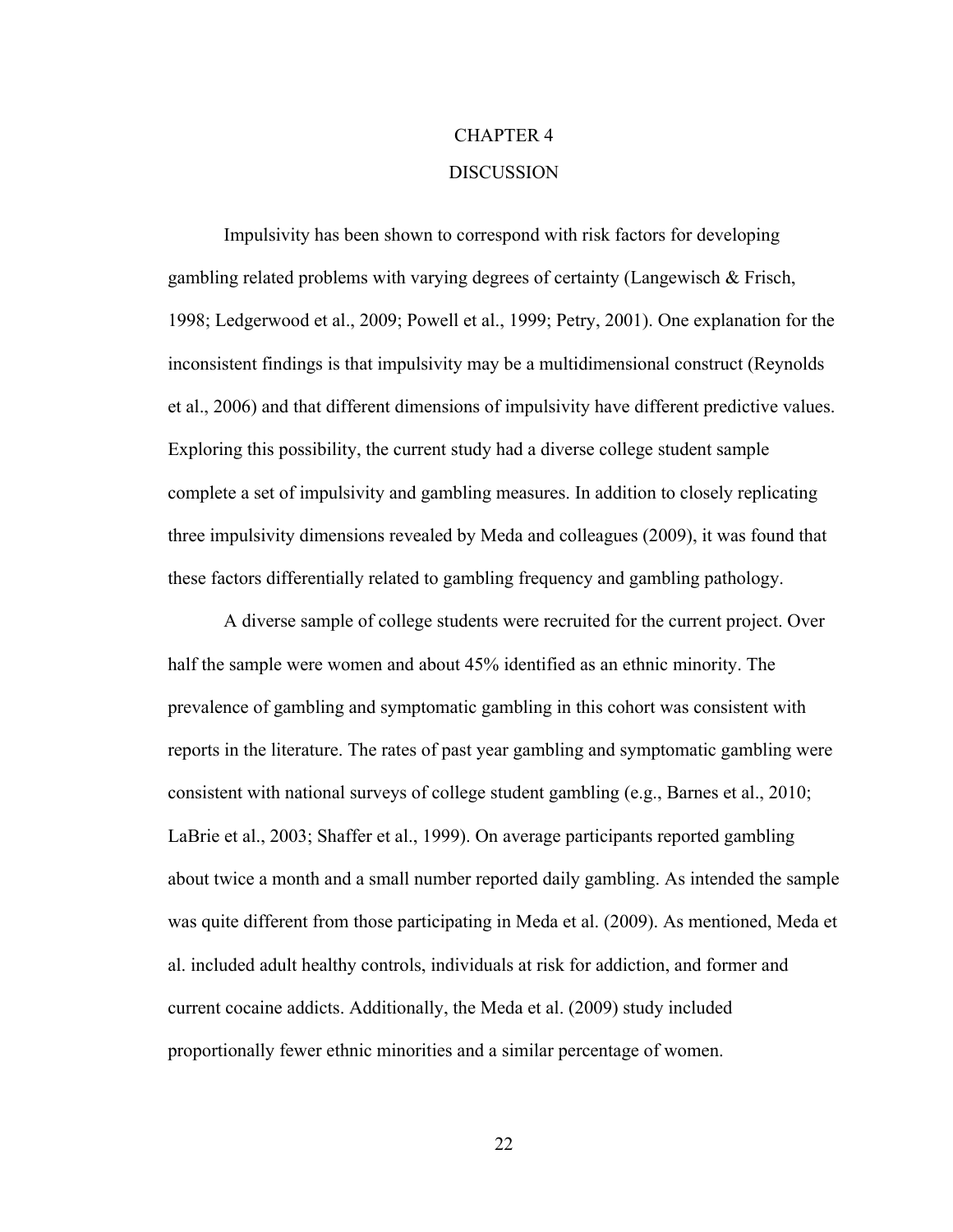# CHAPTER 4 **DISCUSSION**

Impulsivity has been shown to correspond with risk factors for developing gambling related problems with varying degrees of certainty (Langewisch & Frisch, 1998; Ledgerwood et al., 2009; Powell et al., 1999; Petry, 2001). One explanation for the inconsistent findings is that impulsivity may be a multidimensional construct (Reynolds et al., 2006) and that different dimensions of impulsivity have different predictive values. Exploring this possibility, the current study had a diverse college student sample complete a set of impulsivity and gambling measures. In addition to closely replicating three impulsivity dimensions revealed by Meda and colleagues (2009), it was found that these factors differentially related to gambling frequency and gambling pathology.

A diverse sample of college students were recruited for the current project. Over half the sample were women and about 45% identified as an ethnic minority. The prevalence of gambling and symptomatic gambling in this cohort was consistent with reports in the literature. The rates of past year gambling and symptomatic gambling were consistent with national surveys of college student gambling (e.g., Barnes et al., 2010; LaBrie et al., 2003; Shaffer et al., 1999). On average participants reported gambling about twice a month and a small number reported daily gambling. As intended the sample was quite different from those participating in Meda et al. (2009). As mentioned, Meda et al. included adult healthy controls, individuals at risk for addiction, and former and current cocaine addicts. Additionally, the Meda et al. (2009) study included proportionally fewer ethnic minorities and a similar percentage of women.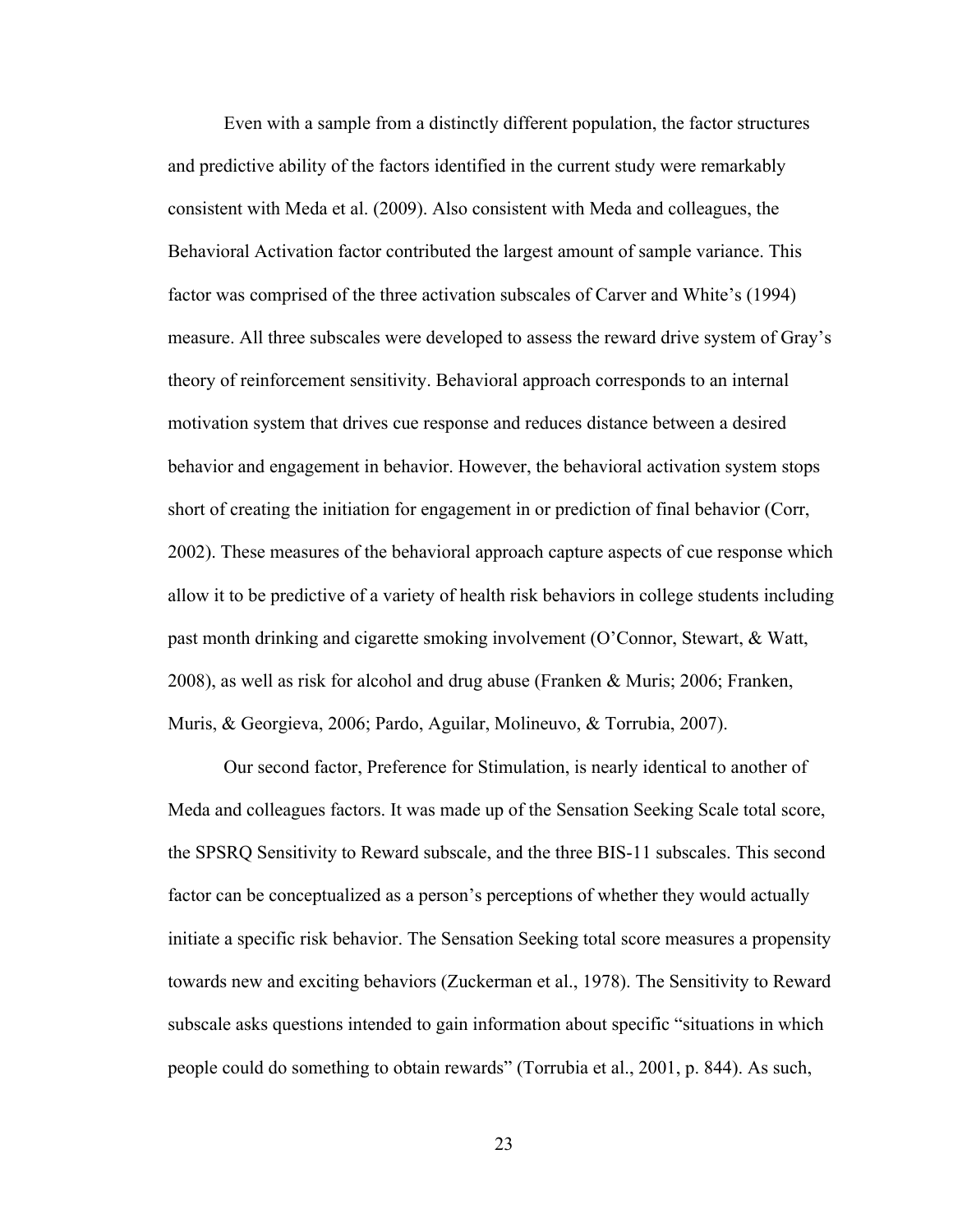Even with a sample from a distinctly different population, the factor structures and predictive ability of the factors identified in the current study were remarkably consistent with Meda et al. (2009). Also consistent with Meda and colleagues, the Behavioral Activation factor contributed the largest amount of sample variance. This factor was comprised of the three activation subscales of Carver and White's (1994) measure. All three subscales were developed to assess the reward drive system of Gray's theory of reinforcement sensitivity. Behavioral approach corresponds to an internal motivation system that drives cue response and reduces distance between a desired behavior and engagement in behavior. However, the behavioral activation system stops short of creating the initiation for engagement in or prediction of final behavior (Corr, 2002). These measures of the behavioral approach capture aspects of cue response which allow it to be predictive of a variety of health risk behaviors in college students including past month drinking and cigarette smoking involvement (O'Connor, Stewart, & Watt, 2008), as well as risk for alcohol and drug abuse (Franken & Muris; 2006; Franken, Muris, & Georgieva, 2006; Pardo, Aguilar, Molineuvo, & Torrubia, 2007).

Our second factor, Preference for Stimulation, is nearly identical to another of Meda and colleagues factors. It was made up of the Sensation Seeking Scale total score, the SPSRQ Sensitivity to Reward subscale, and the three BIS-11 subscales. This second factor can be conceptualized as a person's perceptions of whether they would actually initiate a specific risk behavior. The Sensation Seeking total score measures a propensity towards new and exciting behaviors (Zuckerman et al., 1978). The Sensitivity to Reward subscale asks questions intended to gain information about specific "situations in which people could do something to obtain rewards" (Torrubia et al., 2001, p. 844). As such,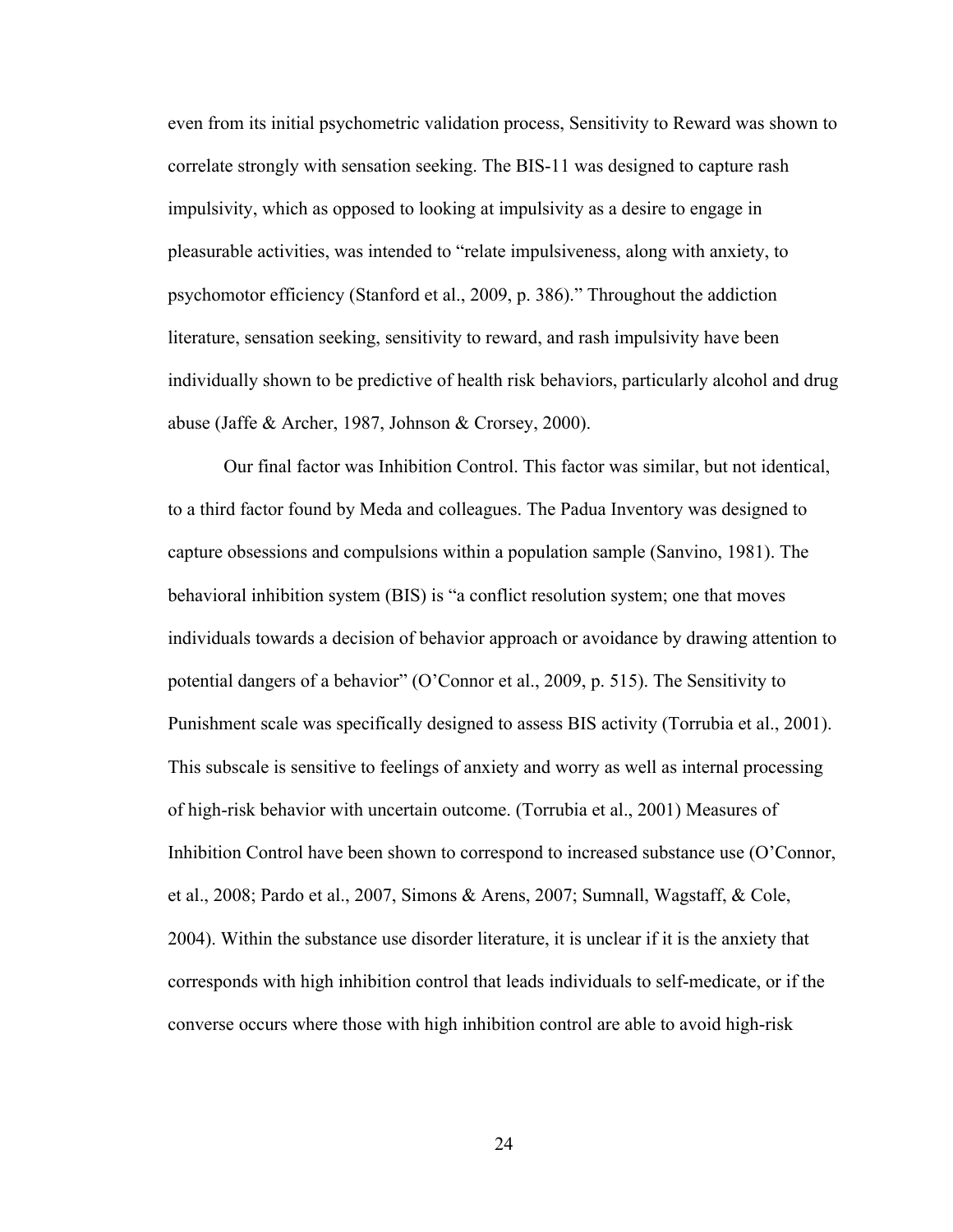even from its initial psychometric validation process, Sensitivity to Reward was shown to correlate strongly with sensation seeking. The BIS-11 was designed to capture rash impulsivity, which as opposed to looking at impulsivity as a desire to engage in pleasurable activities, was intended to "relate impulsiveness, along with anxiety, to psychomotor efficiency (Stanford et al., 2009, p. 386)." Throughout the addiction literature, sensation seeking, sensitivity to reward, and rash impulsivity have been individually shown to be predictive of health risk behaviors, particularly alcohol and drug abuse (Jaffe & Archer, 1987, Johnson & Crorsey, 2000).

Our final factor was Inhibition Control. This factor was similar, but not identical, to a third factor found by Meda and colleagues. The Padua Inventory was designed to capture obsessions and compulsions within a population sample (Sanvino, 1981). The behavioral inhibition system (BIS) is "a conflict resolution system; one that moves individuals towards a decision of behavior approach or avoidance by drawing attention to potential dangers of a behavior" (O'Connor et al., 2009, p. 515). The Sensitivity to Punishment scale was specifically designed to assess BIS activity (Torrubia et al., 2001). This subscale is sensitive to feelings of anxiety and worry as well as internal processing of high-risk behavior with uncertain outcome. (Torrubia et al., 2001) Measures of Inhibition Control have been shown to correspond to increased substance use (O'Connor, et al., 2008; Pardo et al., 2007, Simons & Arens, 2007; Sumnall, Wagstaff, & Cole, 2004). Within the substance use disorder literature, it is unclear if it is the anxiety that corresponds with high inhibition control that leads individuals to self-medicate, or if the converse occurs where those with high inhibition control are able to avoid high-risk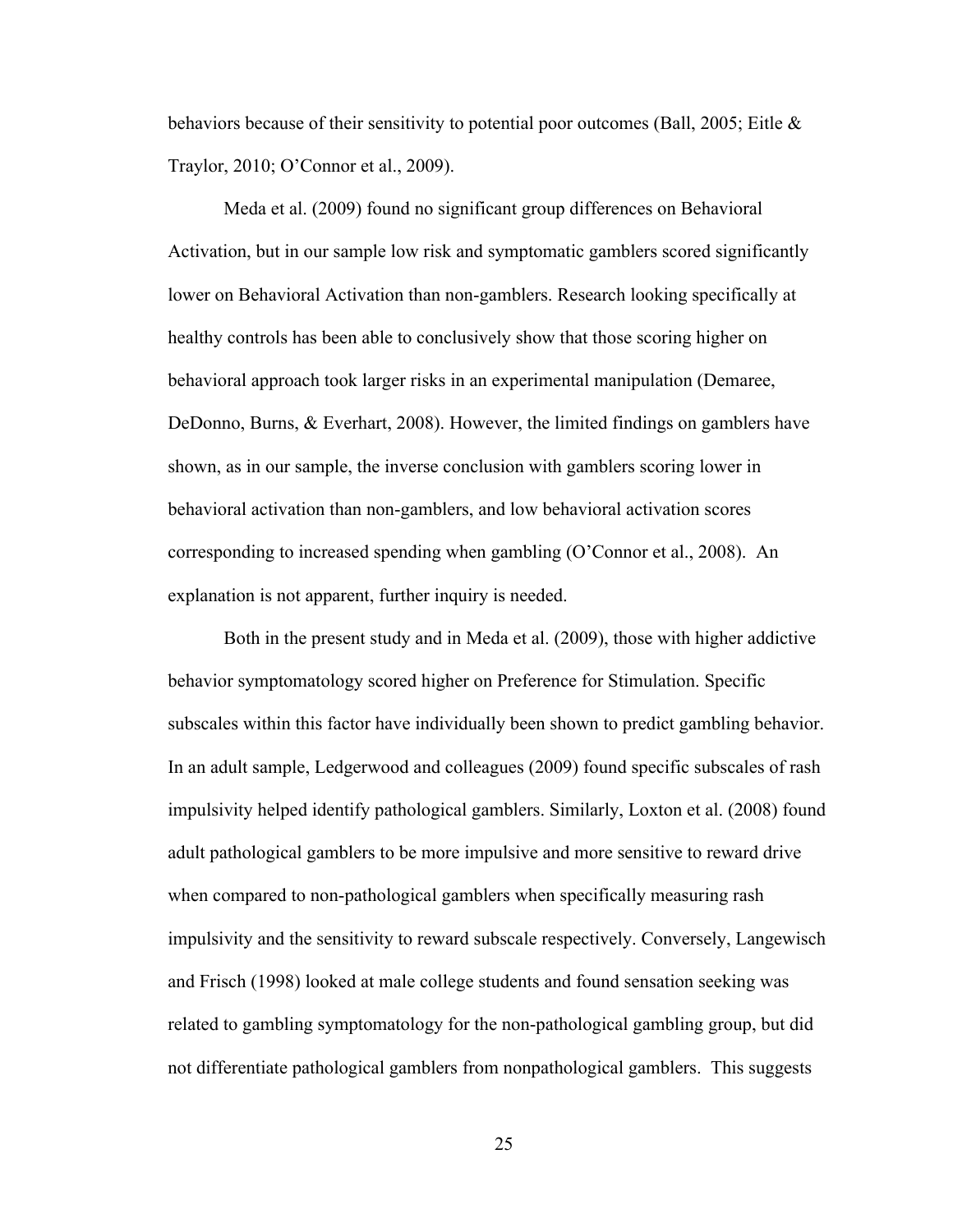behaviors because of their sensitivity to potential poor outcomes (Ball, 2005; Eitle  $\&$ Traylor, 2010; O'Connor et al., 2009).

Meda et al. (2009) found no significant group differences on Behavioral Activation, but in our sample low risk and symptomatic gamblers scored significantly lower on Behavioral Activation than non-gamblers. Research looking specifically at healthy controls has been able to conclusively show that those scoring higher on behavioral approach took larger risks in an experimental manipulation (Demaree, DeDonno, Burns, & Everhart, 2008). However, the limited findings on gamblers have shown, as in our sample, the inverse conclusion with gamblers scoring lower in behavioral activation than non-gamblers, and low behavioral activation scores corresponding to increased spending when gambling (O'Connor et al., 2008). An explanation is not apparent, further inquiry is needed.

Both in the present study and in Meda et al. (2009), those with higher addictive behavior symptomatology scored higher on Preference for Stimulation. Specific subscales within this factor have individually been shown to predict gambling behavior. In an adult sample, Ledgerwood and colleagues (2009) found specific subscales of rash impulsivity helped identify pathological gamblers. Similarly, Loxton et al. (2008) found adult pathological gamblers to be more impulsive and more sensitive to reward drive when compared to non-pathological gamblers when specifically measuring rash impulsivity and the sensitivity to reward subscale respectively. Conversely, Langewisch and Frisch (1998) looked at male college students and found sensation seeking was related to gambling symptomatology for the non-pathological gambling group, but did not differentiate pathological gamblers from nonpathological gamblers. This suggests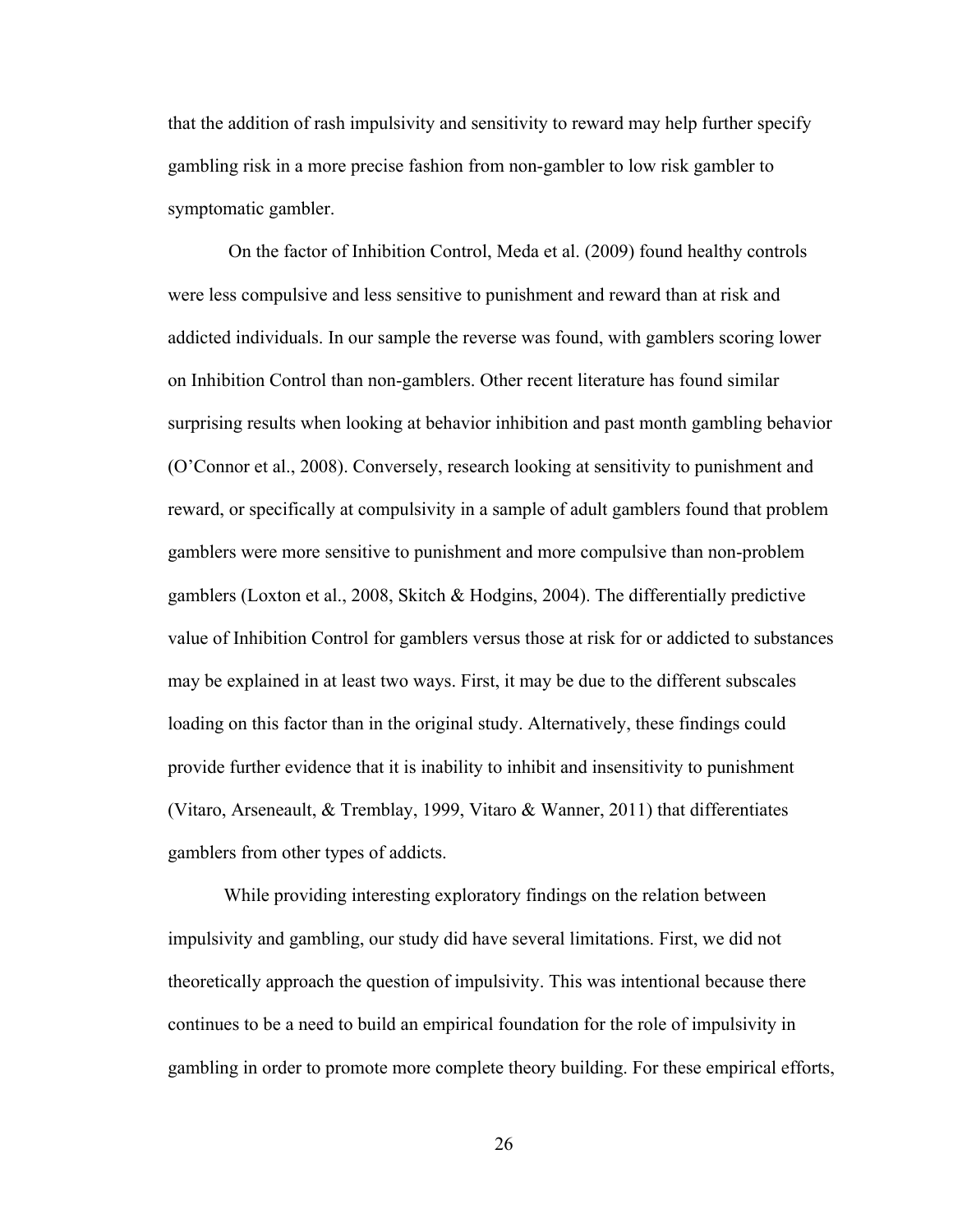that the addition of rash impulsivity and sensitivity to reward may help further specify gambling risk in a more precise fashion from non-gambler to low risk gambler to symptomatic gambler.

On the factor of Inhibition Control, Meda et al. (2009) found healthy controls were less compulsive and less sensitive to punishment and reward than at risk and addicted individuals. In our sample the reverse was found, with gamblers scoring lower on Inhibition Control than non-gamblers. Other recent literature has found similar surprising results when looking at behavior inhibition and past month gambling behavior (O'Connor et al., 2008). Conversely, research looking at sensitivity to punishment and reward, or specifically at compulsivity in a sample of adult gamblers found that problem gamblers were more sensitive to punishment and more compulsive than non-problem gamblers (Loxton et al., 2008, Skitch & Hodgins, 2004). The differentially predictive value of Inhibition Control for gamblers versus those at risk for or addicted to substances may be explained in at least two ways. First, it may be due to the different subscales loading on this factor than in the original study. Alternatively, these findings could provide further evidence that it is inability to inhibit and insensitivity to punishment (Vitaro, Arseneault, & Tremblay, 1999, Vitaro & Wanner, 2011) that differentiates gamblers from other types of addicts.

While providing interesting exploratory findings on the relation between impulsivity and gambling, our study did have several limitations. First, we did not theoretically approach the question of impulsivity. This was intentional because there continues to be a need to build an empirical foundation for the role of impulsivity in gambling in order to promote more complete theory building. For these empirical efforts,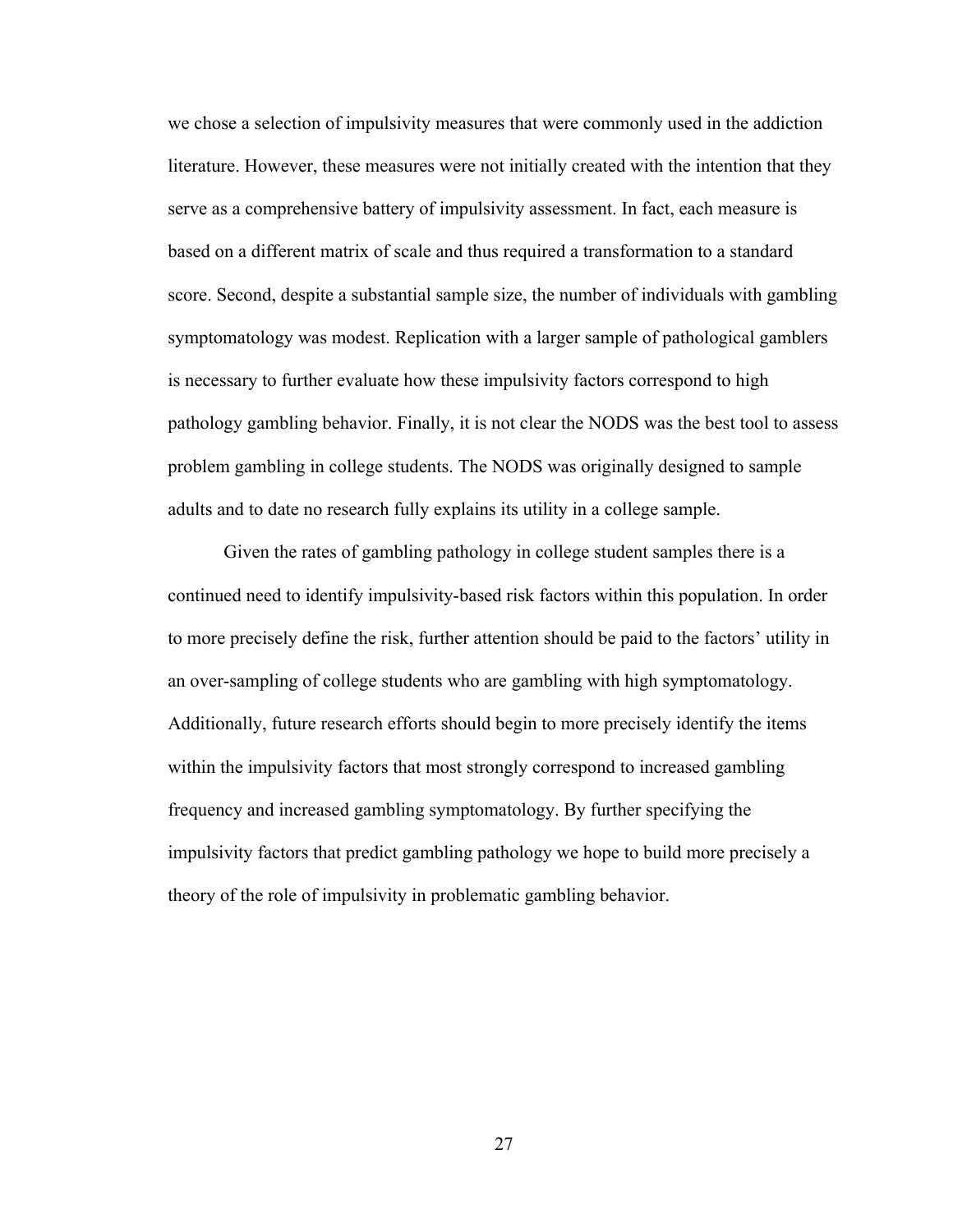we chose a selection of impulsivity measures that were commonly used in the addiction literature. However, these measures were not initially created with the intention that they serve as a comprehensive battery of impulsivity assessment. In fact, each measure is based on a different matrix of scale and thus required a transformation to a standard score. Second, despite a substantial sample size, the number of individuals with gambling symptomatology was modest. Replication with a larger sample of pathological gamblers is necessary to further evaluate how these impulsivity factors correspond to high pathology gambling behavior. Finally, it is not clear the NODS was the best tool to assess problem gambling in college students. The NODS was originally designed to sample adults and to date no research fully explains its utility in a college sample.

Given the rates of gambling pathology in college student samples there is a continued need to identify impulsivity-based risk factors within this population. In order to more precisely define the risk, further attention should be paid to the factors' utility in an over-sampling of college students who are gambling with high symptomatology. Additionally, future research efforts should begin to more precisely identify the items within the impulsivity factors that most strongly correspond to increased gambling frequency and increased gambling symptomatology. By further specifying the impulsivity factors that predict gambling pathology we hope to build more precisely a theory of the role of impulsivity in problematic gambling behavior.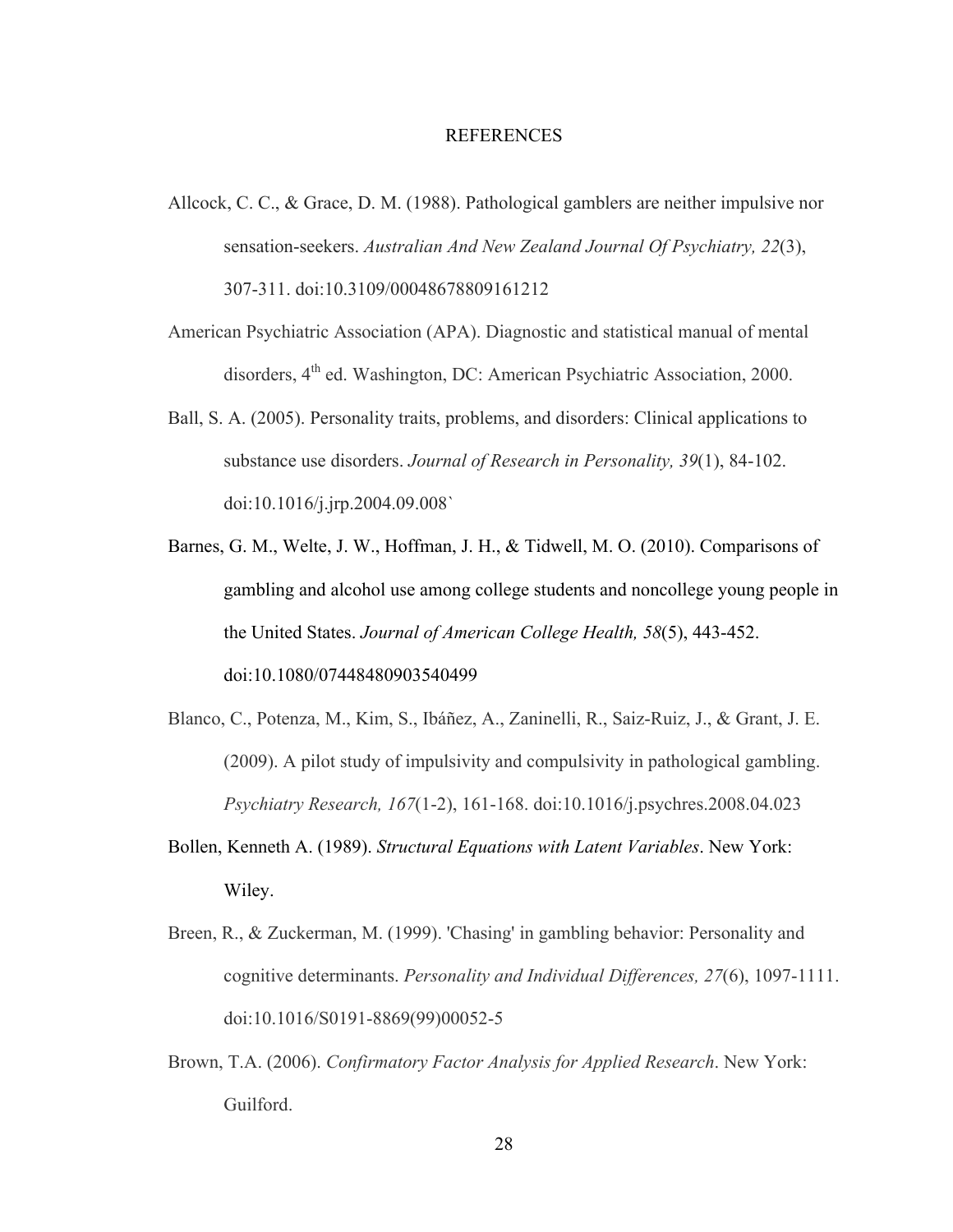#### REFERENCES

- Allcock, C. C., & Grace, D. M. (1988). Pathological gamblers are neither impulsive nor sensation-seekers. *Australian And New Zealand Journal Of Psychiatry, 22*(3), 307-311. doi:10.3109/00048678809161212
- American Psychiatric Association (APA). Diagnostic and statistical manual of mental disorders, 4<sup>th</sup> ed. Washington, DC: American Psychiatric Association, 2000.
- Ball, S. A. (2005). Personality traits, problems, and disorders: Clinical applications to substance use disorders. *Journal of Research in Personality, 39*(1), 84-102. doi:10.1016/j.jrp.2004.09.008`
- Barnes, G. M., Welte, J. W., Hoffman, J. H., & Tidwell, M. O. (2010). Comparisons of gambling and alcohol use among college students and noncollege young people in the United States. *Journal of American College Health, 58*(5), 443-452. doi:10.1080/07448480903540499
- Blanco, C., Potenza, M., Kim, S., Ibáñez, A., Zaninelli, R., Saiz-Ruiz, J., & Grant, J. E. (2009). A pilot study of impulsivity and compulsivity in pathological gambling. *Psychiatry Research, 167*(1-2), 161-168. doi:10.1016/j.psychres.2008.04.023
- Bollen, Kenneth A. (1989). *Structural Equations with Latent Variables*. New York: Wiley.
- Breen, R., & Zuckerman, M. (1999). 'Chasing' in gambling behavior: Personality and cognitive determinants. *Personality and Individual Differences, 27*(6), 1097-1111. doi:10.1016/S0191-8869(99)00052-5
- Brown, T.A. (2006). *Confirmatory Factor Analysis for Applied Research*. New York: Guilford.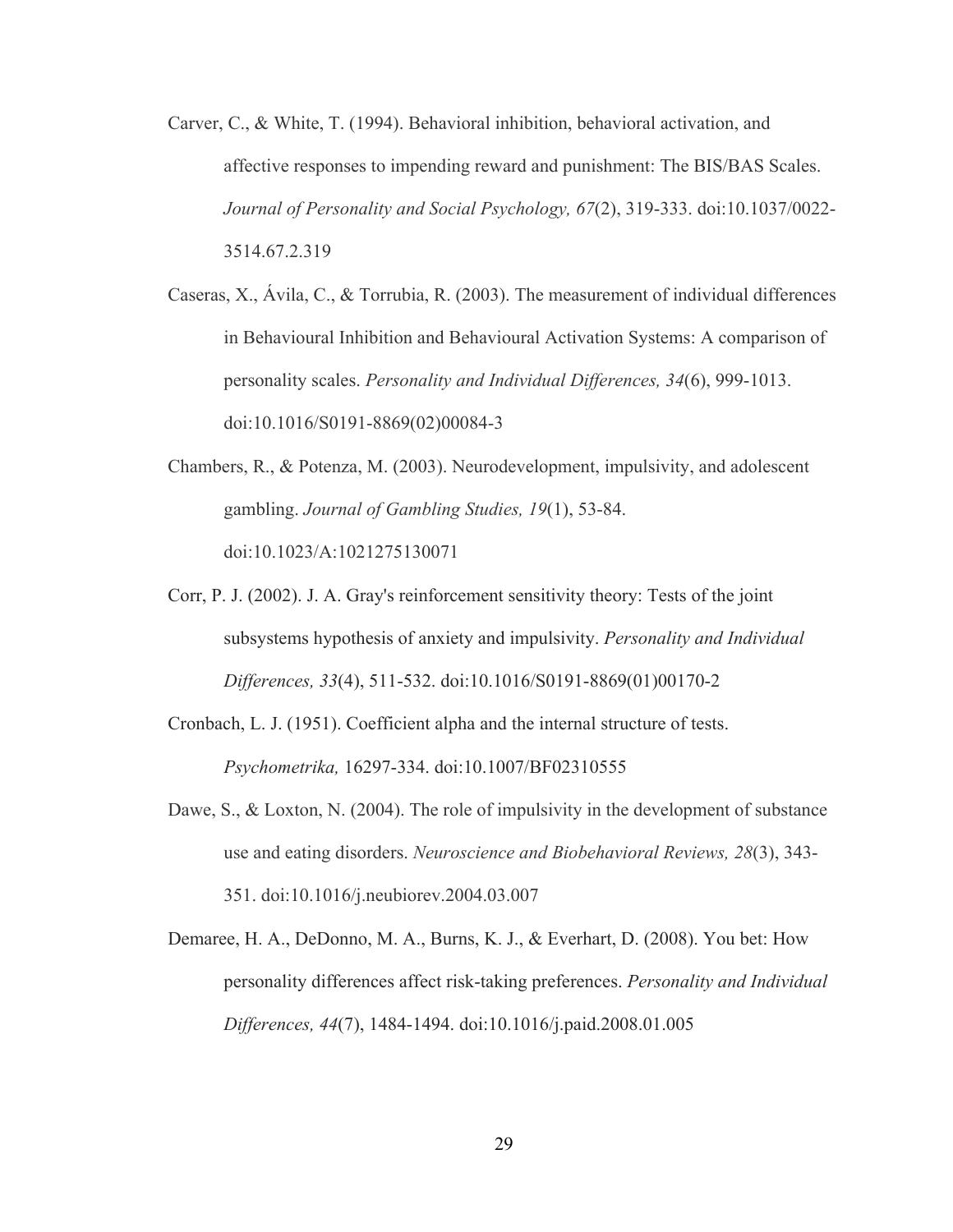- Carver, C., & White, T. (1994). Behavioral inhibition, behavioral activation, and affective responses to impending reward and punishment: The BIS/BAS Scales. *Journal of Personality and Social Psychology, 67*(2), 319-333. doi:10.1037/0022- 3514.67.2.319
- Caseras, X., Ávila, C., & Torrubia, R. (2003). The measurement of individual differences in Behavioural Inhibition and Behavioural Activation Systems: A comparison of personality scales. *Personality and Individual Differences, 34*(6), 999-1013. doi:10.1016/S0191-8869(02)00084-3
- Chambers, R., & Potenza, M. (2003). Neurodevelopment, impulsivity, and adolescent gambling. *Journal of Gambling Studies, 19*(1), 53-84. doi:10.1023/A:1021275130071
- Corr, P. J. (2002). J. A. Gray's reinforcement sensitivity theory: Tests of the joint subsystems hypothesis of anxiety and impulsivity. *Personality and Individual Differences, 33*(4), 511-532. doi:10.1016/S0191-8869(01)00170-2
- Cronbach, L. J. (1951). Coefficient alpha and the internal structure of tests. *Psychometrika,* 16297-334. doi:10.1007/BF02310555
- Dawe, S., & Loxton, N. (2004). The role of impulsivity in the development of substance use and eating disorders. *Neuroscience and Biobehavioral Reviews, 28*(3), 343- 351. doi:10.1016/j.neubiorev.2004.03.007
- Demaree, H. A., DeDonno, M. A., Burns, K. J., & Everhart, D. (2008). You bet: How personality differences affect risk-taking preferences. *Personality and Individual Differences, 44*(7), 1484-1494. doi:10.1016/j.paid.2008.01.005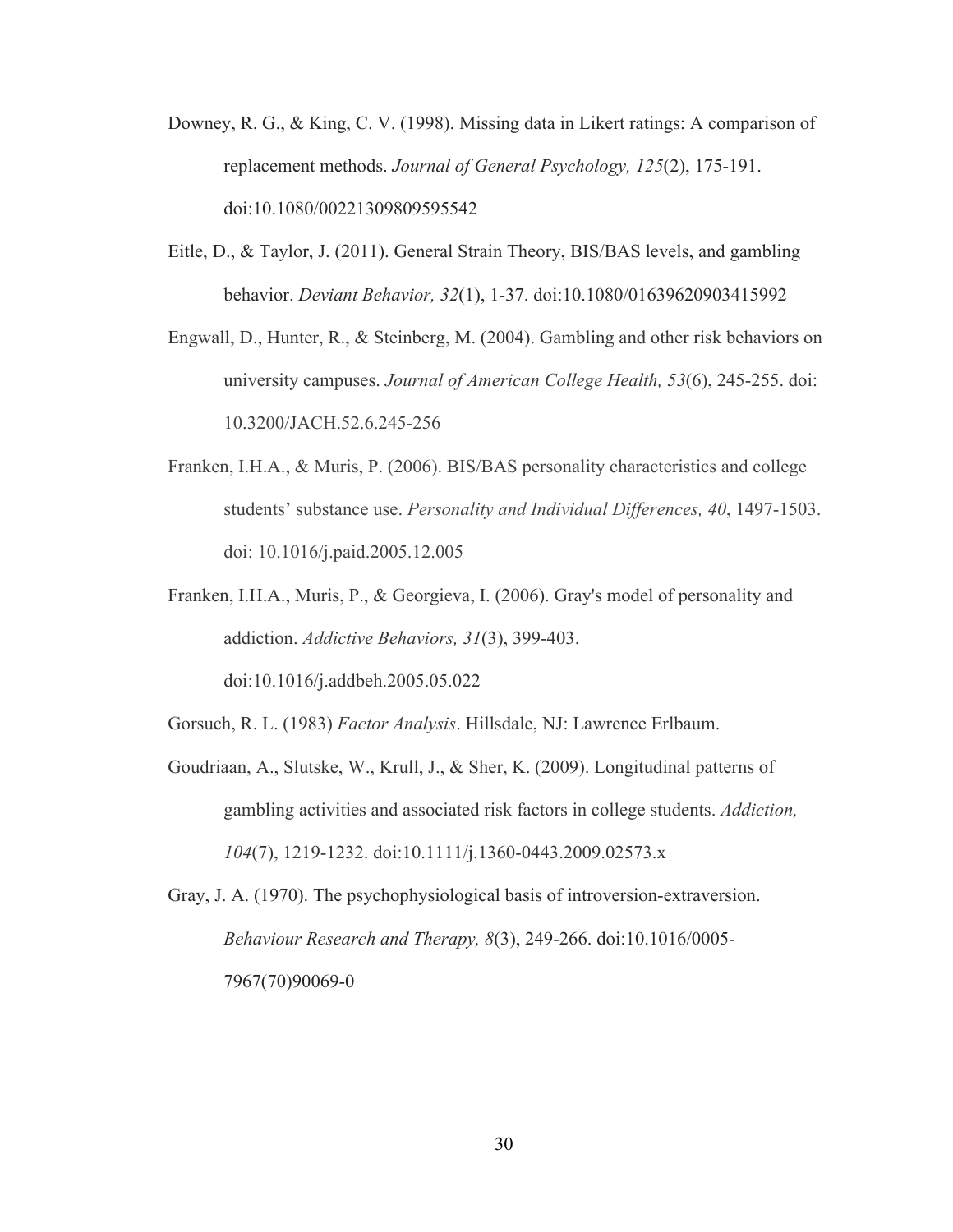- Downey, R. G., & King, C. V. (1998). Missing data in Likert ratings: A comparison of replacement methods. *Journal of General Psychology, 125*(2), 175-191. doi:10.1080/00221309809595542
- Eitle, D., & Taylor, J. (2011). General Strain Theory, BIS/BAS levels, and gambling behavior. *Deviant Behavior, 32*(1), 1-37. doi:10.1080/01639620903415992
- Engwall, D., Hunter, R., & Steinberg, M. (2004). Gambling and other risk behaviors on university campuses. *Journal of American College Health, 53*(6), 245-255. doi: 10.3200/JACH.52.6.245-256
- Franken, I.H.A., & Muris, P. (2006). BIS/BAS personality characteristics and college students' substance use. *Personality and Individual Differences, 40*, 1497-1503. doi: 10.1016/j.paid.2005.12.005
- Franken, I.H.A., Muris, P., & Georgieva, I. (2006). Gray's model of personality and addiction. *Addictive Behaviors, 31*(3), 399-403. doi:10.1016/j.addbeh.2005.05.022

Gorsuch, R. L. (1983) *Factor Analysis*. Hillsdale, NJ: Lawrence Erlbaum.

Goudriaan, A., Slutske, W., Krull, J., & Sher, K. (2009). Longitudinal patterns of gambling activities and associated risk factors in college students. *Addiction, 104*(7), 1219-1232. doi:10.1111/j.1360-0443.2009.02573.x

Gray, J. A. (1970). The psychophysiological basis of introversion-extraversion. *Behaviour Research and Therapy, 8*(3), 249-266. doi:10.1016/0005- 7967(70)90069-0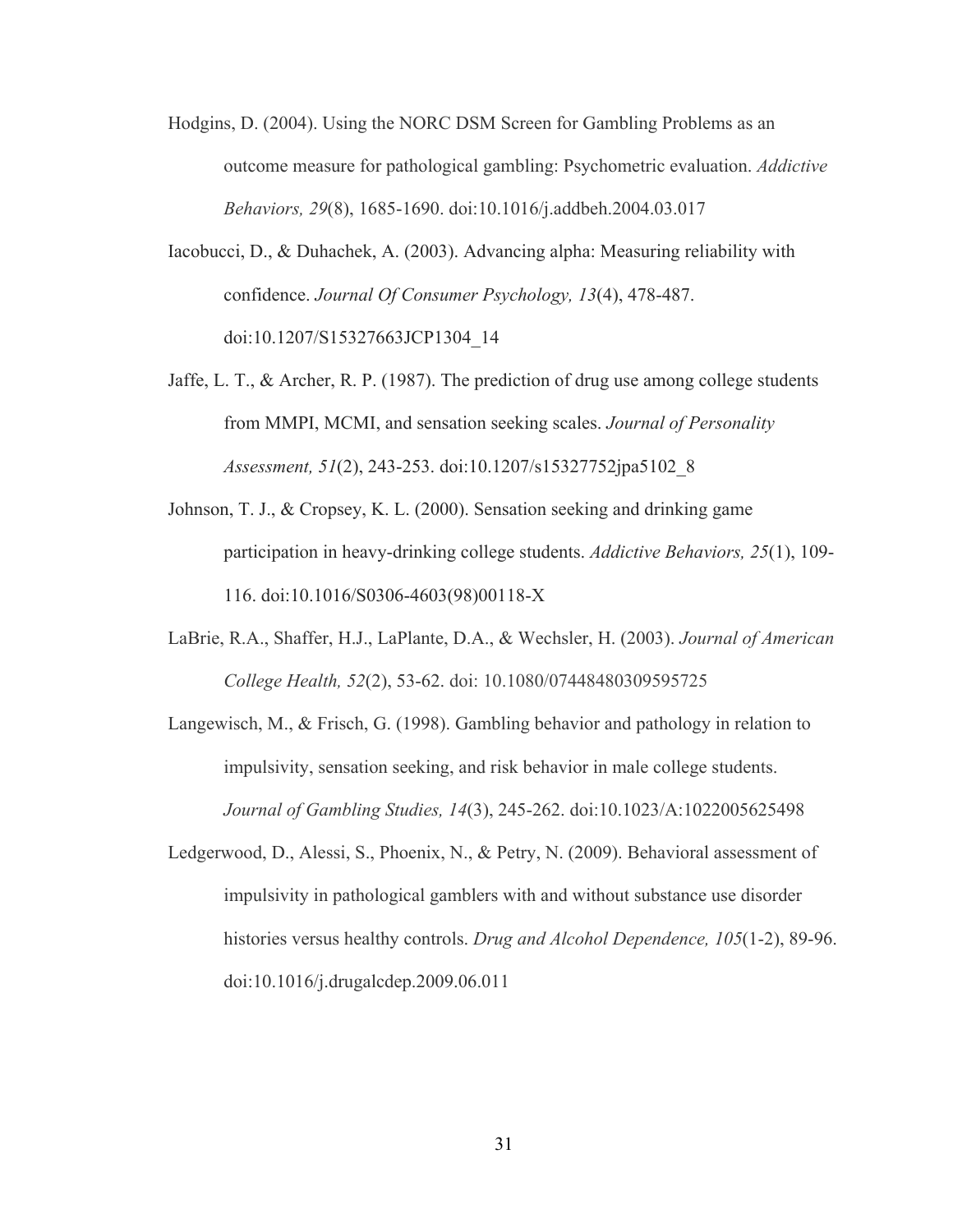- Hodgins, D. (2004). Using the NORC DSM Screen for Gambling Problems as an outcome measure for pathological gambling: Psychometric evaluation. *Addictive Behaviors, 29*(8), 1685-1690. doi:10.1016/j.addbeh.2004.03.017
- Iacobucci, D., & Duhachek, A. (2003). Advancing alpha: Measuring reliability with confidence. *Journal Of Consumer Psychology, 13*(4), 478-487. doi:10.1207/S15327663JCP1304\_14
- Jaffe, L. T., & Archer, R. P. (1987). The prediction of drug use among college students from MMPI, MCMI, and sensation seeking scales. *Journal of Personality Assessment, 51*(2), 243-253. doi:10.1207/s15327752jpa5102\_8
- Johnson, T. J., & Cropsey, K. L. (2000). Sensation seeking and drinking game participation in heavy-drinking college students. *Addictive Behaviors, 25*(1), 109- 116. doi:10.1016/S0306-4603(98)00118-X
- LaBrie, R.A., Shaffer, H.J., LaPlante, D.A., & Wechsler, H. (2003). *Journal of American College Health, 52*(2), 53-62. doi: 10.1080/07448480309595725
- Langewisch, M., & Frisch, G. (1998). Gambling behavior and pathology in relation to impulsivity, sensation seeking, and risk behavior in male college students. *Journal of Gambling Studies, 14*(3), 245-262. doi:10.1023/A:1022005625498
- Ledgerwood, D., Alessi, S., Phoenix, N., & Petry, N. (2009). Behavioral assessment of impulsivity in pathological gamblers with and without substance use disorder histories versus healthy controls. *Drug and Alcohol Dependence, 105*(1-2), 89-96. doi:10.1016/j.drugalcdep.2009.06.011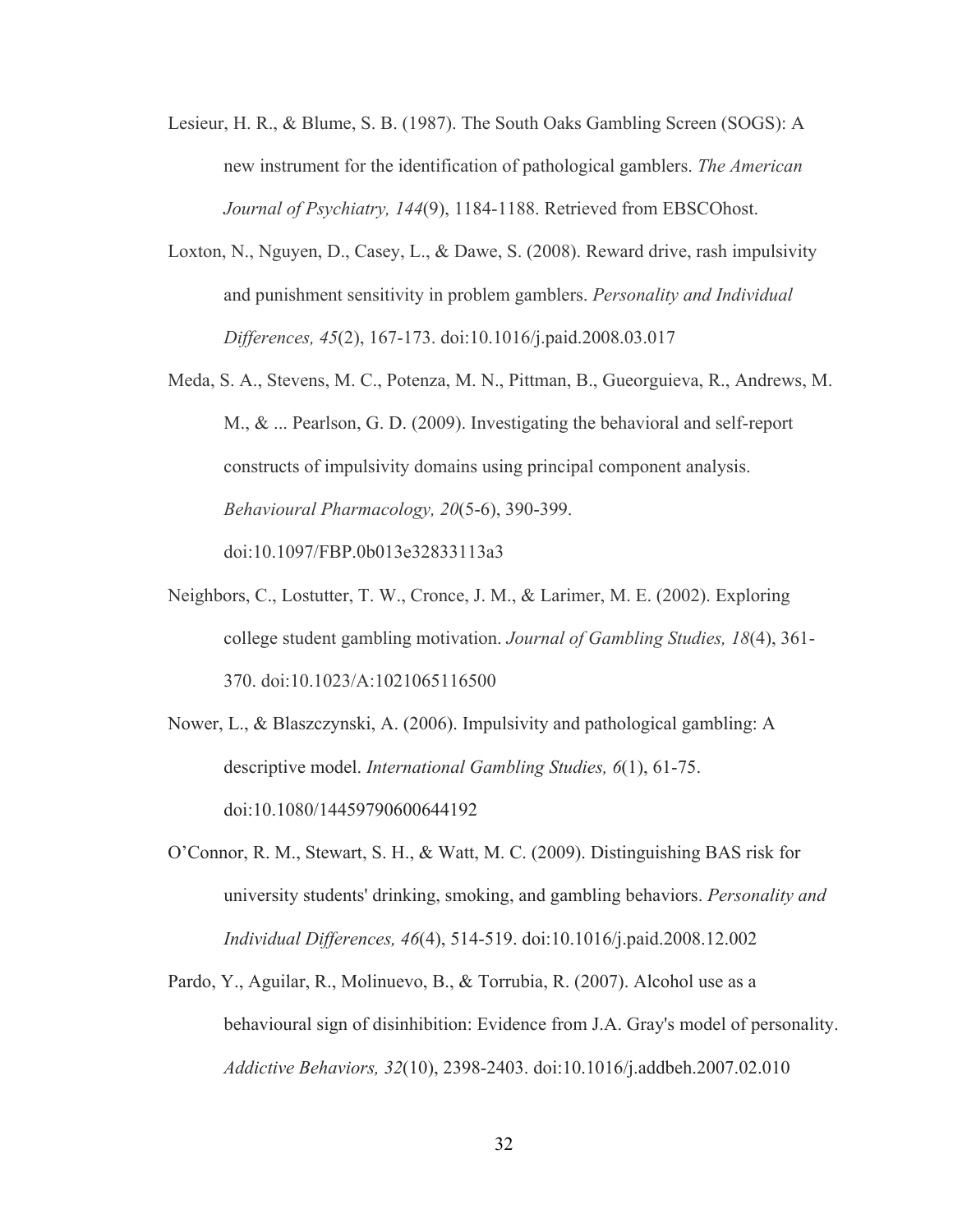- Lesieur, H. R., & Blume, S. B. (1987). The South Oaks Gambling Screen (SOGS): A new instrument for the identification of pathological gamblers. *The American Journal of Psychiatry, 144*(9), 1184-1188. Retrieved from EBSCOhost.
- Loxton, N., Nguyen, D., Casey, L., & Dawe, S. (2008). Reward drive, rash impulsivity and punishment sensitivity in problem gamblers. *Personality and Individual Differences, 45*(2), 167-173. doi:10.1016/j.paid.2008.03.017
- Meda, S. A., Stevens, M. C., Potenza, M. N., Pittman, B., Gueorguieva, R., Andrews, M. M., & ... Pearlson, G. D. (2009). Investigating the behavioral and self-report constructs of impulsivity domains using principal component analysis. *Behavioural Pharmacology, 20*(5-6), 390-399. doi:10.1097/FBP.0b013e32833113a3
- Neighbors, C., Lostutter, T. W., Cronce, J. M., & Larimer, M. E. (2002). Exploring college student gambling motivation. *Journal of Gambling Studies, 18*(4), 361- 370. doi:10.1023/A:1021065116500
- Nower, L., & Blaszczynski, A. (2006). Impulsivity and pathological gambling: A descriptive model. *International Gambling Studies, 6*(1), 61-75. doi:10.1080/14459790600644192
- O'Connor, R. M., Stewart, S. H., & Watt, M. C. (2009). Distinguishing BAS risk for university students' drinking, smoking, and gambling behaviors. *Personality and Individual Differences, 46*(4), 514-519. doi:10.1016/j.paid.2008.12.002
- Pardo, Y., Aguilar, R., Molinuevo, B., & Torrubia, R. (2007). Alcohol use as a behavioural sign of disinhibition: Evidence from J.A. Gray's model of personality. *Addictive Behaviors, 32*(10), 2398-2403. doi:10.1016/j.addbeh.2007.02.010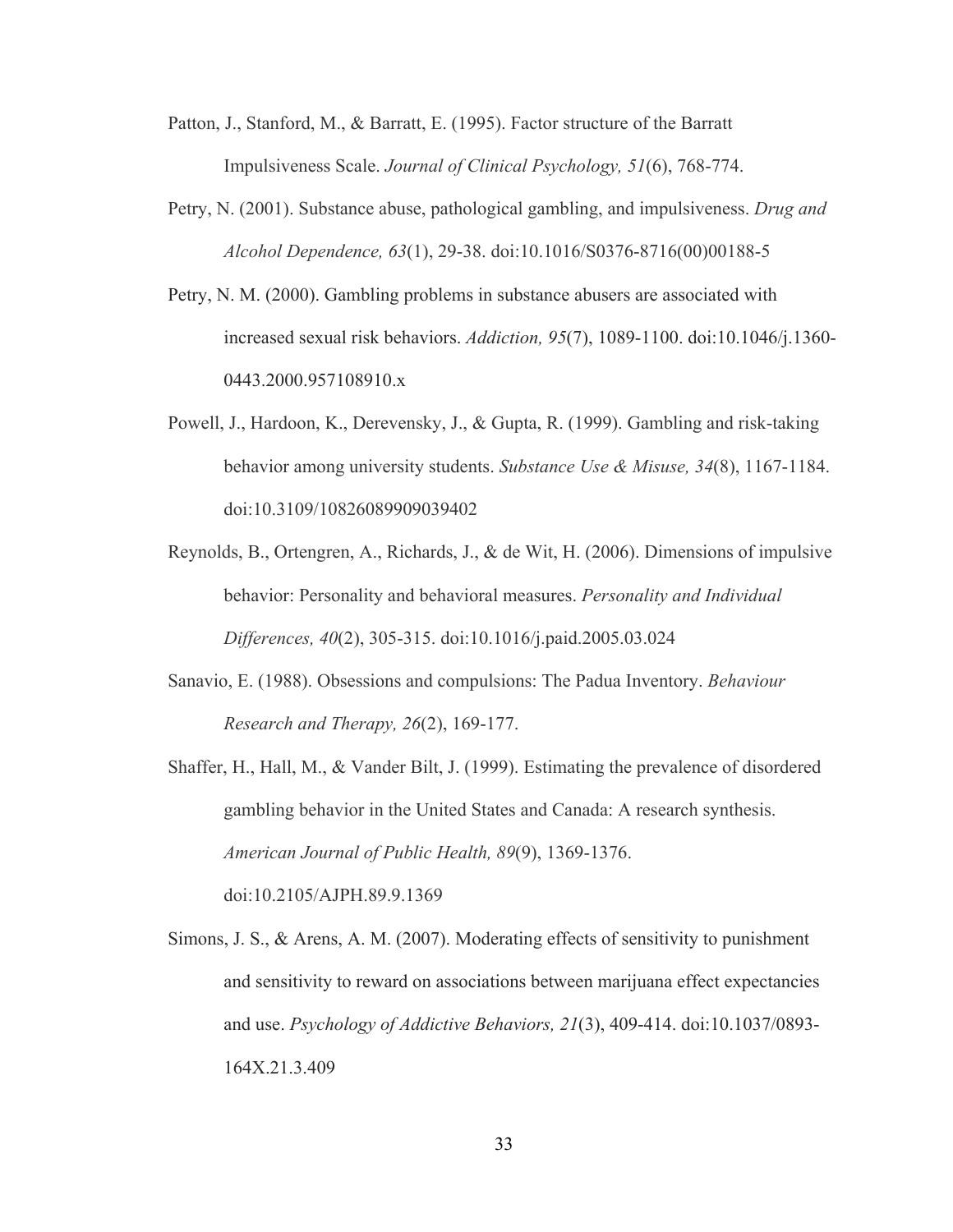- Patton, J., Stanford, M., & Barratt, E. (1995). Factor structure of the Barratt Impulsiveness Scale. *Journal of Clinical Psychology, 51*(6), 768-774.
- Petry, N. (2001). Substance abuse, pathological gambling, and impulsiveness. *Drug and Alcohol Dependence, 63*(1), 29-38. doi:10.1016/S0376-8716(00)00188-5
- Petry, N. M. (2000). Gambling problems in substance abusers are associated with increased sexual risk behaviors. *Addiction, 95*(7), 1089-1100. doi:10.1046/j.1360- 0443.2000.957108910.x
- Powell, J., Hardoon, K., Derevensky, J., & Gupta, R. (1999). Gambling and risk-taking behavior among university students. *Substance Use & Misuse, 34*(8), 1167-1184. doi:10.3109/10826089909039402
- Reynolds, B., Ortengren, A., Richards, J., & de Wit, H. (2006). Dimensions of impulsive behavior: Personality and behavioral measures. *Personality and Individual Differences, 40*(2), 305-315. doi:10.1016/j.paid.2005.03.024
- Sanavio, E. (1988). Obsessions and compulsions: The Padua Inventory. *Behaviour Research and Therapy, 26*(2), 169-177.

Shaffer, H., Hall, M., & Vander Bilt, J. (1999). Estimating the prevalence of disordered gambling behavior in the United States and Canada: A research synthesis. *American Journal of Public Health, 89*(9), 1369-1376. doi:10.2105/AJPH.89.9.1369

Simons, J. S., & Arens, A. M. (2007). Moderating effects of sensitivity to punishment and sensitivity to reward on associations between marijuana effect expectancies and use. *Psychology of Addictive Behaviors, 21*(3), 409-414. doi:10.1037/0893- 164X.21.3.409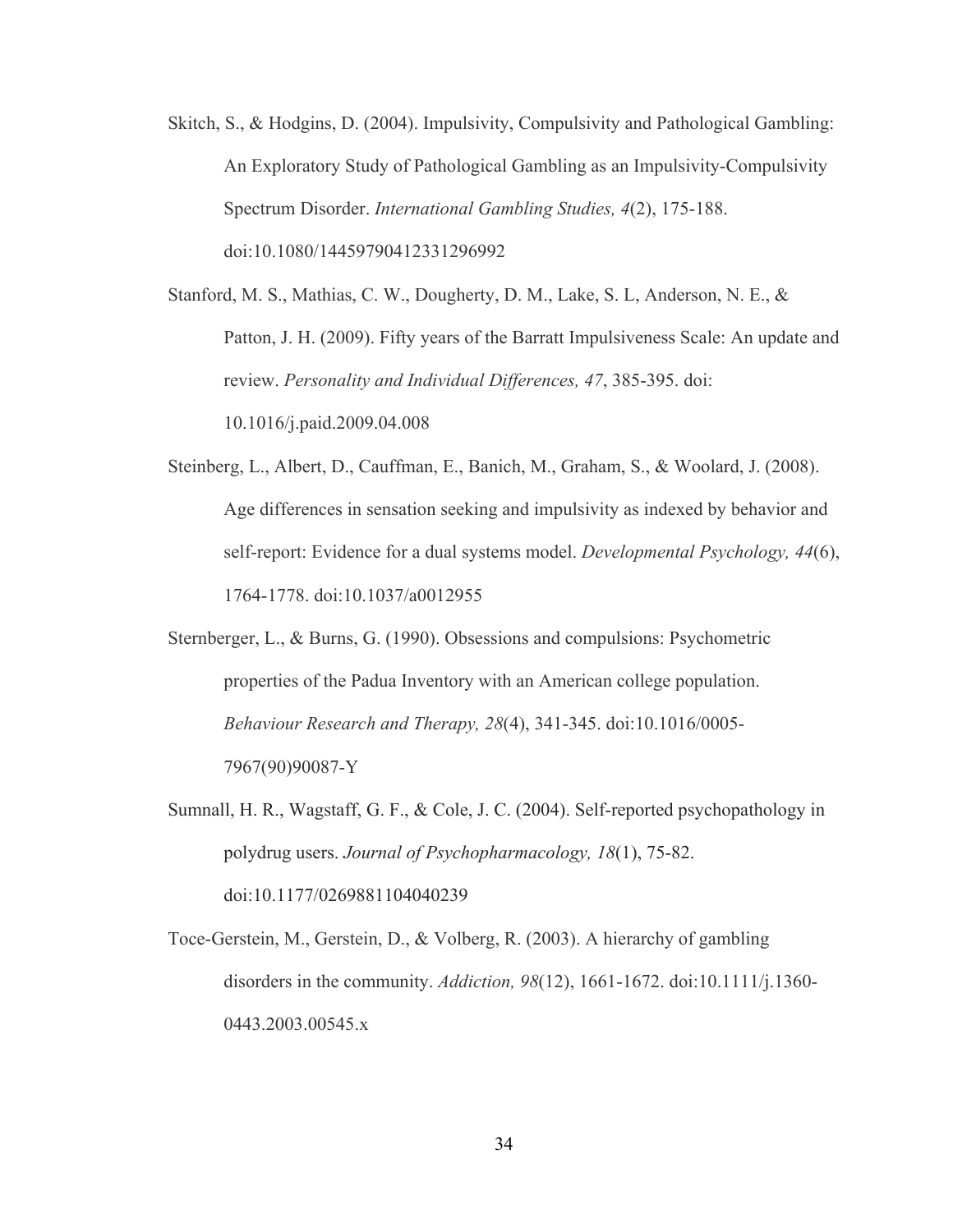Skitch, S., & Hodgins, D. (2004). Impulsivity, Compulsivity and Pathological Gambling: An Exploratory Study of Pathological Gambling as an Impulsivity-Compulsivity Spectrum Disorder. *International Gambling Studies, 4*(2), 175-188. doi:10.1080/14459790412331296992

Stanford, M. S., Mathias, C. W., Dougherty, D. M., Lake, S. L, Anderson, N. E., & Patton, J. H. (2009). Fifty years of the Barratt Impulsiveness Scale: An update and review. *Personality and Individual Differences, 47*, 385-395. doi: 10.1016/j.paid.2009.04.008

- Steinberg, L., Albert, D., Cauffman, E., Banich, M., Graham, S., & Woolard, J. (2008). Age differences in sensation seeking and impulsivity as indexed by behavior and self-report: Evidence for a dual systems model. *Developmental Psychology, 44*(6), 1764-1778. doi:10.1037/a0012955
- Sternberger, L., & Burns, G. (1990). Obsessions and compulsions: Psychometric properties of the Padua Inventory with an American college population. *Behaviour Research and Therapy, 28*(4), 341-345. doi:10.1016/0005- 7967(90)90087-Y
- Sumnall, H. R., Wagstaff, G. F., & Cole, J. C. (2004). Self-reported psychopathology in polydrug users. *Journal of Psychopharmacology, 18*(1), 75-82. doi:10.1177/0269881104040239
- Toce-Gerstein, M., Gerstein, D., & Volberg, R. (2003). A hierarchy of gambling disorders in the community. *Addiction, 98*(12), 1661-1672. doi:10.1111/j.1360- 0443.2003.00545.x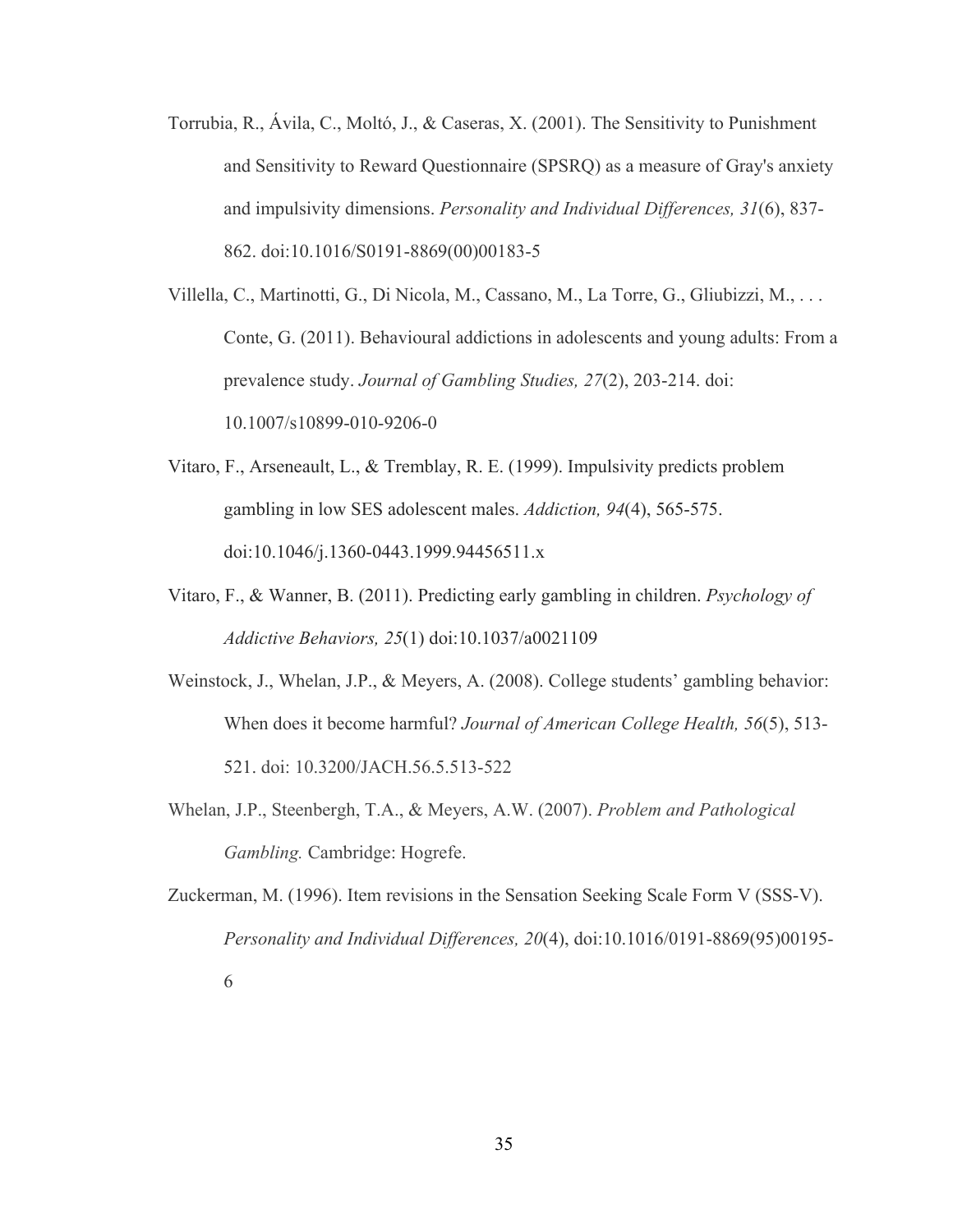- Torrubia, R., Ávila, C., Moltó, J., & Caseras, X. (2001). The Sensitivity to Punishment and Sensitivity to Reward Questionnaire (SPSRQ) as a measure of Gray's anxiety and impulsivity dimensions. *Personality and Individual Differences, 31*(6), 837- 862. doi:10.1016/S0191-8869(00)00183-5
- Villella, C., Martinotti, G., Di Nicola, M., Cassano, M., La Torre, G., Gliubizzi, M., . . . Conte, G. (2011). Behavioural addictions in adolescents and young adults: From a prevalence study. *Journal of Gambling Studies, 27*(2), 203-214. doi: 10.1007/s10899-010-9206-0
- Vitaro, F., Arseneault, L., & Tremblay, R. E. (1999). Impulsivity predicts problem gambling in low SES adolescent males. *Addiction, 94*(4), 565-575. doi:10.1046/j.1360-0443.1999.94456511.x
- Vitaro, F., & Wanner, B. (2011). Predicting early gambling in children. *Psychology of Addictive Behaviors, 25*(1) doi:10.1037/a0021109
- Weinstock, J., Whelan, J.P., & Meyers, A. (2008). College students' gambling behavior: When does it become harmful? *Journal of American College Health, 56*(5), 513- 521. doi: 10.3200/JACH.56.5.513-522
- Whelan, J.P., Steenbergh, T.A., & Meyers, A.W. (2007). *Problem and Pathological Gambling.* Cambridge: Hogrefe.
- Zuckerman, M. (1996). Item revisions in the Sensation Seeking Scale Form V (SSS-V). *Personality and Individual Differences, 20*(4), doi:10.1016/0191-8869(95)00195-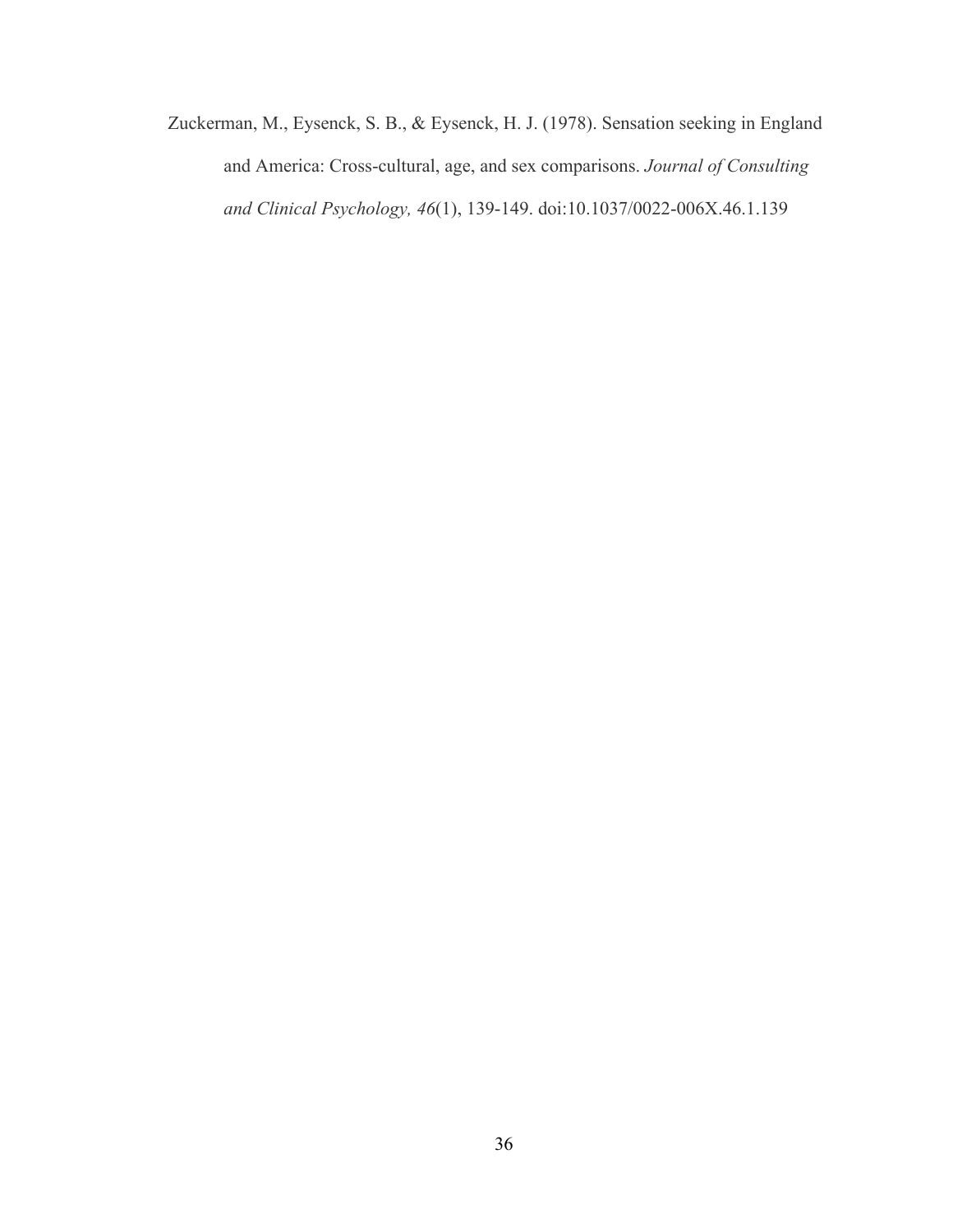Zuckerman, M., Eysenck, S. B., & Eysenck, H. J. (1978). Sensation seeking in England and America: Cross-cultural, age, and sex comparisons. *Journal of Consulting and Clinical Psychology, 46*(1), 139-149. doi:10.1037/0022-006X.46.1.139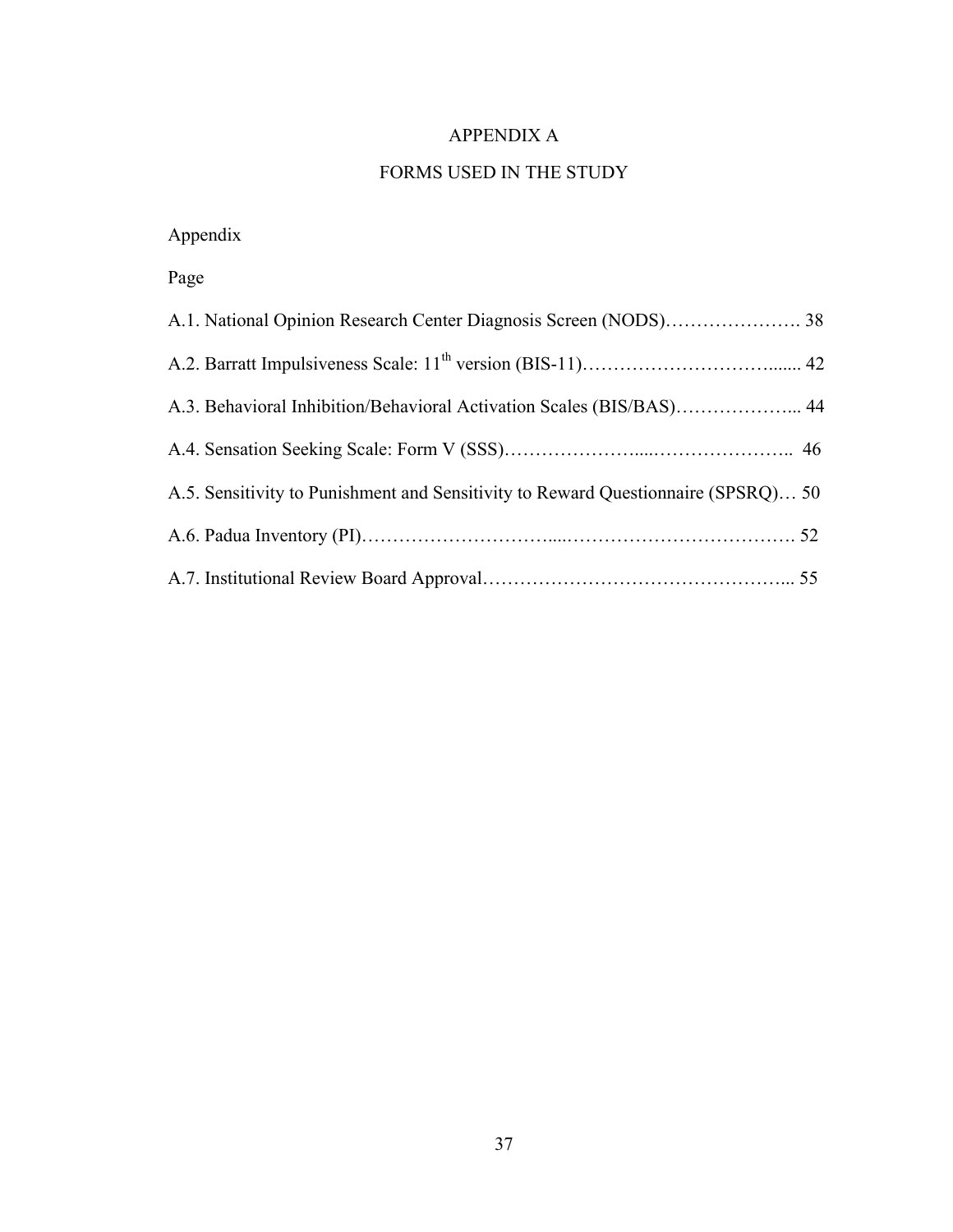# APPENDIX A

# FORMS USED IN THE STUDY

Appendix

Page

| A.3. Behavioral Inhibition/Behavioral Activation Scales (BIS/BAS) 44              |  |
|-----------------------------------------------------------------------------------|--|
|                                                                                   |  |
| A.5. Sensitivity to Punishment and Sensitivity to Reward Questionnaire (SPSRQ) 50 |  |
|                                                                                   |  |
|                                                                                   |  |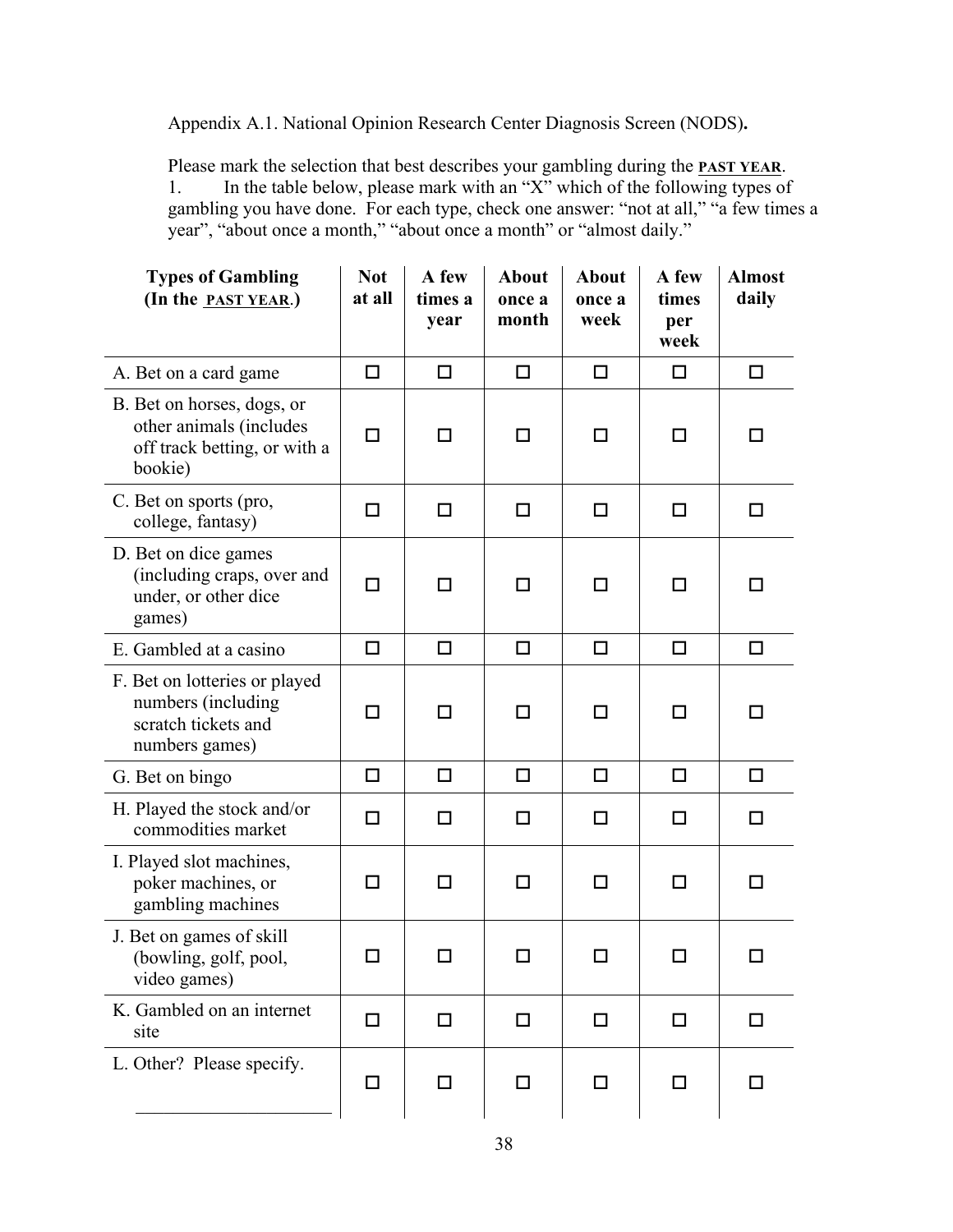Appendix A.1. National Opinion Research Center Diagnosis Screen (NODS)**.**

Please mark the selection that best describes your gambling during the **PAST YEAR**. 1. In the table below, please mark with an " $X$ " which of the following types of gambling you have done. For each type, check one answer: "not at all," "a few times a year", "about once a month," "about once a month" or "almost daily."

| <b>Types of Gambling</b><br>(In the <b>PAST YEAR.</b> )                                          | <b>Not</b><br>at all | A few<br>times a<br>year | <b>About</b><br>once a<br>month | <b>About</b><br>once a<br>week | A few<br>times<br>per<br>week | <b>Almost</b><br>daily |
|--------------------------------------------------------------------------------------------------|----------------------|--------------------------|---------------------------------|--------------------------------|-------------------------------|------------------------|
| A. Bet on a card game                                                                            | □                    | □                        | □                               | $\Box$                         | □                             | □                      |
| B. Bet on horses, dogs, or<br>other animals (includes<br>off track betting, or with a<br>bookie) | П                    | П                        | ΙI                              | □                              | □                             |                        |
| C. Bet on sports (pro,<br>college, fantasy)                                                      | □                    | □                        | □                               | $\Box$                         | □                             | □                      |
| D. Bet on dice games<br>(including craps, over and<br>under, or other dice<br>games)             | $\Box$               | П                        | П                               | □                              | П                             | ΙI                     |
| E. Gambled at a casino                                                                           | $\Box$               | □                        | $\Box$                          | □                              | $\Box$                        | п                      |
| F. Bet on lotteries or played<br>numbers (including<br>scratch tickets and<br>numbers games)     | □                    | □                        | □                               | $\Box$                         | □                             | П                      |
| G. Bet on bingo                                                                                  | $\Box$               | □                        | □                               | $\Box$                         | $\Box$                        | $\Box$                 |
| H. Played the stock and/or<br>commodities market                                                 | п                    | □                        | П                               | □                              | □                             | П                      |
| I. Played slot machines,<br>poker machines, or<br>gambling machines                              | П                    | П                        | П                               | п                              | П                             | П                      |
| J. Bet on games of skill<br>(bowling, golf, pool,<br>video games)                                |                      | П                        |                                 | П                              | П                             | П                      |
| K. Gambled on an internet<br>site                                                                | □                    | □                        | □                               | $\Box$                         | $\Box$                        | П                      |
| L. Other? Please specify.                                                                        | □                    | ◻                        | □                               | □                              | $\Box$                        | H                      |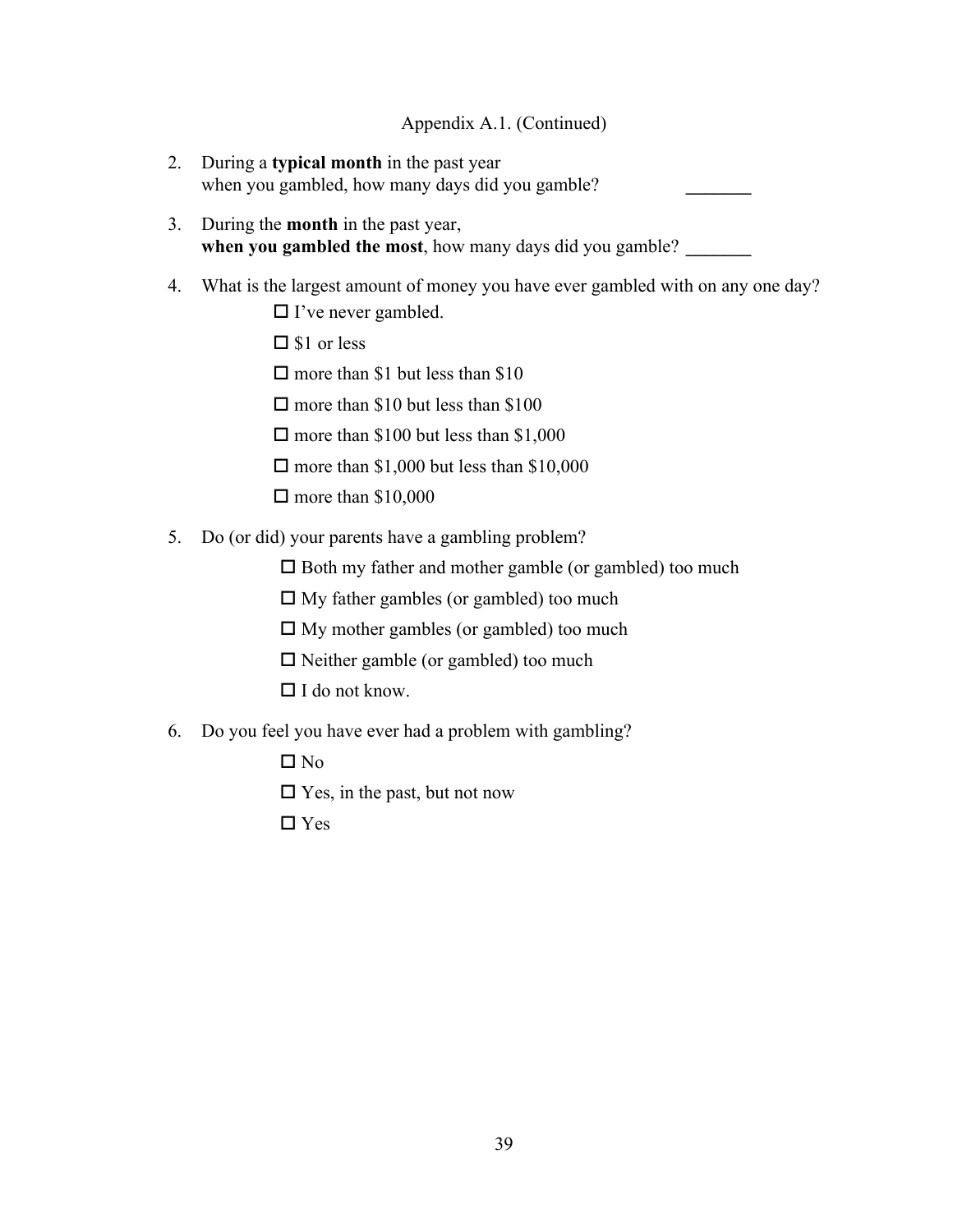# Appendix A.1. (Continued)

- 2. During a **typical month** in the past year when you gambled, how many days did you gamble?
- 3. During the **month** in the past year, **when you gambled the most,** how many days did you gamble?
- 4. What is the largest amount of money you have ever gambled with on any one day?
	- $\Box$  I've never gambled.
	- $\square$  \$1 or less
	- $\Box$  more than \$1 but less than \$10
	- $\Box$  more than \$10 but less than \$100
	- $\Box$  more than \$100 but less than \$1,000
	- $\Box$  more than \$1,000 but less than \$10,000
	- $\Box$  more than \$10,000
- 5. Do (or did) your parents have a gambling problem?
	- $\square$  Both my father and mother gamble (or gambled) too much
	- $\Box$  My father gambles (or gambled) too much
	- $\Box$  My mother gambles (or gambled) too much
	- $\square$  Neither gamble (or gambled) too much
	- $\Box$  I do not know.
- 6. Do you feel you have ever had a problem with gambling?
	- $\Box$  No

 $\square$  Yes, in the past, but not now

□ Yes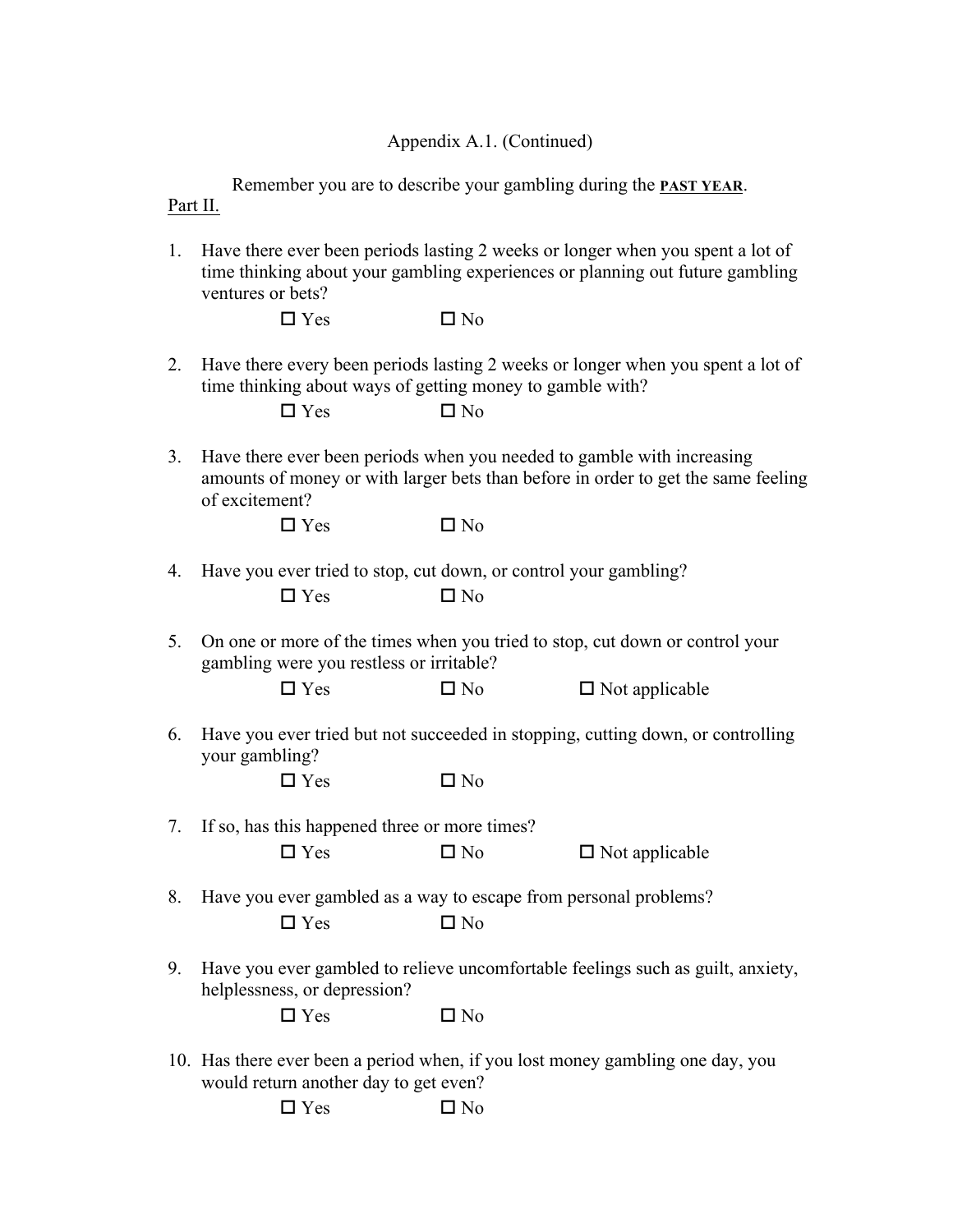## Appendix A.1. (Continued)

Remember you are to describe your gambling during the **PAST YEAR**. Part II.

1. Have there ever been periods lasting 2 weeks or longer when you spent a lot of time thinking about your gambling experiences or planning out future gambling ventures or bets?

 $\Box$  Yes  $\Box$  No

2. Have there every been periods lasting 2 weeks or longer when you spent a lot of time thinking about ways of getting money to gamble with?

3. Have there ever been periods when you needed to gamble with increasing amounts of money or with larger bets than before in order to get the same feeling of excitement?

 $\Box$  Yes  $\Box$  No

- 4. Have you ever tried to stop, cut down, or control your gambling?  $\Box$  Yes  $\Box$  No
- 5. On one or more of the times when you tried to stop, cut down or control your gambling were you restless or irritable?

| $\Box$ Yes<br>$\square$ No<br>$\Box$ Not applicable |
|-----------------------------------------------------|
|-----------------------------------------------------|

6. Have you ever tried but not succeeded in stopping, cutting down, or controlling your gambling?

| $\square$ Yes | $\square$ No |
|---------------|--------------|
|               |              |
|               |              |

- 7. If so, has this happened three or more times?  $\Box$  Yes  $\Box$  No  $\Box$  Not applicable
- 8. Have you ever gambled as a way to escape from personal problems?  $\Box$  Yes  $\Box$  No
- 9. Have you ever gambled to relieve uncomfortable feelings such as guilt, anxiety, helplessness, or depression?

| $\Box$ Yes | $\Box$ No |
|------------|-----------|
|------------|-----------|

10. Has there ever been a period when, if you lost money gambling one day, you would return another day to get even?

| $\Box$ Yes | $\square$ No |
|------------|--------------|
|            |              |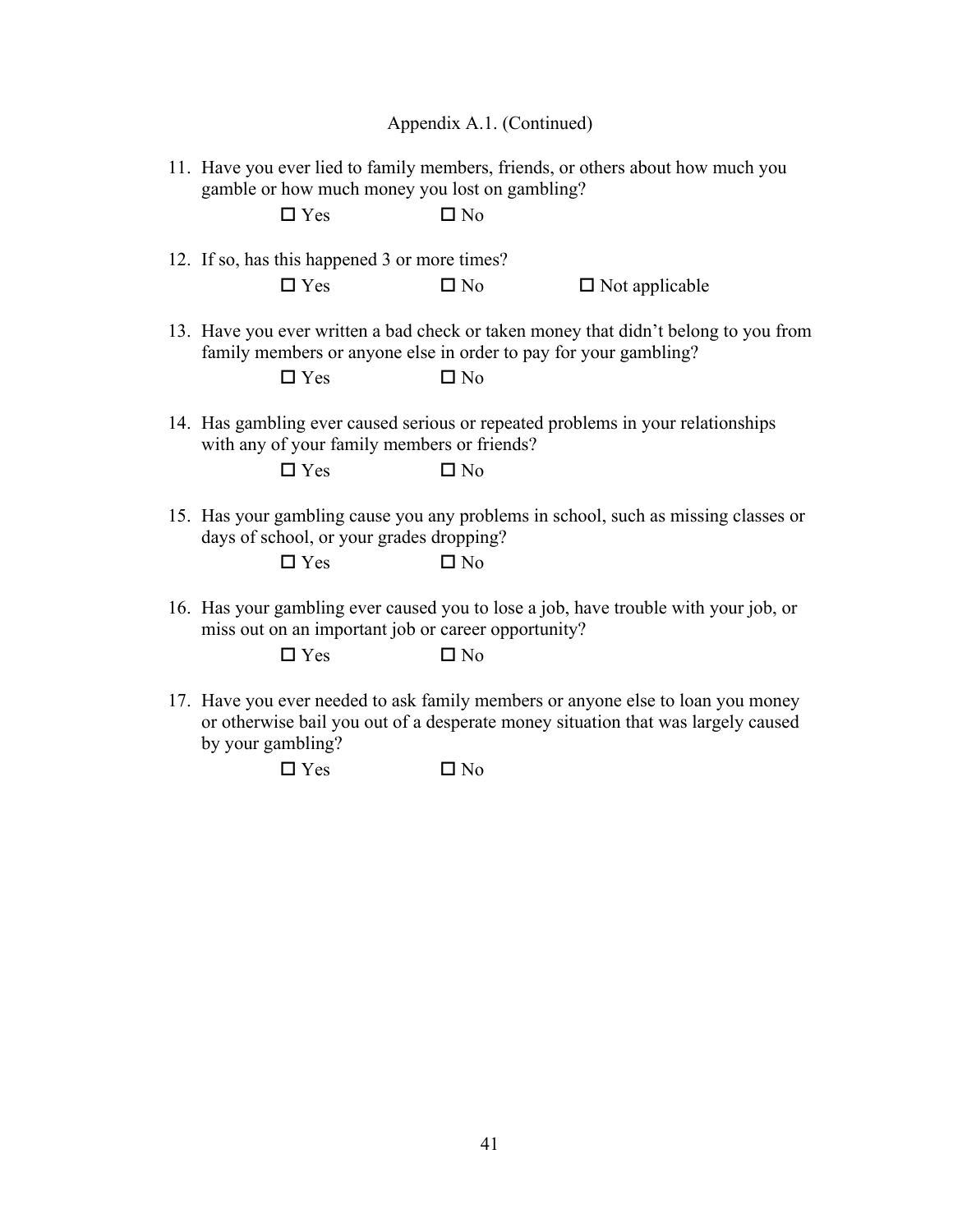Appendix A.1. (Continued)

11. Have you ever lied to family members, friends, or others about how much you gamble or how much money you lost on gambling?

|  | $\square$ Yes                                                                  | $\square$ No |                                                                                     |
|--|--------------------------------------------------------------------------------|--------------|-------------------------------------------------------------------------------------|
|  | 12. If so, has this happened 3 or more times?                                  |              |                                                                                     |
|  | $\Box$ Yes                                                                     | $\Box$ No    | $\Box$ Not applicable                                                               |
|  | family members or anyone else in order to pay for your gambling?<br>$\Box$ Yes | $\square$ No | 13. Have you ever written a bad check or taken money that didn't belong to you from |
|  | with any of your family members or friends?<br>$\Box$ Yes                      | $\square$ No | 14. Has gambling ever caused serious or repeated problems in your relationships     |
|  |                                                                                |              |                                                                                     |
|  | days of school, or your grades dropping?<br>$\Box$ Yes                         | $\Box$ No    | 15. Has your gambling cause you any problems in school, such as missing classes or  |
|  | miss out on an important job or career opportunity?                            |              | 16. Has your gambling ever caused you to lose a job, have trouble with your job, or |
|  | $\square$ Yes                                                                  | $\square$ No |                                                                                     |

17. Have you ever needed to ask family members or anyone else to loan you money or otherwise bail you out of a desperate money situation that was largely caused by your gambling?

 $\Box$  Yes  $\Box$  No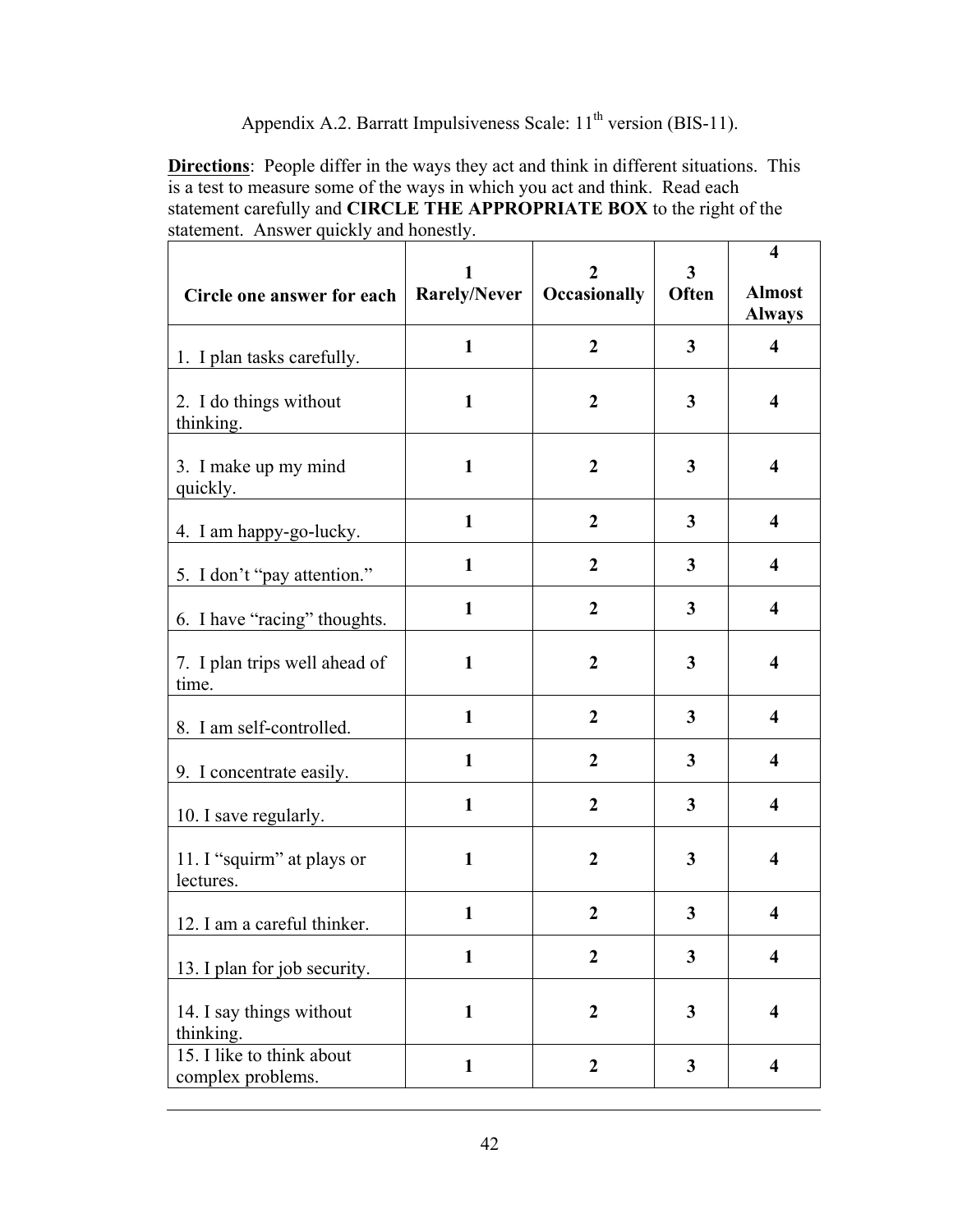# Appendix A.2. Barratt Impulsiveness Scale: 11<sup>th</sup> version (BIS-11).

**Directions**: People differ in the ways they act and think in different situations. This is a test to measure some of the ways in which you act and think. Read each statement carefully and **CIRCLE THE APPROPRIATE BOX** to the right of the statement. Answer quickly and honestly.

| Circle one answer for each                     | 1<br>Rarely/Never | 2<br>Occasionally | 3<br>Often | $\overline{\mathbf{4}}$<br><b>Almost</b><br><b>Always</b> |
|------------------------------------------------|-------------------|-------------------|------------|-----------------------------------------------------------|
| 1. I plan tasks carefully.                     | $\mathbf{1}$      | $\overline{2}$    | 3          | $\overline{\mathbf{4}}$                                   |
| 2. I do things without<br>thinking.            | $\mathbf{1}$      | $\boldsymbol{2}$  | 3          | $\overline{\mathbf{4}}$                                   |
| 3. I make up my mind<br>quickly.               | $\mathbf{1}$      | $\boldsymbol{2}$  | 3          | $\overline{\mathbf{4}}$                                   |
| 4. I am happy-go-lucky.                        | $\mathbf{1}$      | $\overline{2}$    | 3          | $\overline{\mathbf{4}}$                                   |
| 5. I don't "pay attention."                    | $\mathbf{1}$      | $\boldsymbol{2}$  | 3          | $\overline{\mathbf{4}}$                                   |
| 6. I have "racing" thoughts.                   | $\mathbf{1}$      | $\overline{2}$    | 3          | $\overline{\mathbf{4}}$                                   |
| 7. I plan trips well ahead of<br>time.         | $\mathbf{1}$      | $\boldsymbol{2}$  | 3          | $\overline{\mathbf{4}}$                                   |
| 8. I am self-controlled.                       | $\mathbf{1}$      | $\overline{2}$    | 3          | $\overline{\mathbf{4}}$                                   |
| 9. I concentrate easily.                       | $\mathbf{1}$      | $\boldsymbol{2}$  | 3          | $\overline{\mathbf{4}}$                                   |
| 10. I save regularly.                          | $\mathbf{1}$      | $\overline{2}$    | 3          | $\overline{\mathbf{4}}$                                   |
| 11. I "squirm" at plays or<br>lectures.        | $\mathbf{1}$      | $\boldsymbol{2}$  | 3          | $\overline{\mathbf{4}}$                                   |
| 12. I am a careful thinker.                    | $\mathbf{1}$      | $\boldsymbol{2}$  | 3          | $\overline{\mathbf{4}}$                                   |
| 13. I plan for job security.                   | $\mathbf{1}$      | $\overline{2}$    | 3          | $\overline{\mathbf{4}}$                                   |
| 14. I say things without<br>thinking.          | $\mathbf{1}$      | $\boldsymbol{2}$  | 3          | $\overline{\mathbf{4}}$                                   |
| 15. I like to think about<br>complex problems. | $\mathbf{1}$      | $\boldsymbol{2}$  | 3          | $\overline{\mathbf{4}}$                                   |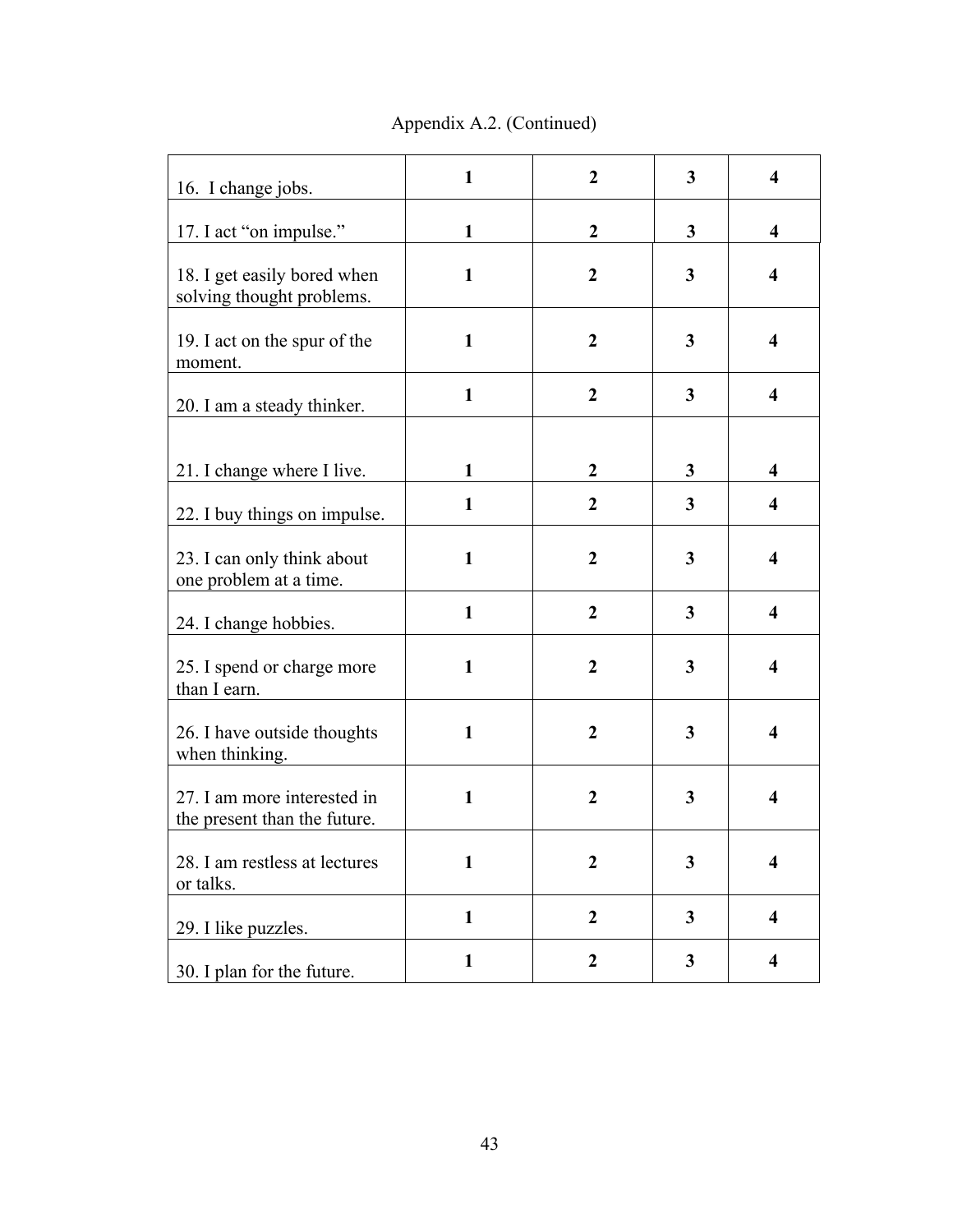Appendix A.2. (Continued)

| 16. I change jobs.                                          | $\mathbf{1}$ | $\overline{2}$   | 3            | $\overline{\mathbf{4}}$ |
|-------------------------------------------------------------|--------------|------------------|--------------|-------------------------|
| 17. I act "on impulse."                                     | $\mathbf{1}$ | $\boldsymbol{2}$ | 3            | $\overline{\mathbf{4}}$ |
| 18. I get easily bored when<br>solving thought problems.    | $\mathbf{1}$ | $\boldsymbol{2}$ | $\mathbf{3}$ | $\overline{\mathbf{4}}$ |
| 19. I act on the spur of the<br>moment.                     | $\mathbf{1}$ | $\boldsymbol{2}$ | 3            | $\overline{\mathbf{4}}$ |
| 20. I am a steady thinker.                                  | $\mathbf{1}$ | $\boldsymbol{2}$ | 3            | $\overline{\mathbf{4}}$ |
|                                                             |              |                  |              |                         |
| 21. I change where I live.                                  | $\mathbf{1}$ | $\boldsymbol{2}$ | 3            | $\overline{\mathbf{4}}$ |
| 22. I buy things on impulse.                                | $\mathbf{1}$ | $\overline{2}$   | 3            | $\overline{\mathbf{4}}$ |
| 23. I can only think about<br>one problem at a time.        | $\mathbf{1}$ | $\overline{2}$   | 3            | $\overline{\mathbf{4}}$ |
| 24. I change hobbies.                                       | $\mathbf{1}$ | $\overline{2}$   | 3            | $\overline{\mathbf{4}}$ |
| 25. I spend or charge more<br>than I earn.                  | $\mathbf{1}$ | $\boldsymbol{2}$ | 3            | $\overline{\mathbf{4}}$ |
| 26. I have outside thoughts<br>when thinking.               | $\mathbf{1}$ | $\overline{2}$   | 3            | $\overline{\mathbf{4}}$ |
| 27. I am more interested in<br>the present than the future. | $\mathbf{1}$ | $\boldsymbol{2}$ | 3            | $\overline{\mathbf{4}}$ |
| 28. I am restless at lectures<br>or talks.                  | $\mathbf{1}$ | $\boldsymbol{2}$ | 3            | $\overline{\mathbf{4}}$ |
| 29. I like puzzles.                                         | $\mathbf{1}$ | $\boldsymbol{2}$ | $\mathbf{3}$ | $\overline{\mathbf{4}}$ |
| 30. I plan for the future.                                  | $\mathbf{1}$ | $\boldsymbol{2}$ | 3            | $\overline{\mathbf{4}}$ |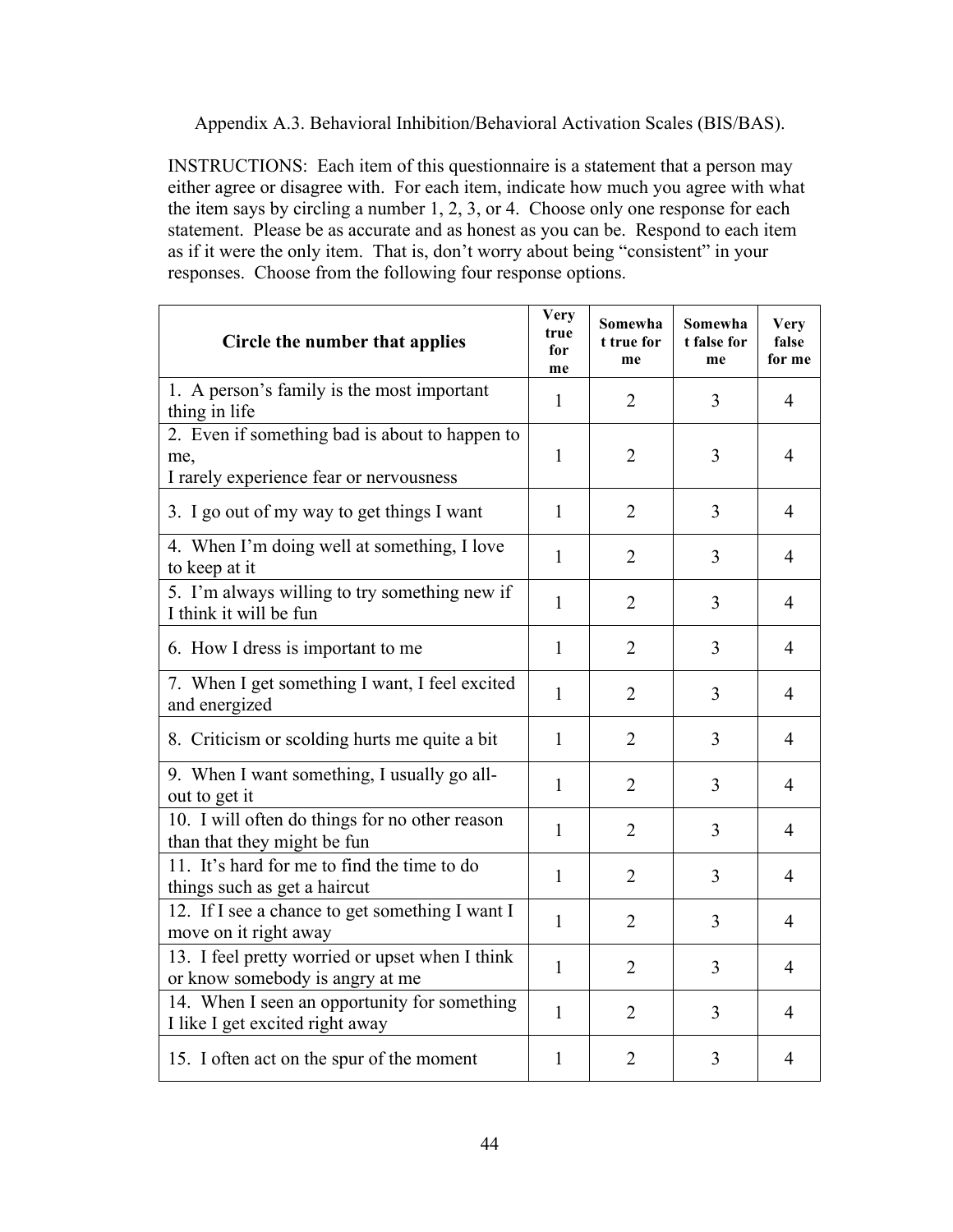Appendix A.3. Behavioral Inhibition/Behavioral Activation Scales (BIS/BAS).

INSTRUCTIONS: Each item of this questionnaire is a statement that a person may either agree or disagree with. For each item, indicate how much you agree with what the item says by circling a number 1, 2, 3, or 4. Choose only one response for each statement. Please be as accurate and as honest as you can be. Respond to each item as if it were the only item. That is, don't worry about being "consistent" in your responses. Choose from the following four response options.

| Circle the number that applies                                                                   | <b>Very</b><br>true<br>for<br>me | Somewha<br>t true for<br>me | Somewha<br>t false for<br>me | <b>Very</b><br>false<br>for me |
|--------------------------------------------------------------------------------------------------|----------------------------------|-----------------------------|------------------------------|--------------------------------|
| 1. A person's family is the most important<br>thing in life                                      | $\mathbf{1}$                     | $\overline{2}$              | 3                            | 4                              |
| 2. Even if something bad is about to happen to<br>me,<br>I rarely experience fear or nervousness | $\mathbf{1}$                     | $\overline{2}$              | 3                            | $\overline{4}$                 |
| 3. I go out of my way to get things I want                                                       | $\mathbf{1}$                     | $\overline{2}$              | 3                            | $\overline{4}$                 |
| 4. When I'm doing well at something, I love<br>to keep at it                                     | $\mathbf{1}$                     | $\overline{2}$              | 3                            | $\overline{4}$                 |
| 5. I'm always willing to try something new if<br>I think it will be fun                          | $\mathbf{1}$                     | $\overline{2}$              | 3                            | $\overline{4}$                 |
| 6. How I dress is important to me                                                                | $\mathbf{1}$                     | $\overline{2}$              | 3                            | $\overline{4}$                 |
| 7. When I get something I want, I feel excited<br>and energized                                  | $\mathbf{1}$                     | $\overline{2}$              | 3                            | 4                              |
| 8. Criticism or scolding hurts me quite a bit                                                    | $\mathbf{1}$                     | $\overline{2}$              | 3                            | 4                              |
| 9. When I want something, I usually go all-<br>out to get it                                     | $\mathbf{1}$                     | $\overline{2}$              | 3                            | $\overline{4}$                 |
| 10. I will often do things for no other reason<br>than that they might be fun                    | 1                                | $\overline{2}$              | 3                            | 4                              |
| 11. It's hard for me to find the time to do<br>things such as get a haircut                      | $\mathbf{1}$                     | $\overline{2}$              | 3                            | $\overline{4}$                 |
| 12. If I see a chance to get something I want I<br>move on it right away                         | $\mathbf{1}$                     | $\overline{2}$              | 3                            | $\overline{4}$                 |
| 13. I feel pretty worried or upset when I think<br>or know somebody is angry at me               | $\mathbf{1}$                     | $\overline{2}$              | 3                            | 4                              |
| 14. When I seen an opportunity for something<br>I like I get excited right away                  | $\mathbf{1}$                     | $\overline{2}$              | 3                            | 4                              |
| 15. I often act on the spur of the moment                                                        | 1                                | $\overline{2}$              | 3                            | 4                              |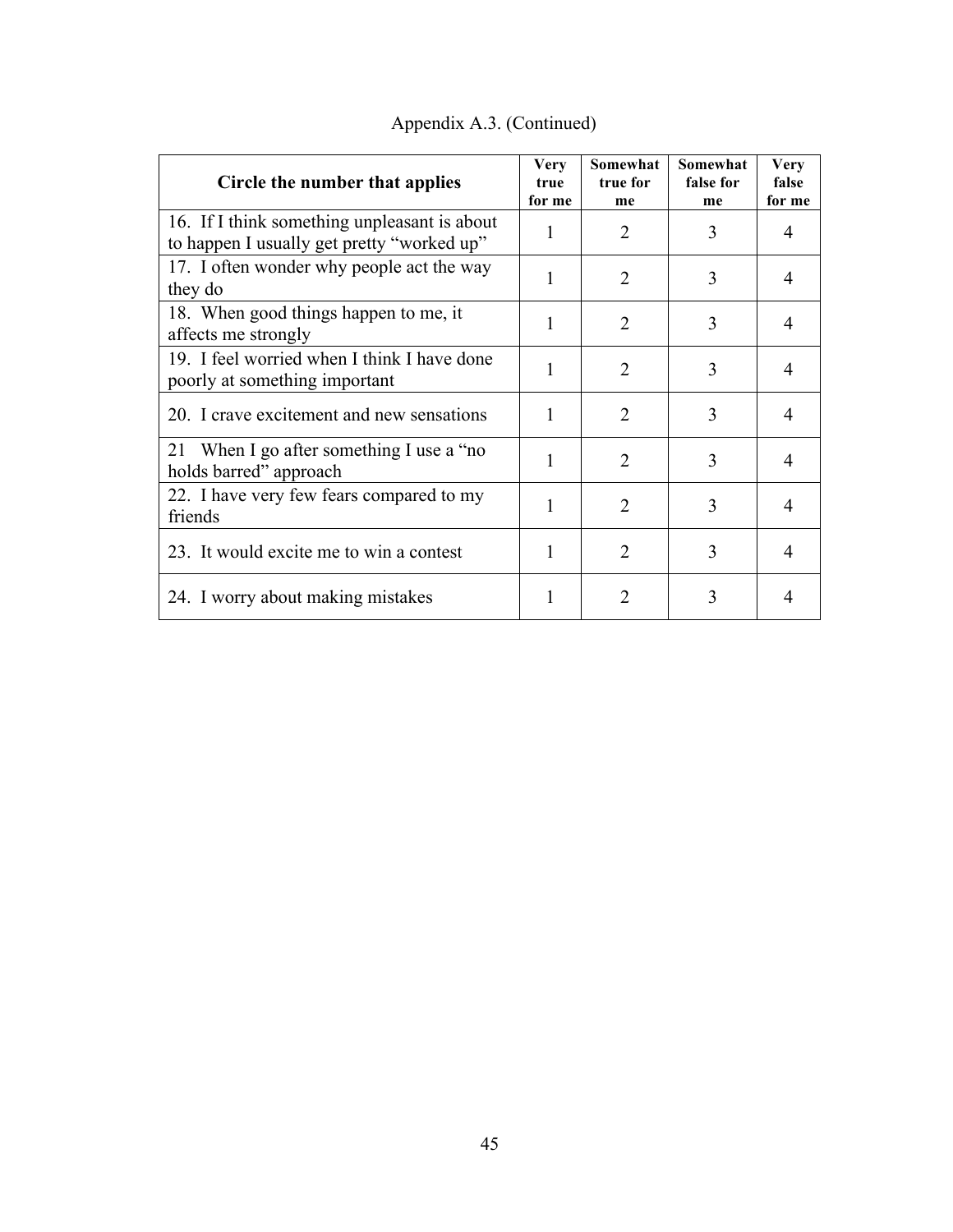| Circle the number that applies                                                             | <b>Very</b><br>true<br>for me | Somewhat<br>true for<br>me | Somewhat<br>false for<br>me | <b>Very</b><br>false<br>for me |
|--------------------------------------------------------------------------------------------|-------------------------------|----------------------------|-----------------------------|--------------------------------|
| 16. If I think something unpleasant is about<br>to happen I usually get pretty "worked up" | 1                             | 2                          | 3                           | 4                              |
| 17. I often wonder why people act the way<br>they do                                       | 1                             | $\overline{2}$             | 3                           | $\overline{4}$                 |
| 18. When good things happen to me, it<br>affects me strongly                               | 1                             | 2                          | 3                           | 4                              |
| 19. I feel worried when I think I have done<br>poorly at something important               | 1                             | $\overline{2}$             | 3                           | $\overline{4}$                 |
| 20. I crave excitement and new sensations                                                  | 1                             | $\overline{2}$             | 3                           | $\overline{4}$                 |
| 21 When I go after something I use a "no<br>holds barred" approach                         | 1                             | $\overline{2}$             | 3                           | 4                              |
| 22. I have very few fears compared to my<br>friends                                        | 1                             | $\mathcal{L}$              | 3                           | 4                              |
| 23. It would excite me to win a contest                                                    | 1                             | $\overline{2}$             | 3                           | $\overline{4}$                 |
| 24. I worry about making mistakes                                                          |                               | $\overline{2}$             | 3                           |                                |

Appendix A.3. (Continued)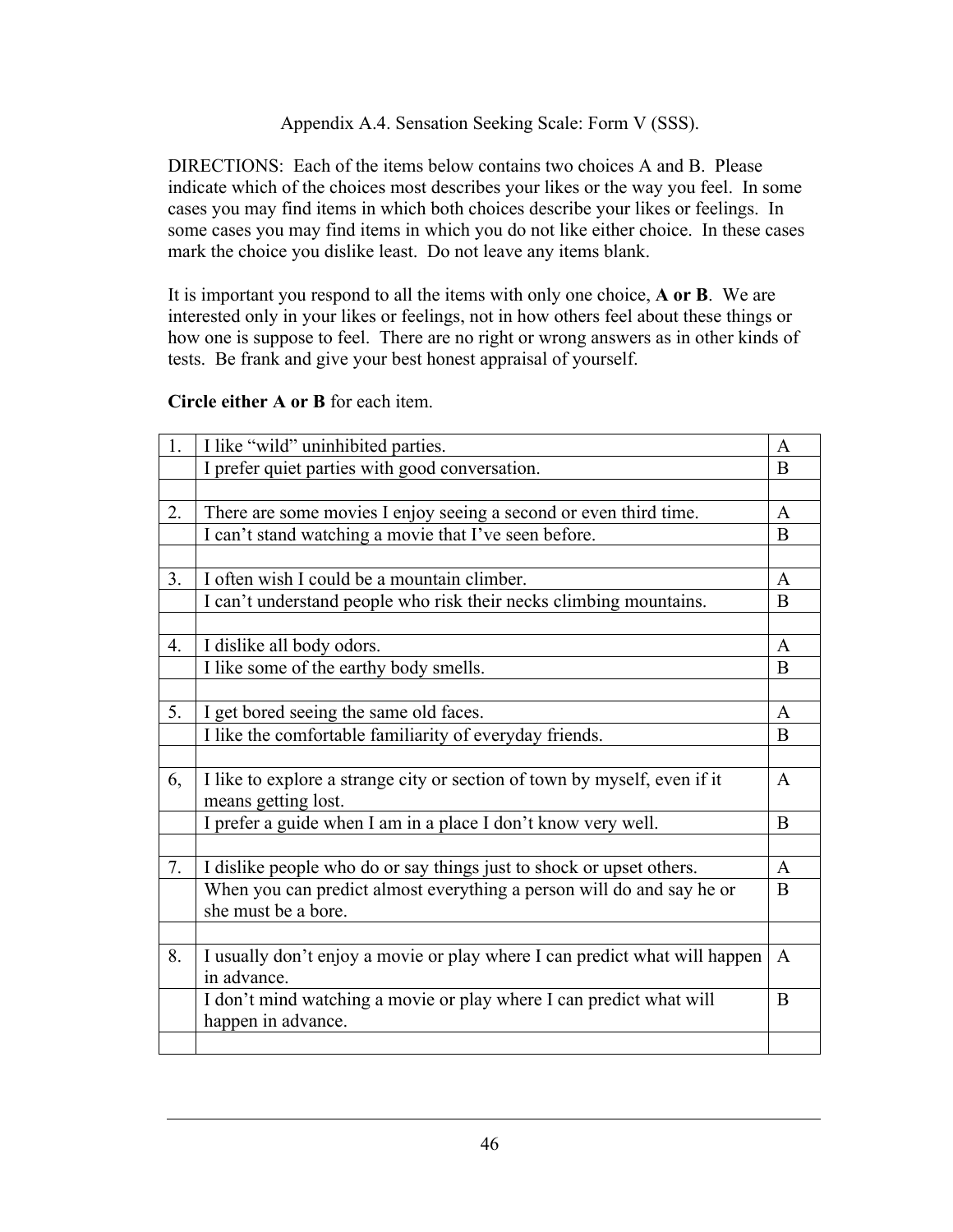# Appendix A.4. Sensation Seeking Scale: Form V (SSS).

DIRECTIONS: Each of the items below contains two choices A and B. Please indicate which of the choices most describes your likes or the way you feel. In some cases you may find items in which both choices describe your likes or feelings. In some cases you may find items in which you do not like either choice. In these cases mark the choice you dislike least. Do not leave any items blank.

It is important you respond to all the items with only one choice, **A or B**. We are interested only in your likes or feelings, not in how others feel about these things or how one is suppose to feel. There are no right or wrong answers as in other kinds of tests. Be frank and give your best honest appraisal of yourself.

# **Circle either A or B** for each item.

| 1. | I like "wild" uninhibited parties.                                         | $\mathbf{A}$ |
|----|----------------------------------------------------------------------------|--------------|
|    | I prefer quiet parties with good conversation.                             | B            |
|    |                                                                            |              |
| 2. | There are some movies I enjoy seeing a second or even third time.          | A            |
|    | I can't stand watching a movie that I've seen before.                      | B            |
|    |                                                                            |              |
| 3. | I often wish I could be a mountain climber.                                | $\mathbf{A}$ |
|    | I can't understand people who risk their necks climbing mountains.         | B            |
|    |                                                                            |              |
| 4. | I dislike all body odors.                                                  | $\mathbf{A}$ |
|    | I like some of the earthy body smells.                                     | B            |
|    |                                                                            |              |
| 5. | I get bored seeing the same old faces.                                     | $\mathbf{A}$ |
|    | I like the comfortable familiarity of everyday friends.                    | B            |
|    |                                                                            |              |
| 6, | I like to explore a strange city or section of town by myself, even if it  | $\mathbf{A}$ |
|    | means getting lost.                                                        |              |
|    | I prefer a guide when I am in a place I don't know very well.              | B            |
|    |                                                                            |              |
| 7. | I dislike people who do or say things just to shock or upset others.       | $\mathbf{A}$ |
|    | When you can predict almost everything a person will do and say he or      | B            |
|    | she must be a bore.                                                        |              |
|    |                                                                            |              |
| 8. | I usually don't enjoy a movie or play where I can predict what will happen | A            |
|    | in advance.                                                                |              |
|    | I don't mind watching a movie or play where I can predict what will        | B            |
|    | happen in advance.                                                         |              |
|    |                                                                            |              |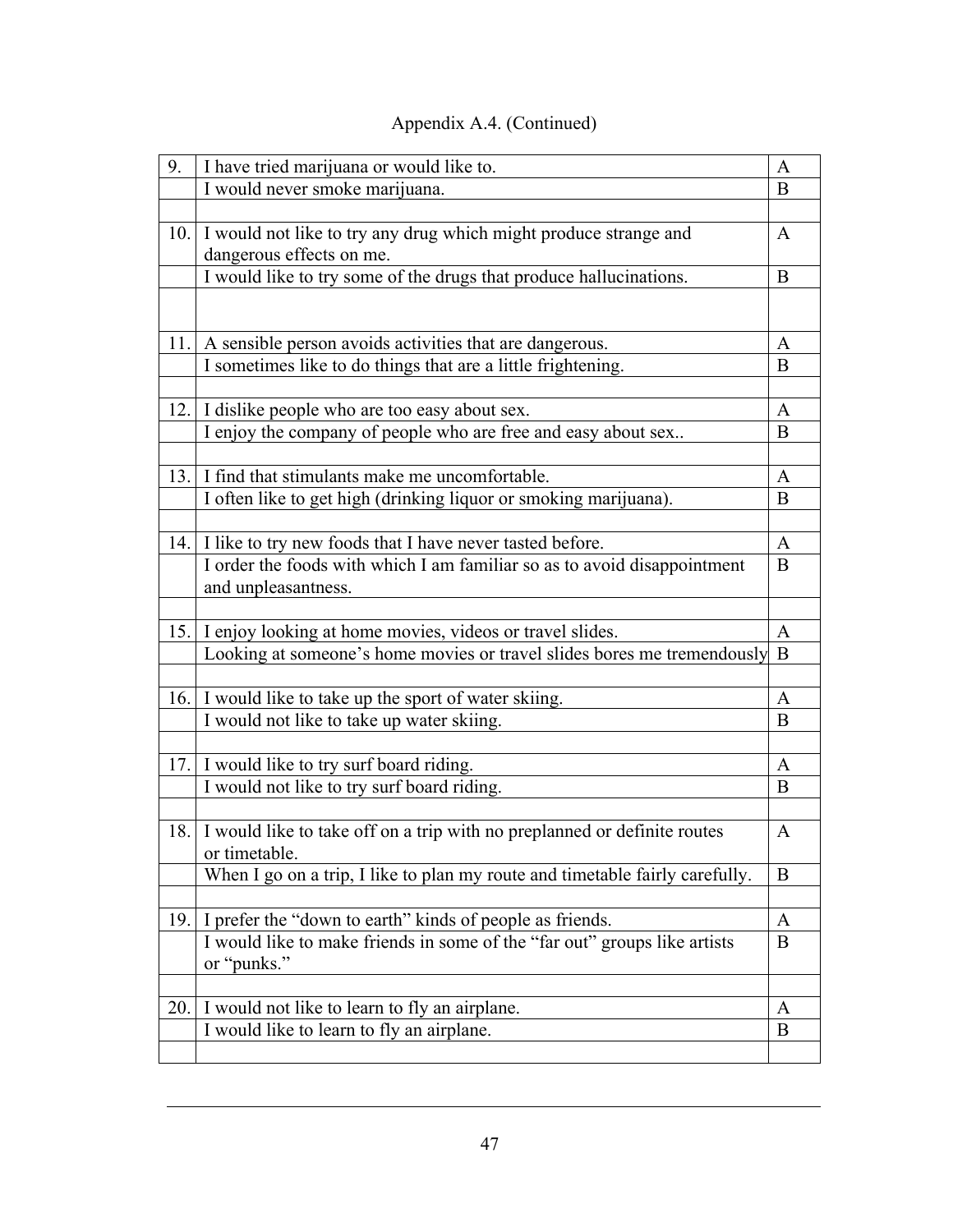| 9.  | I have tried marijuana or would like to.                                     | A            |
|-----|------------------------------------------------------------------------------|--------------|
|     | I would never smoke marijuana.                                               | B            |
|     |                                                                              |              |
| 10. | I would not like to try any drug which might produce strange and             | A            |
|     | dangerous effects on me.                                                     |              |
|     | I would like to try some of the drugs that produce hallucinations.           | B            |
|     |                                                                              |              |
| 11. | A sensible person avoids activities that are dangerous.                      | A            |
|     | I sometimes like to do things that are a little frightening.                 | B            |
|     |                                                                              |              |
|     | 12. I dislike people who are too easy about sex.                             | A            |
|     | I enjoy the company of people who are free and easy about sex                | B            |
|     |                                                                              |              |
| 13. | I find that stimulants make me uncomfortable.                                | A            |
|     | I often like to get high (drinking liquor or smoking marijuana).             | B            |
|     |                                                                              |              |
| 14. | I like to try new foods that I have never tasted before.                     | A            |
|     | I order the foods with which I am familiar so as to avoid disappointment     | B            |
|     | and unpleasantness.                                                          |              |
|     |                                                                              |              |
| 15. | I enjoy looking at home movies, videos or travel slides.                     | A            |
|     | Looking at someone's home movies or travel slides bores me tremendously      | B            |
|     |                                                                              |              |
|     | 16. I would like to take up the sport of water skiing.                       | A            |
|     | I would not like to take up water skiing.                                    | B            |
|     |                                                                              |              |
|     | 17. I would like to try surf board riding.                                   | $\mathbf{A}$ |
|     | I would not like to try surf board riding.                                   | B            |
|     |                                                                              |              |
| 18. | I would like to take off on a trip with no preplanned or definite routes     | A            |
|     | or timetable.                                                                |              |
|     | When I go on a trip, I like to plan my route and timetable fairly carefully. | B            |
|     |                                                                              |              |
| 19. | I prefer the "down to earth" kinds of people as friends.                     | $\mathbf{A}$ |
|     | I would like to make friends in some of the "far out" groups like artists    | B            |
|     | or "punks."                                                                  |              |
|     |                                                                              |              |
| 20. | I would not like to learn to fly an airplane.                                | A            |
|     | I would like to learn to fly an airplane.                                    | B            |
|     |                                                                              |              |

# Appendix A.4. (Continued)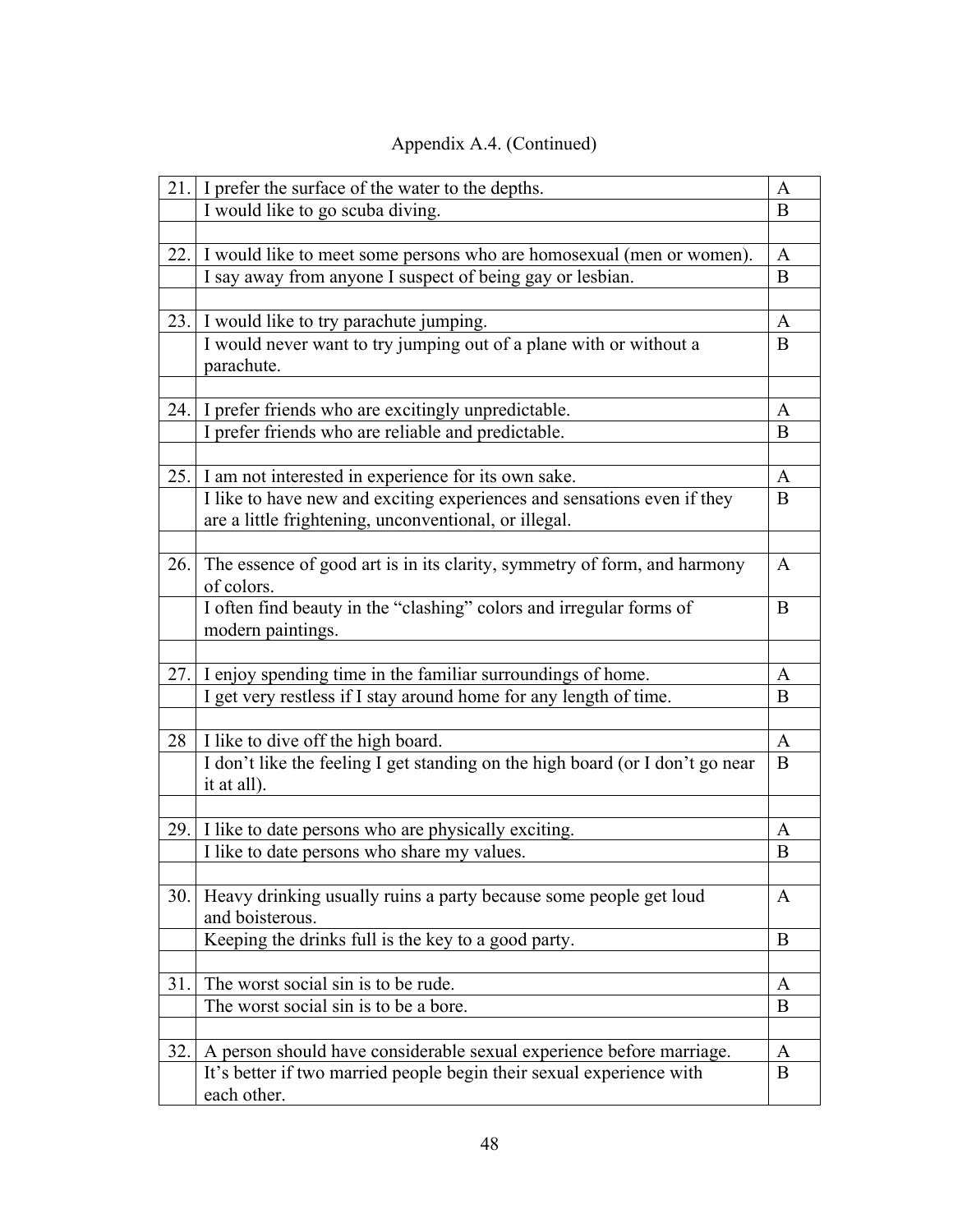| 21.1 | I prefer the surface of the water to the depths.                                         | A            |
|------|------------------------------------------------------------------------------------------|--------------|
|      | I would like to go scuba diving.                                                         | B            |
|      |                                                                                          |              |
| 22.  | I would like to meet some persons who are homosexual (men or women).                     | $\mathbf{A}$ |
|      | I say away from anyone I suspect of being gay or lesbian.                                | B            |
|      |                                                                                          |              |
|      | 23. I would like to try parachute jumping.                                               | A            |
|      | I would never want to try jumping out of a plane with or without a                       | B            |
|      | parachute.                                                                               |              |
|      |                                                                                          |              |
|      | 24. I prefer friends who are excitingly unpredictable.                                   | $\mathbf{A}$ |
|      | I prefer friends who are reliable and predictable.                                       | B            |
|      |                                                                                          |              |
| 25.  | I am not interested in experience for its own sake.                                      | $\mathbf{A}$ |
|      | I like to have new and exciting experiences and sensations even if they                  | B            |
|      | are a little frightening, unconventional, or illegal.                                    |              |
|      |                                                                                          |              |
| 26.  | The essence of good art is in its clarity, symmetry of form, and harmony                 | A            |
|      | of colors.                                                                               | B            |
|      | I often find beauty in the "clashing" colors and irregular forms of<br>modern paintings. |              |
|      |                                                                                          |              |
| 27.  | I enjoy spending time in the familiar surroundings of home.                              | A            |
|      | I get very restless if I stay around home for any length of time.                        | B            |
|      |                                                                                          |              |
| 28   | I like to dive off the high board.                                                       | $\mathbf{A}$ |
|      | I don't like the feeling I get standing on the high board (or I don't go near            | B            |
|      | it at all).                                                                              |              |
|      |                                                                                          |              |
|      | 29. I like to date persons who are physically exciting.                                  | A            |
|      | I like to date persons who share my values.                                              | B            |
|      |                                                                                          |              |
| 30.1 | Heavy drinking usually ruins a party because some people get loud                        | A            |
|      | and boisterous.                                                                          |              |
|      | Keeping the drinks full is the key to a good party.                                      | B            |
|      |                                                                                          |              |
| 31.  | The worst social sin is to be rude.                                                      | A            |
|      | The worst social sin is to be a bore.                                                    | B            |
|      |                                                                                          |              |
| 32.  | A person should have considerable sexual experience before marriage.                     | A            |
|      | It's better if two married people begin their sexual experience with                     | B            |
|      | each other.                                                                              |              |

# Appendix A.4. (Continued)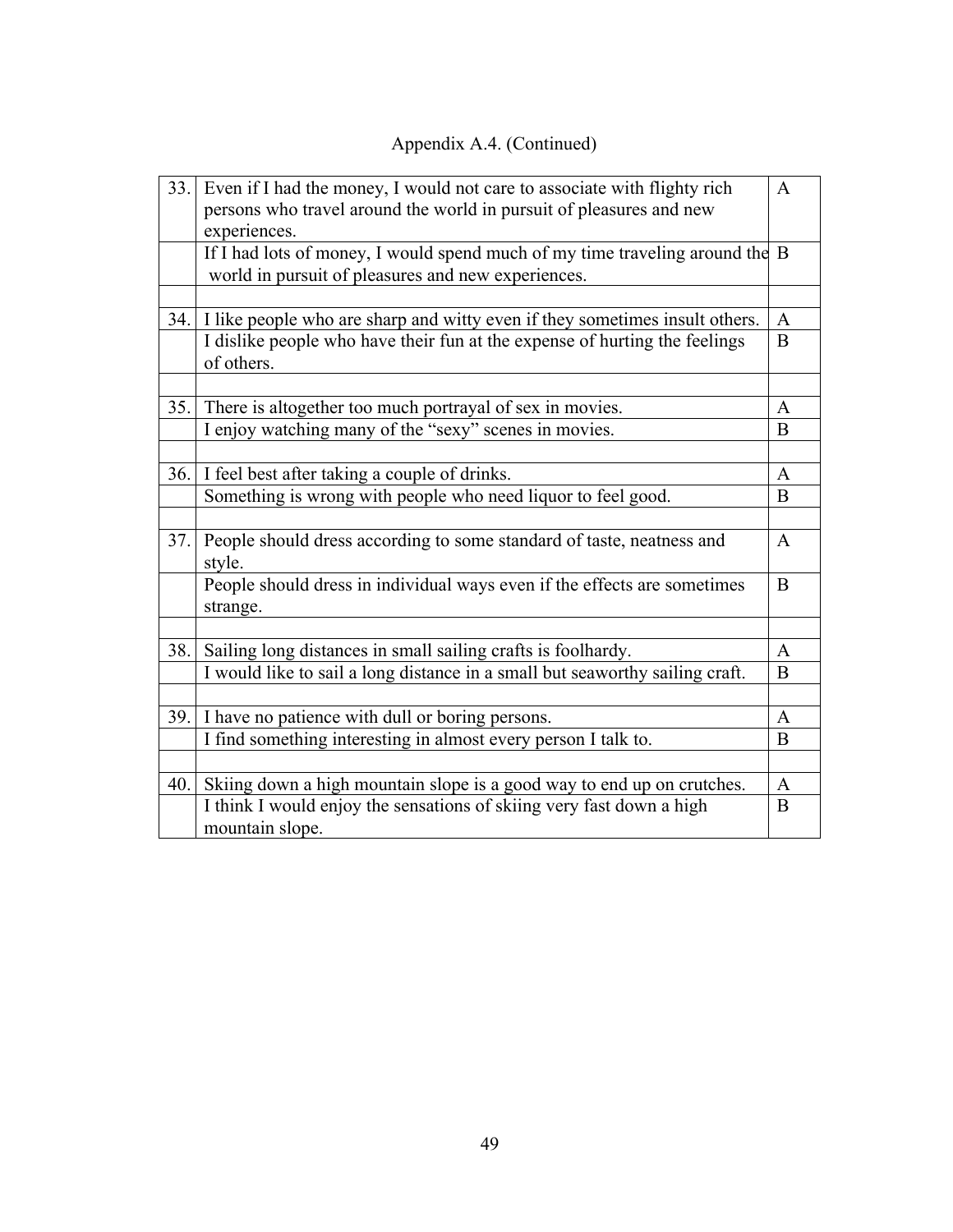# Appendix A.4. (Continued)

| 33.  | Even if I had the money, I would not care to associate with flighty rich<br>persons who travel around the world in pursuit of pleasures and new<br>experiences. | $\mathbf{A}$   |
|------|-----------------------------------------------------------------------------------------------------------------------------------------------------------------|----------------|
|      | If I had lots of money, I would spend much of my time traveling around the B<br>world in pursuit of pleasures and new experiences.                              |                |
|      |                                                                                                                                                                 |                |
|      | 34. I like people who are sharp and witty even if they sometimes insult others.                                                                                 | A              |
|      | I dislike people who have their fun at the expense of hurting the feelings<br>of others.                                                                        | B              |
|      |                                                                                                                                                                 |                |
| 35.1 | There is altogether too much portrayal of sex in movies.                                                                                                        | A              |
|      | I enjoy watching many of the "sexy" scenes in movies.                                                                                                           | B              |
|      |                                                                                                                                                                 |                |
| 36.  | I feel best after taking a couple of drinks.                                                                                                                    | $\mathbf{A}$   |
|      | Something is wrong with people who need liquor to feel good.                                                                                                    | B              |
|      |                                                                                                                                                                 |                |
| 37.  | People should dress according to some standard of taste, neatness and<br>style.                                                                                 | $\overline{A}$ |
|      | People should dress in individual ways even if the effects are sometimes<br>strange.                                                                            | B              |
|      |                                                                                                                                                                 |                |
| 38.  | Sailing long distances in small sailing crafts is foolhardy.                                                                                                    | $\mathbf{A}$   |
|      | I would like to sail a long distance in a small but seaworthy sailing craft.                                                                                    | B              |
| 39.  | I have no patience with dull or boring persons.                                                                                                                 | A              |
|      | I find something interesting in almost every person I talk to.                                                                                                  | B              |
|      |                                                                                                                                                                 |                |
| 40.  | Skiing down a high mountain slope is a good way to end up on crutches.                                                                                          | A              |
|      | I think I would enjoy the sensations of skiing very fast down a high<br>mountain slope.                                                                         | $\overline{B}$ |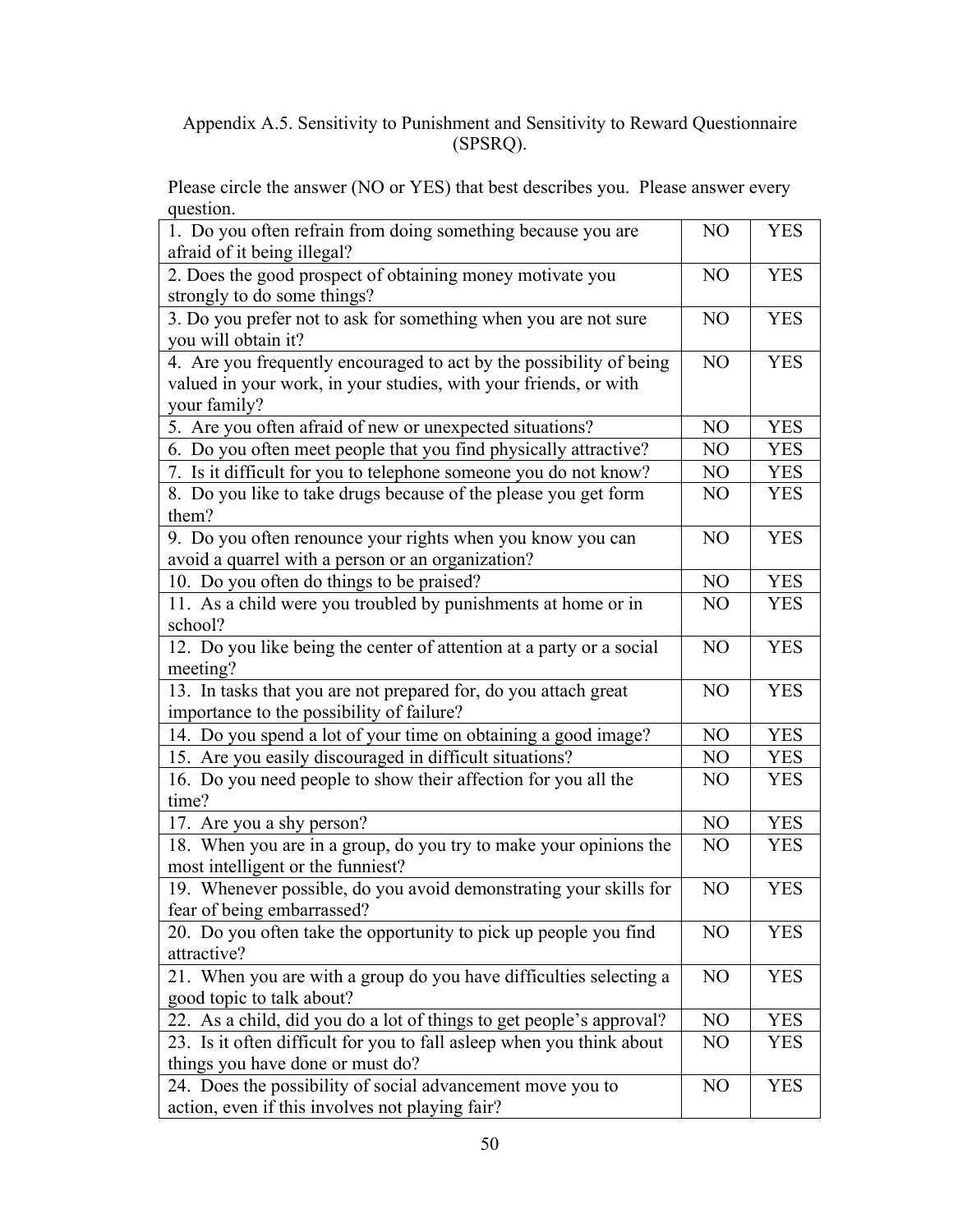# Appendix A.5. Sensitivity to Punishment and Sensitivity to Reward Questionnaire (SPSRQ).

Please circle the answer (NO or YES) that best describes you. Please answer every question.

| 1. Do you often refrain from doing something because you are<br>afraid of it being illegal?                                                             | N <sub>O</sub> | <b>YES</b> |
|---------------------------------------------------------------------------------------------------------------------------------------------------------|----------------|------------|
| 2. Does the good prospect of obtaining money motivate you<br>strongly to do some things?                                                                | N <sub>O</sub> | <b>YES</b> |
| 3. Do you prefer not to ask for something when you are not sure<br>you will obtain it?                                                                  | NO             | <b>YES</b> |
| 4. Are you frequently encouraged to act by the possibility of being<br>valued in your work, in your studies, with your friends, or with<br>your family? | N <sub>O</sub> | <b>YES</b> |
| 5. Are you often afraid of new or unexpected situations?                                                                                                | N <sub>O</sub> | <b>YES</b> |
| 6. Do you often meet people that you find physically attractive?                                                                                        | NO             | <b>YES</b> |
| 7. Is it difficult for you to telephone someone you do not know?                                                                                        | N <sub>O</sub> | <b>YES</b> |
| 8. Do you like to take drugs because of the please you get form<br>them?                                                                                | N <sub>O</sub> | <b>YES</b> |
| 9. Do you often renounce your rights when you know you can<br>avoid a quarrel with a person or an organization?                                         | N <sub>O</sub> | <b>YES</b> |
| 10. Do you often do things to be praised?                                                                                                               | N <sub>O</sub> | <b>YES</b> |
| 11. As a child were you troubled by punishments at home or in<br>school?                                                                                | N <sub>O</sub> | YES        |
| 12. Do you like being the center of attention at a party or a social<br>meeting?                                                                        | N <sub>O</sub> | <b>YES</b> |
| 13. In tasks that you are not prepared for, do you attach great<br>importance to the possibility of failure?                                            | N <sub>O</sub> | <b>YES</b> |
| 14. Do you spend a lot of your time on obtaining a good image?                                                                                          | N <sub>O</sub> | <b>YES</b> |
| 15. Are you easily discouraged in difficult situations?                                                                                                 | NO             | <b>YES</b> |
| 16. Do you need people to show their affection for you all the<br>time?                                                                                 | NO             | <b>YES</b> |
| 17. Are you a shy person?                                                                                                                               | N <sub>O</sub> | <b>YES</b> |
| 18. When you are in a group, do you try to make your opinions the<br>most intelligent or the funniest?                                                  | N <sub>O</sub> | YES        |
| 19. Whenever possible, do you avoid demonstrating your skills for<br>fear of being embarrassed?                                                         | NO             | <b>YES</b> |
| 20. Do you often take the opportunity to pick up people you find<br>attractive?                                                                         | N <sub>O</sub> | <b>YES</b> |
| 21. When you are with a group do you have difficulties selecting a<br>good topic to talk about?                                                         | NO             | <b>YES</b> |
| 22. As a child, did you do a lot of things to get people's approval?                                                                                    | N <sub>O</sub> | <b>YES</b> |
| 23. Is it often difficult for you to fall asleep when you think about<br>things you have done or must do?                                               | NO             | YES        |
| 24. Does the possibility of social advancement move you to<br>action, even if this involves not playing fair?                                           | NO             | <b>YES</b> |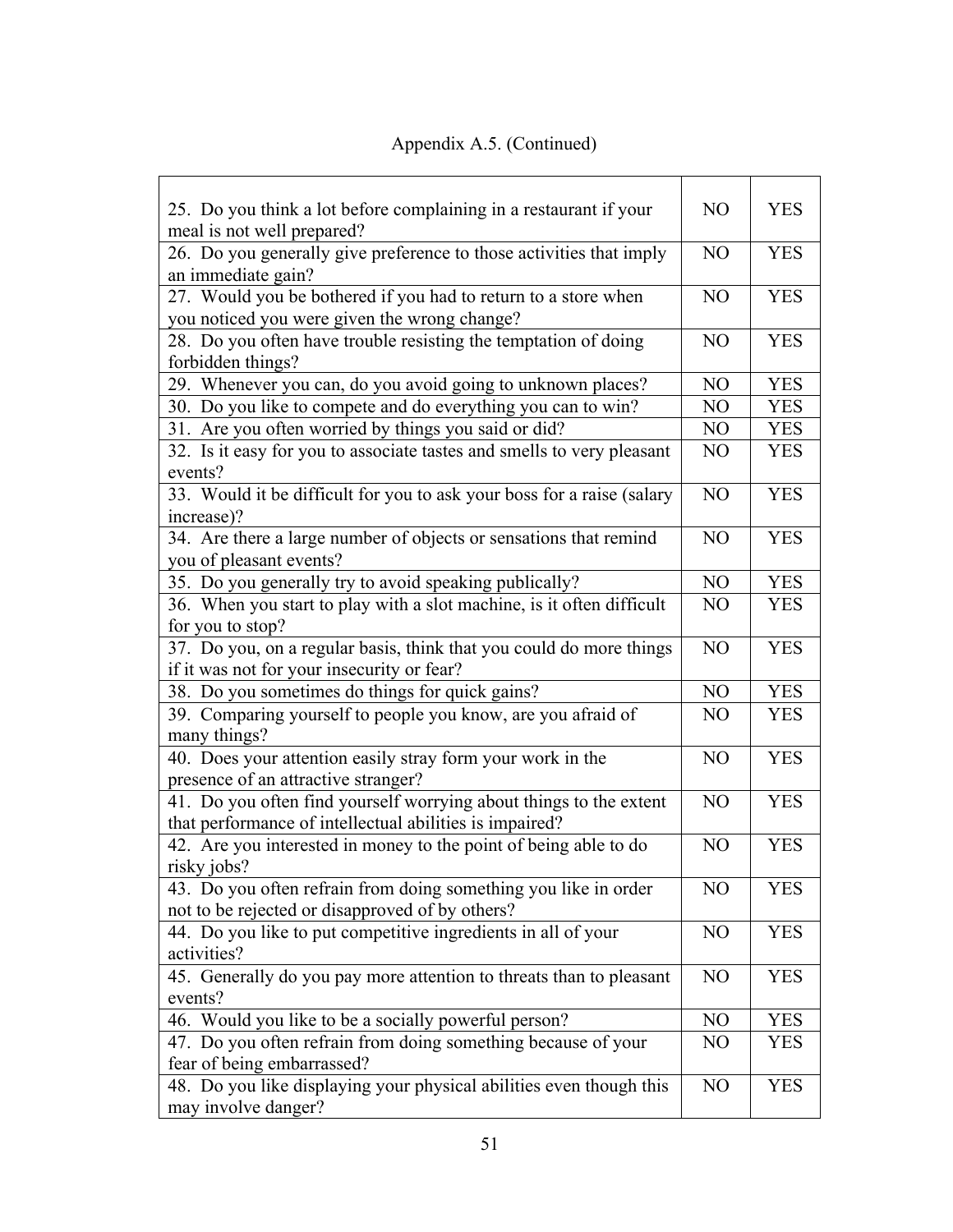| 25. Do you think a lot before complaining in a restaurant if your                                                             | N <sub>O</sub> | <b>YES</b> |
|-------------------------------------------------------------------------------------------------------------------------------|----------------|------------|
| meal is not well prepared?<br>26. Do you generally give preference to those activities that imply<br>an immediate gain?       | N <sub>O</sub> | <b>YES</b> |
| 27. Would you be bothered if you had to return to a store when<br>you noticed you were given the wrong change?                | N <sub>O</sub> | <b>YES</b> |
| 28. Do you often have trouble resisting the temptation of doing<br>forbidden things?                                          | N <sub>O</sub> | <b>YES</b> |
| 29. Whenever you can, do you avoid going to unknown places?                                                                   | N <sub>O</sub> | <b>YES</b> |
| 30. Do you like to compete and do everything you can to win?                                                                  | N <sub>O</sub> | <b>YES</b> |
| 31. Are you often worried by things you said or did?                                                                          | NO             | <b>YES</b> |
| 32. Is it easy for you to associate tastes and smells to very pleasant<br>events?                                             | N <sub>O</sub> | <b>YES</b> |
| 33. Would it be difficult for you to ask your boss for a raise (salary<br>increase)?                                          | N <sub>O</sub> | <b>YES</b> |
| 34. Are there a large number of objects or sensations that remind<br>you of pleasant events?                                  | N <sub>O</sub> | <b>YES</b> |
| 35. Do you generally try to avoid speaking publically?                                                                        | N <sub>O</sub> | <b>YES</b> |
| 36. When you start to play with a slot machine, is it often difficult<br>for you to stop?                                     | N <sub>O</sub> | <b>YES</b> |
| 37. Do you, on a regular basis, think that you could do more things<br>if it was not for your insecurity or fear?             | N <sub>O</sub> | <b>YES</b> |
| 38. Do you sometimes do things for quick gains?                                                                               | N <sub>O</sub> | <b>YES</b> |
| 39. Comparing yourself to people you know, are you afraid of<br>many things?                                                  | N <sub>O</sub> | <b>YES</b> |
| 40. Does your attention easily stray form your work in the<br>presence of an attractive stranger?                             | N <sub>O</sub> | <b>YES</b> |
| 41. Do you often find yourself worrying about things to the extent<br>that performance of intellectual abilities is impaired? | N <sub>O</sub> | <b>YES</b> |
| 42. Are you interested in money to the point of being able to do<br>risky jobs?                                               | N <sub>O</sub> | <b>YES</b> |
| 43. Do you often refrain from doing something you like in order<br>not to be rejected or disapproved of by others?            | N <sub>O</sub> | <b>YES</b> |
| 44. Do you like to put competitive ingredients in all of your<br>activities?                                                  | NO             | <b>YES</b> |
| 45. Generally do you pay more attention to threats than to pleasant<br>events?                                                | N <sub>O</sub> | <b>YES</b> |
| 46. Would you like to be a socially powerful person?                                                                          | N <sub>O</sub> | <b>YES</b> |
| 47. Do you often refrain from doing something because of your<br>fear of being embarrassed?                                   | N <sub>O</sub> | <b>YES</b> |
| 48. Do you like displaying your physical abilities even though this<br>may involve danger?                                    | N <sub>O</sub> | <b>YES</b> |

# Appendix A.5. (Continued)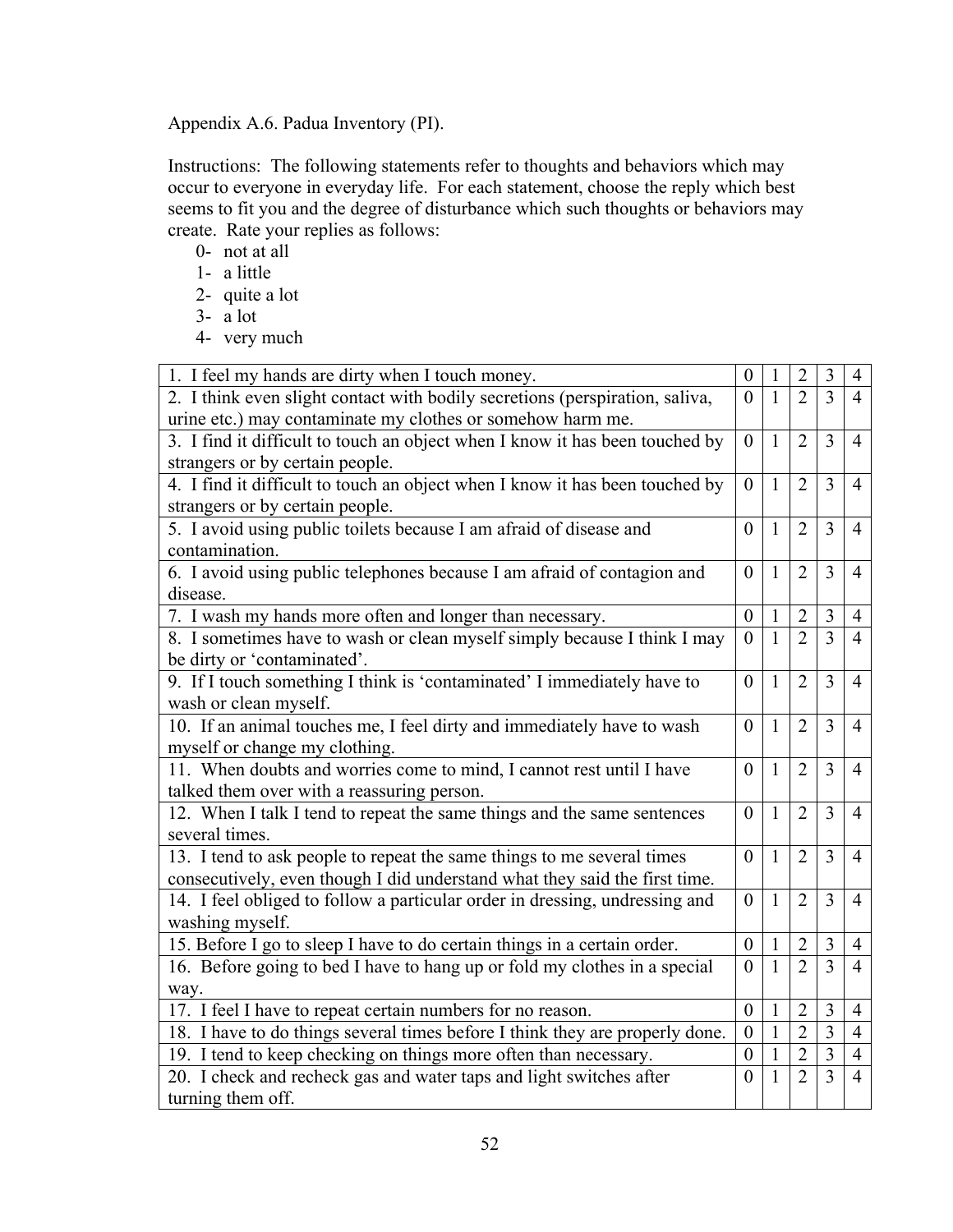Appendix A.6. Padua Inventory (PI).

Instructions: The following statements refer to thoughts and behaviors which may occur to everyone in everyday life. For each statement, choose the reply which best seems to fit you and the degree of disturbance which such thoughts or behaviors may create. Rate your replies as follows:

- 0- not at all
- 1- a little
- 2- quite a lot
- 3- a lot
- 4- very much

| 1. I feel my hands are dirty when I touch money.                             | $\boldsymbol{0}$ | 1            | $\overline{2}$ | 3                       | $\overline{4}$ |
|------------------------------------------------------------------------------|------------------|--------------|----------------|-------------------------|----------------|
| 2. I think even slight contact with bodily secretions (perspiration, saliva, | $\theta$         | $\mathbf{1}$ | $\overline{2}$ | 3                       | $\overline{4}$ |
| urine etc.) may contaminate my clothes or somehow harm me.                   |                  |              |                |                         |                |
| 3. I find it difficult to touch an object when I know it has been touched by | $\theta$         | 1            | $\overline{2}$ | 3                       | $\overline{4}$ |
| strangers or by certain people.                                              |                  |              |                |                         |                |
| 4. I find it difficult to touch an object when I know it has been touched by | $\overline{0}$   | $\mathbf{1}$ | $\overline{2}$ | 3                       | $\overline{4}$ |
| strangers or by certain people.                                              |                  |              |                |                         |                |
| 5. I avoid using public toilets because I am afraid of disease and           | $\overline{0}$   | 1            | $\overline{2}$ | $\overline{3}$          | $\overline{4}$ |
| contamination.                                                               |                  |              |                |                         |                |
| 6. I avoid using public telephones because I am afraid of contagion and      | $\overline{0}$   | 1            | $\overline{2}$ | $\overline{3}$          | $\overline{4}$ |
| disease.                                                                     |                  |              |                |                         |                |
| 7. I wash my hands more often and longer than necessary.                     | $\mathbf{0}$     | $\mathbf{1}$ | $\overline{2}$ | 3                       | $\overline{4}$ |
| 8. I sometimes have to wash or clean myself simply because I think I may     | $\mathbf{0}$     | $\mathbf{1}$ | $\overline{2}$ | $\overline{3}$          | $\overline{4}$ |
| be dirty or 'contaminated'.                                                  |                  |              |                |                         |                |
| 9. If I touch something I think is 'contaminated' I immediately have to      | $\theta$         | $\mathbf{1}$ | $\overline{2}$ | $\overline{3}$          | $\overline{4}$ |
| wash or clean myself.                                                        |                  |              |                |                         |                |
| 10. If an animal touches me, I feel dirty and immediately have to wash       | $\overline{0}$   | 1            | $\overline{2}$ | 3                       | $\overline{4}$ |
| myself or change my clothing.                                                |                  |              |                |                         |                |
| 11. When doubts and worries come to mind, I cannot rest until I have         | $\theta$         | $\mathbf{1}$ | $\overline{2}$ | $\overline{3}$          | $\overline{4}$ |
| talked them over with a reassuring person.                                   |                  |              |                |                         |                |
| 12. When I talk I tend to repeat the same things and the same sentences      | $\theta$         | $\mathbf{1}$ | $\overline{2}$ | 3                       | $\overline{4}$ |
| several times.                                                               |                  |              |                |                         |                |
| 13. I tend to ask people to repeat the same things to me several times       | $\theta$         | $\mathbf{1}$ | $\overline{2}$ | 3                       | $\overline{4}$ |
| consecutively, even though I did understand what they said the first time.   |                  |              |                |                         |                |
| 14. I feel obliged to follow a particular order in dressing, undressing and  | $\theta$         | $\mathbf{1}$ | $\overline{2}$ | 3                       | $\overline{4}$ |
| washing myself.                                                              |                  |              |                |                         |                |
| 15. Before I go to sleep I have to do certain things in a certain order.     | $\theta$         | $\mathbf{1}$ | $\overline{2}$ | 3                       | $\overline{4}$ |
| 16. Before going to bed I have to hang up or fold my clothes in a special    | $\theta$         | 1            | $\overline{2}$ | 3                       | $\overline{4}$ |
| way.                                                                         |                  |              |                |                         |                |
| 17. I feel I have to repeat certain numbers for no reason.                   | $\boldsymbol{0}$ | $\mathbf{1}$ | $\overline{2}$ | $\overline{3}$          | $\overline{4}$ |
| 18. I have to do things several times before I think they are properly done. | $\theta$         | $\mathbf{1}$ | $\overline{2}$ | $\overline{\mathbf{3}}$ | $\overline{4}$ |
| 19. I tend to keep checking on things more often than necessary.             | $\boldsymbol{0}$ | $\mathbf{1}$ | $\overline{2}$ | $\overline{3}$          | $\overline{4}$ |
| 20. I check and recheck gas and water taps and light switches after          | $\theta$         | 1            | $\overline{2}$ | $\overline{3}$          | $\overline{4}$ |
| turning them off.                                                            |                  |              |                |                         |                |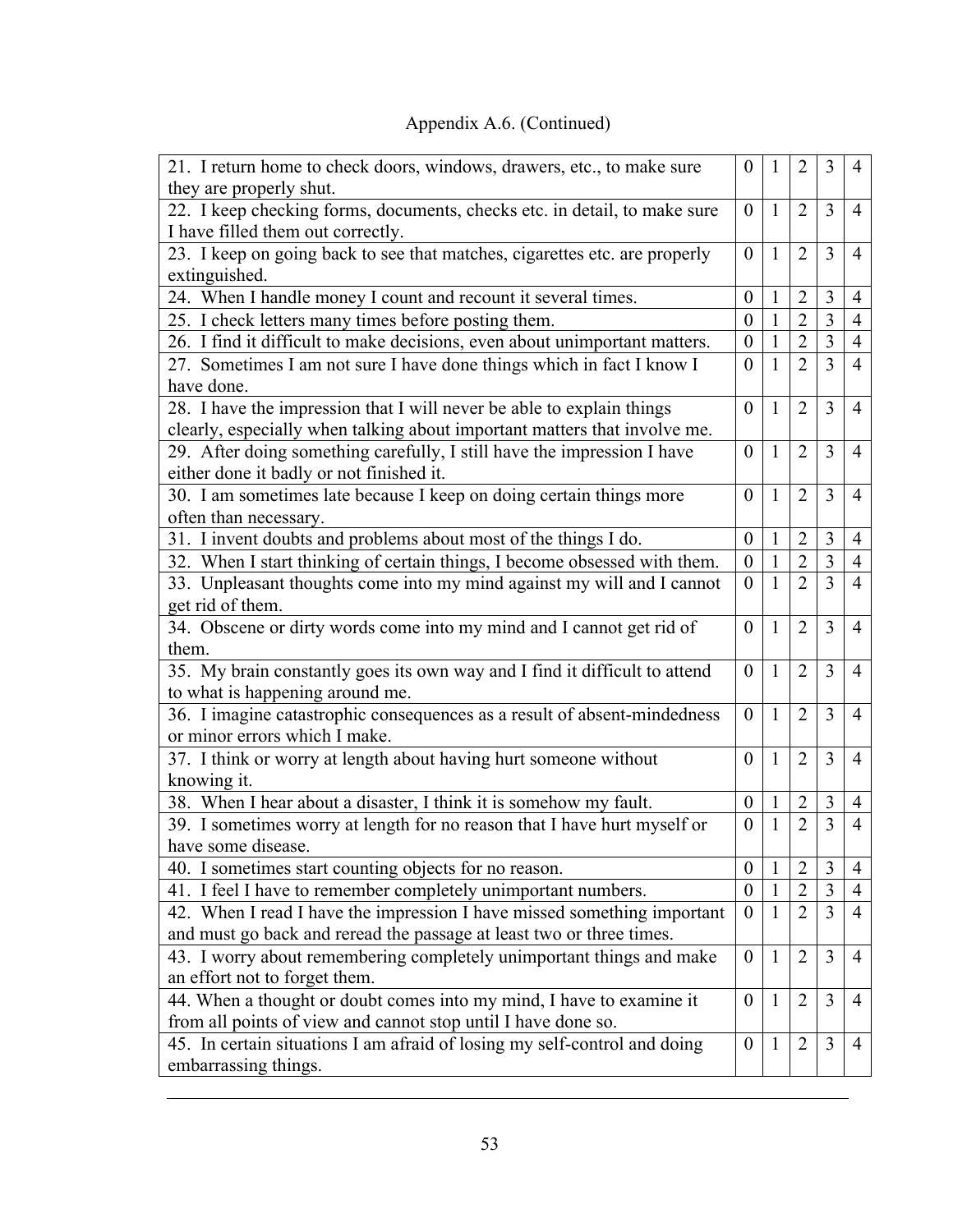# Appendix A.6. (Continued)

| 21. I return home to check doors, windows, drawers, etc., to make sure<br>they are properly shut.                                                  | $\theta$         | 1            | $\overline{2}$ | 3                       | 4              |
|----------------------------------------------------------------------------------------------------------------------------------------------------|------------------|--------------|----------------|-------------------------|----------------|
| 22. I keep checking forms, documents, checks etc. in detail, to make sure<br>I have filled them out correctly.                                     | $\mathbf{0}$     | $\mathbf{1}$ | $\overline{2}$ | 3                       | 4              |
| 23. I keep on going back to see that matches, cigarettes etc. are properly<br>extinguished.                                                        | $\overline{0}$   | $\mathbf{1}$ | $\overline{2}$ | 3                       | $\overline{4}$ |
| 24. When I handle money I count and recount it several times.                                                                                      | $\theta$         | 1            | $\overline{2}$ | 3                       | $\overline{4}$ |
| 25. I check letters many times before posting them.                                                                                                | $\theta$         | $\mathbf{1}$ | $\overline{2}$ | $\overline{3}$          | $\overline{4}$ |
| 26. I find it difficult to make decisions, even about unimportant matters.                                                                         | $\boldsymbol{0}$ | 1            | $\overline{2}$ | $\overline{\mathbf{3}}$ | $\overline{4}$ |
| 27. Sometimes I am not sure I have done things which in fact I know I<br>have done.                                                                | $\overline{0}$   | 1            | $\overline{2}$ | $\overline{3}$          | $\overline{4}$ |
| 28. I have the impression that I will never be able to explain things<br>clearly, especially when talking about important matters that involve me. | $\theta$         | $\mathbf{1}$ | $\overline{2}$ | 3                       | $\overline{4}$ |
| 29. After doing something carefully, I still have the impression I have<br>either done it badly or not finished it.                                | $\mathbf{0}$     | 1            | $\overline{2}$ | 3                       | $\overline{4}$ |
| 30. I am sometimes late because I keep on doing certain things more<br>often than necessary.                                                       | $\theta$         | $\mathbf{1}$ | $\overline{2}$ | 3                       | $\overline{4}$ |
| 31. I invent doubts and problems about most of the things I do.                                                                                    | $\boldsymbol{0}$ | 1            | $\overline{2}$ | 3                       | $\overline{4}$ |
| 32. When I start thinking of certain things, I become obsessed with them.                                                                          | $\overline{0}$   | $\mathbf{1}$ | $\overline{2}$ | $\overline{3}$          | $\overline{4}$ |
| 33. Unpleasant thoughts come into my mind against my will and I cannot<br>get rid of them.                                                         | $\boldsymbol{0}$ | $\mathbf{1}$ | $\overline{2}$ | $\overline{3}$          | $\overline{4}$ |
| 34. Obscene or dirty words come into my mind and I cannot get rid of<br>them.                                                                      | $\theta$         | $\mathbf{1}$ | $\overline{2}$ | 3                       | $\overline{4}$ |
| 35. My brain constantly goes its own way and I find it difficult to attend<br>to what is happening around me.                                      | $\overline{0}$   | 1            | $\overline{2}$ | 3                       | $\overline{4}$ |
| 36. I imagine catastrophic consequences as a result of absent-mindedness<br>or minor errors which I make.                                          | $\overline{0}$   | $\mathbf{1}$ | $\overline{2}$ | 3                       | $\overline{4}$ |
| 37. I think or worry at length about having hurt someone without<br>knowing it.                                                                    | $\theta$         | 1            | $\overline{2}$ | 3                       | $\overline{4}$ |
| 38. When I hear about a disaster, I think it is somehow my fault.                                                                                  | $\boldsymbol{0}$ | $\mathbf{1}$ | $\overline{2}$ | 3                       | 4              |
| 39. I sometimes worry at length for no reason that I have hurt myself or<br>have some disease                                                      | $\theta$         | $\mathbf{1}$ | $\overline{2}$ | $\overline{3}$          | $\overline{4}$ |
| 40. I sometimes start counting objects for no reason.                                                                                              | $\boldsymbol{0}$ | $\mathbf{1}$ | $\overline{2}$ | 3                       | 4              |
| 41. I feel I have to remember completely unimportant numbers.                                                                                      | $\boldsymbol{0}$ |              | $\overline{2}$ | 3                       | $\overline{4}$ |
| 42. When I read I have the impression I have missed something important                                                                            | $\boldsymbol{0}$ | 1            | $\overline{2}$ | 3                       | 4              |
| and must go back and reread the passage at least two or three times.                                                                               |                  |              |                |                         |                |
| 43. I worry about remembering completely unimportant things and make<br>an effort not to forget them.                                              | $\boldsymbol{0}$ | $\mathbf{1}$ | $\overline{2}$ | 3                       | $\overline{4}$ |
| 44. When a thought or doubt comes into my mind, I have to examine it<br>from all points of view and cannot stop until I have done so.              | $\overline{0}$   | $\mathbf{1}$ | $\overline{2}$ | 3                       | 4              |
| 45. In certain situations I am afraid of losing my self-control and doing<br>embarrassing things.                                                  | $\boldsymbol{0}$ | $\mathbf{1}$ | $\overline{2}$ | 3                       | 4              |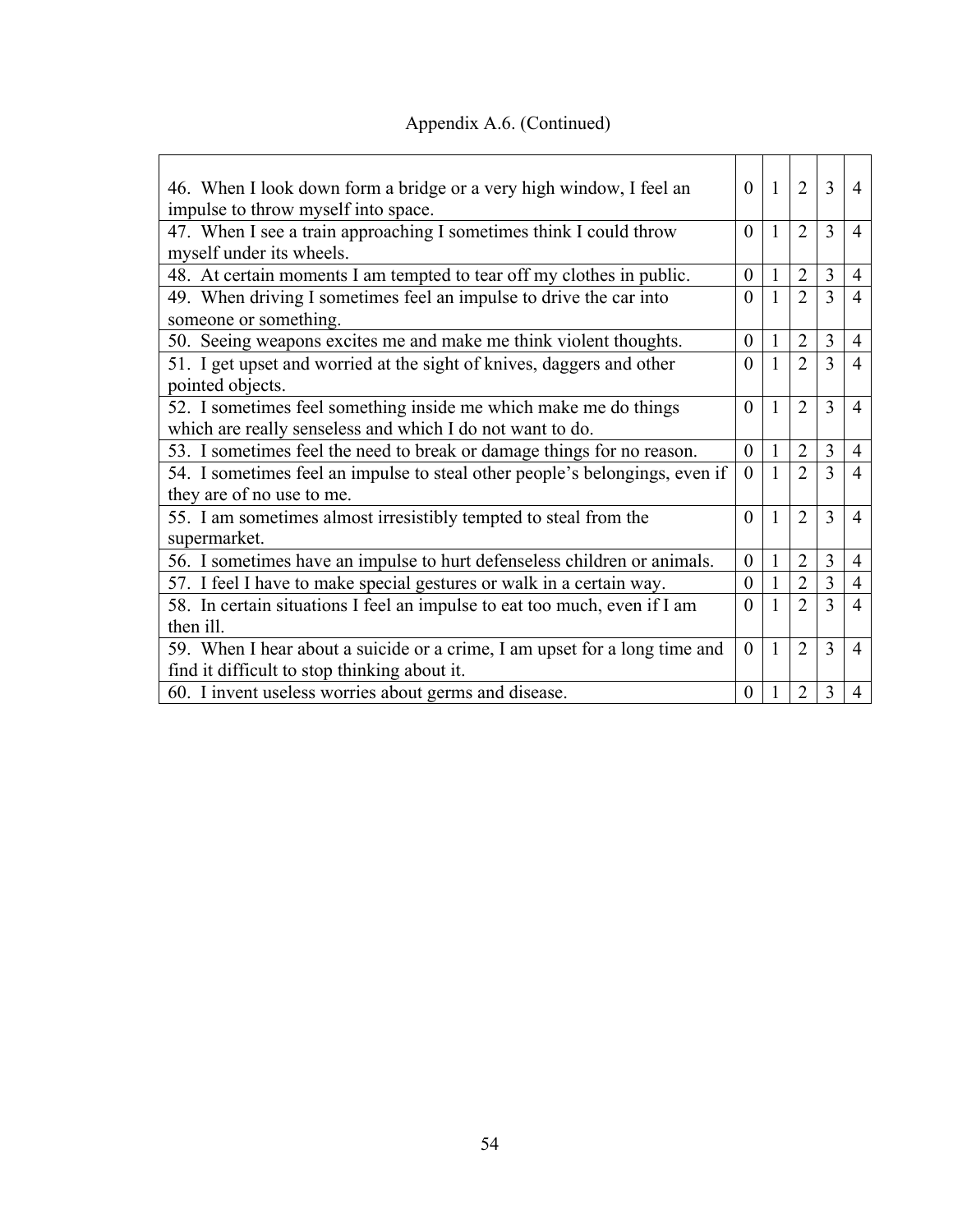|  |  | Appendix A.6. (Continued) |
|--|--|---------------------------|
|--|--|---------------------------|

| 46. When I look down form a bridge or a very high window, I feel an         |          | $\overline{1}$ | $\overline{2}$ | 3              | 4              |
|-----------------------------------------------------------------------------|----------|----------------|----------------|----------------|----------------|
| impulse to throw myself into space.                                         |          |                |                |                |                |
| 47. When I see a train approaching I sometimes think I could throw          |          | $\mathbf{1}$   | $\overline{2}$ | 3              | $\overline{4}$ |
| myself under its wheels.                                                    |          |                |                |                |                |
| 48. At certain moments I am tempted to tear off my clothes in public.       |          |                | $\overline{2}$ | $\overline{3}$ | $\overline{4}$ |
| 49. When driving I sometimes feel an impulse to drive the car into          |          |                | $\overline{2}$ | $\mathcal{E}$  | $\overline{4}$ |
| someone or something.                                                       |          |                |                |                |                |
| 50. Seeing weapons excites me and make me think violent thoughts.           |          |                | $\overline{2}$ | 3              | $\overline{4}$ |
| 51. I get upset and worried at the sight of knives, daggers and other       |          |                | $\overline{2}$ | $\mathcal{E}$  | $\overline{4}$ |
| pointed objects.                                                            |          |                |                |                |                |
| 52. I sometimes feel something inside me which make me do things            | $\theta$ | 1              | $\overline{2}$ | 3              | 4              |
| which are really senseless and which I do not want to do.                   |          |                |                |                |                |
| 53. I sometimes feel the need to break or damage things for no reason.      |          |                | $\overline{2}$ | 3              | $\overline{4}$ |
| 54. I sometimes feel an impulse to steal other people's belongings, even if |          |                | $\overline{2}$ | $\mathcal{E}$  | $\overline{4}$ |
| they are of no use to me.                                                   |          |                |                |                |                |
| 55. I am sometimes almost irresistibly tempted to steal from the            |          | $\mathbf{1}$   | $\overline{2}$ | 3              | $\overline{4}$ |
| supermarket.                                                                |          |                |                |                |                |
| 56. I sometimes have an impulse to hurt defenseless children or animals.    |          |                | $\overline{2}$ | 3              | $\overline{4}$ |
| 57. I feel I have to make special gestures or walk in a certain way.        |          |                | $\overline{2}$ | 3              | $\overline{4}$ |
| 58. In certain situations I feel an impulse to eat too much, even if I am   |          |                | $\overline{2}$ | 3              | $\overline{4}$ |
| then ill.                                                                   |          |                |                |                |                |
| 59. When I hear about a suicide or a crime, I am upset for a long time and  |          | 1              | $\overline{2}$ | 3              | $\overline{4}$ |
| find it difficult to stop thinking about it.                                |          |                |                |                |                |
| 60. I invent useless worries about germs and disease.                       |          |                | $\overline{2}$ | 3              | $\overline{4}$ |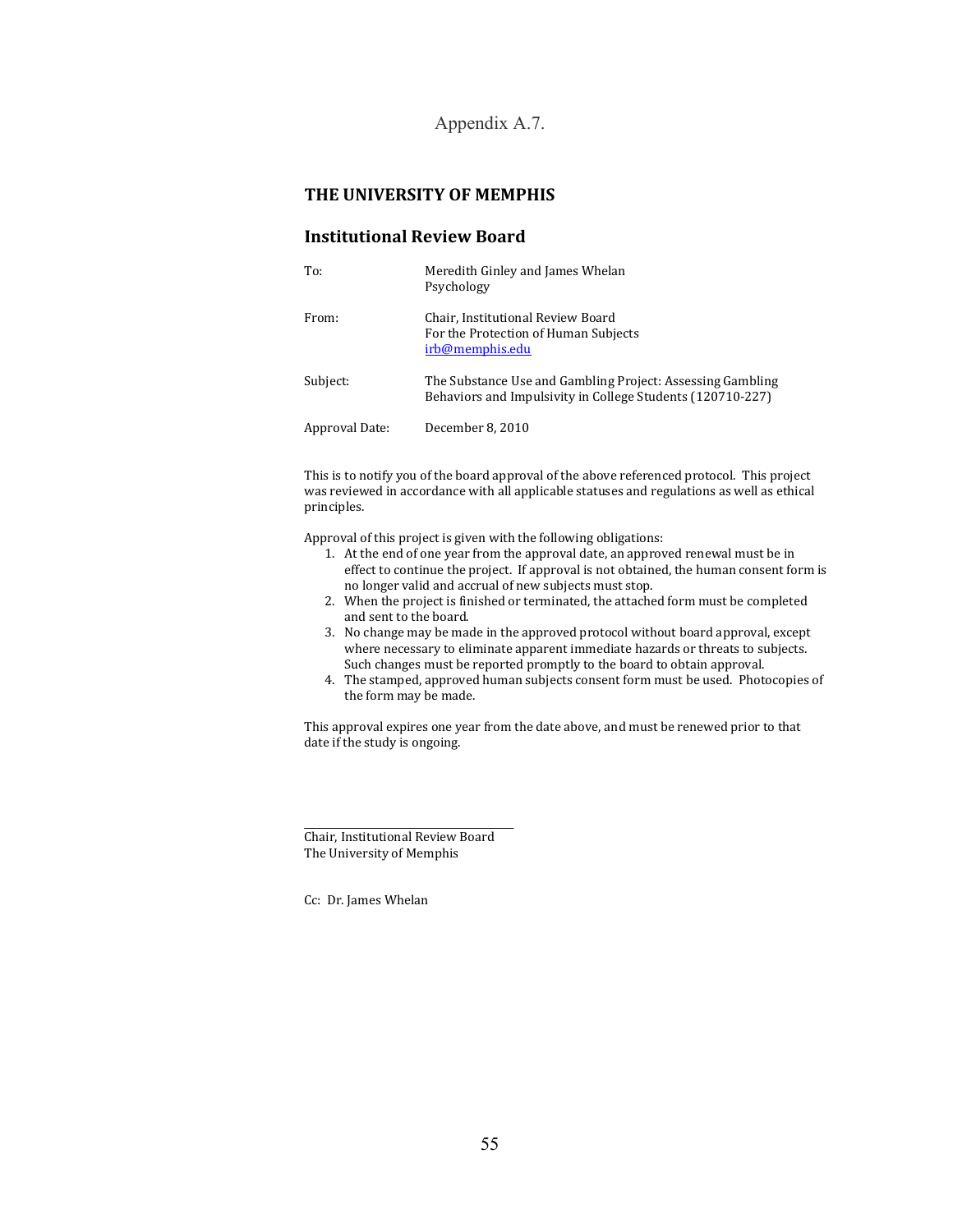Appendix A.7.

### **THE UNIVERSITY OF MEMPHIS**

#### **Institutional Review Board**

| To:            | Meredith Ginley and James Whelan<br>Psychology                                                                           |
|----------------|--------------------------------------------------------------------------------------------------------------------------|
| From:          | Chair, Institutional Review Board<br>For the Protection of Human Subjects<br>irb@memphis.edu                             |
| Subject:       | The Substance Use and Gambling Project: Assessing Gambling<br>Behaviors and Impulsivity in College Students (120710-227) |
| Approval Date: | December 8, 2010                                                                                                         |

This is to notify you of the board approval of the above referenced protocol. This project was reviewed in accordance with all applicable statuses and regulations as well as ethical principles.

Approval of this project is given with the following obligations:

- 1. At the end of one year from the approval date, an approved renewal must be in effect to continue the project. If approval is not obtained, the human consent form is no longer valid and accrual of new subjects must stop.
- 2. When the project is finished or terminated, the attached form must be completed and sent to the board.
- 3. No change may be made in the approved protocol without board approval, except where necessary to eliminate apparent immediate hazards or threats to subjects. Such changes must be reported promptly to the board to obtain approval.
- 4. The stamped, approved human subjects consent form must be used. Photocopies of the form may be made.

This approval expires one year from the date above, and must be renewed prior to that date if the study is ongoing.

Chair, Institutional Review Board The University of Memphis

Cc: Dr. James Whelan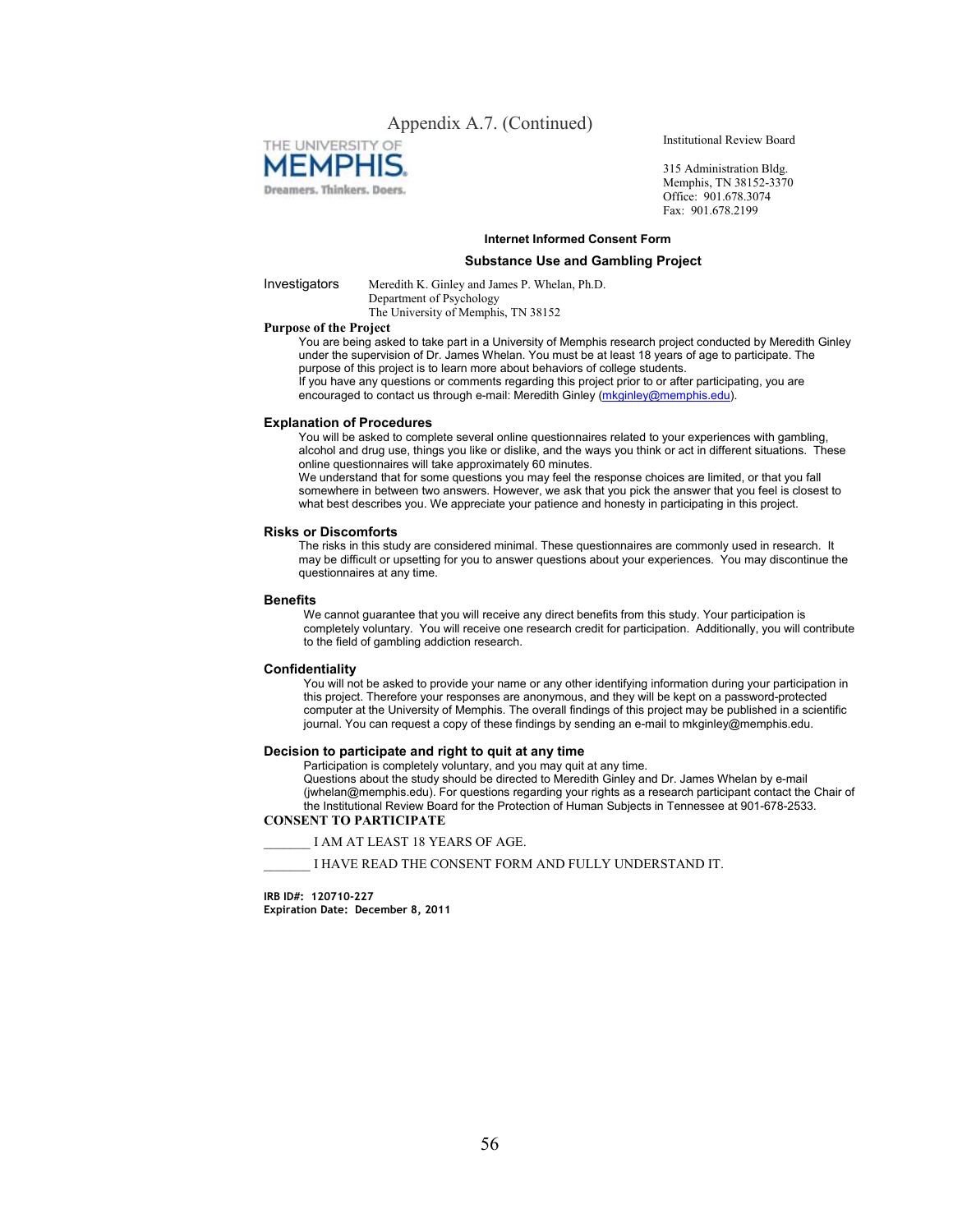### Appendix A.7. (Continued)



Institutional Review Board

315 Administration Bldg. Memphis, TN 38152-3370 Office: 901.678.3074 Fax: 901.678.2199

#### **Internet Informed Consent Form**

#### **Substance Use and Gambling Project**

Investigators Meredith K. Ginley and James P. Whelan, Ph.D.

Department of Psychology The University of Memphis, TN 38152

#### **Purpose of the Project**

You are being asked to take part in a University of Memphis research project conducted by Meredith Ginley under the supervision of Dr. James Whelan. You must be at least 18 years of age to participate. The purpose of this project is to learn more about behaviors of college students.

If you have any questions or comments regarding this project prior to or after participating, you are encouraged to contact us through e-mail: Meredith Ginley (mkginley@memphis.edu).

#### **Explanation of Procedures**

You will be asked to complete several online questionnaires related to your experiences with gambling, alcohol and drug use, things you like or dislike, and the ways you think or act in different situations. These online questionnaires will take approximately 60 minutes.

We understand that for some questions you may feel the response choices are limited, or that you fall somewhere in between two answers. However, we ask that you pick the answer that you feel is closest to what best describes you. We appreciate your patience and honesty in participating in this project.

#### **Risks or Discomforts**

The risks in this study are considered minimal. These questionnaires are commonly used in research. It may be difficult or upsetting for you to answer questions about your experiences. You may discontinue the questionnaires at any time.

#### **Benefits**

We cannot guarantee that you will receive any direct benefits from this study. Your participation is completely voluntary. You will receive one research credit for participation. Additionally, you will contribute to the field of gambling addiction research.

#### **Confidentiality**

You will not be asked to provide your name or any other identifying information during your participation in this project. Therefore your responses are anonymous, and they will be kept on a password-protected computer at the University of Memphis. The overall findings of this project may be published in a scientific journal. You can request a copy of these findings by sending an e-mail to mkginley@memphis.edu.

#### **Decision to participate and right to quit at any time**

Participation is completely voluntary, and you may quit at any time.

Questions about the study should be directed to Meredith Ginley and Dr. James Whelan by e-mail (jwhelan@memphis.edu). For questions regarding your rights as a research participant contact the Chair of the Institutional Review Board for the Protection of Human Subjects in Tennessee at 901-678-2533.

#### **CONSENT TO PARTICIPATE**

\_\_\_\_\_\_\_ I AM AT LEAST 18 YEARS OF AGE.

\_\_\_\_\_\_\_ I HAVE READ THE CONSENT FORM AND FULLY UNDERSTAND IT.

**IRB ID#: 120710-227 Expiration Date: December 8, 2011**